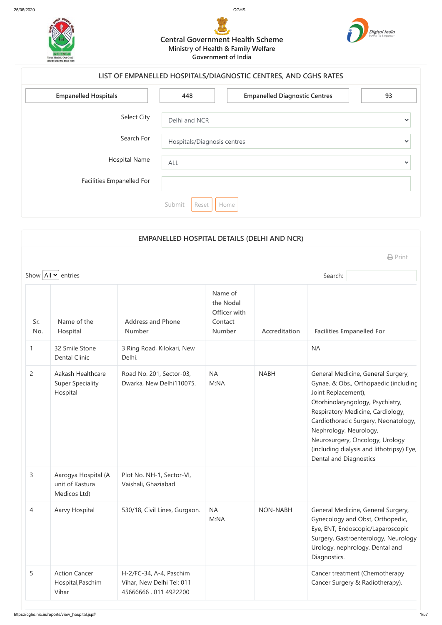

| <b>Empanelled Hospitals</b> | 448                         | <b>Empanelled Diagnostic Centres</b> | 93           |
|-----------------------------|-----------------------------|--------------------------------------|--------------|
| <b>Select City</b>          | Delhi and NCR               |                                      | $\checkmark$ |
| Search For                  | Hospitals/Diagnosis centres |                                      | $\checkmark$ |
| <b>Hospital Name</b>        | ALL                         |                                      | $\checkmark$ |
| Facilities Empanelled For   |                             |                                      |              |
|                             | Submit<br>Reset             | Home                                 |              |

## **Central Government Health Scheme Ministry of Health & Family Welfare Government of India**



## **LIST OF EMPANELLED HOSPITALS/DIAGNOSTIC CENTRES, AND CGHS RATES**

|                |                                                          | <b>EMPANELLED HOSPITAL DETAILS (DELHI AND NCR)</b>                            |                                                                  |                 |                                                                                |                                                                                                                                                                                                                                                                              |
|----------------|----------------------------------------------------------|-------------------------------------------------------------------------------|------------------------------------------------------------------|-----------------|--------------------------------------------------------------------------------|------------------------------------------------------------------------------------------------------------------------------------------------------------------------------------------------------------------------------------------------------------------------------|
|                |                                                          |                                                                               |                                                                  |                 |                                                                                | $\bigoplus$ Print                                                                                                                                                                                                                                                            |
|                | Show $\left $ All $\right $ entries                      |                                                                               |                                                                  |                 | Search:                                                                        |                                                                                                                                                                                                                                                                              |
| Sr.<br>No.     | Name of the<br>Hospital                                  | <b>Address and Phone</b><br><b>Number</b>                                     | Name of<br>the Nodal<br>Officer with<br>Contact<br><b>Number</b> | Accreditation   |                                                                                | <b>Facilities Empanelled For</b>                                                                                                                                                                                                                                             |
| $\mathbf{1}$   | 32 Smile Stone<br><b>Dental Clinic</b>                   | 3 Ring Road, Kilokari, New<br>Delhi.                                          |                                                                  |                 | <b>NA</b>                                                                      |                                                                                                                                                                                                                                                                              |
| $\overline{2}$ | Aakash Healthcare<br><b>Super Speciality</b><br>Hospital | Road No. 201, Sector-03,<br>Dwarka, New Delhi110075.                          | <b>NA</b><br>M:NA                                                | <b>NABH</b>     | Joint Replacement),<br>Nephrology, Neurology,<br><b>Dental and Diagnostics</b> | General Medicine, General Surgery,<br>Gynae. & Obs., Orthopaedic (including<br>Otorhinolaryngology, Psychiatry,<br>Respiratory Medicine, Cardiology,<br>Cardiothoracic Surgery, Neonatology,<br>Neurosurgery, Oncology, Urology<br>(including dialysis and lithotripsy) Eye, |
| 3              | Aarogya Hospital (A<br>unit of Kastura<br>Medicos Ltd)   | Plot No. NH-1, Sector-VI,<br>Vaishali, Ghaziabad                              |                                                                  |                 |                                                                                |                                                                                                                                                                                                                                                                              |
| 4              | Aarvy Hospital                                           | 530/18, Civil Lines, Gurgaon.                                                 | <b>NA</b><br>M:NA                                                | <b>NON-NABH</b> | Diagnostics.                                                                   | General Medicine, General Surgery,<br>Gynecology and Obst, Orthopedic,<br>Eye, ENT, Endoscopic/Laparoscopic<br>Surgery, Gastroenterology, Neurology<br>Urology, nephrology, Dental and                                                                                       |
| 5              | <b>Action Cancer</b><br>Hospital, Paschim<br>Vihar       | H-2/FC-34, A-4, Paschim<br>Vihar, New Delhi Tel: 011<br>45666666, 011 4922200 |                                                                  |                 |                                                                                | Cancer treatment (Chemotherapy<br>Cancer Surgery & Radiotherapy).                                                                                                                                                                                                            |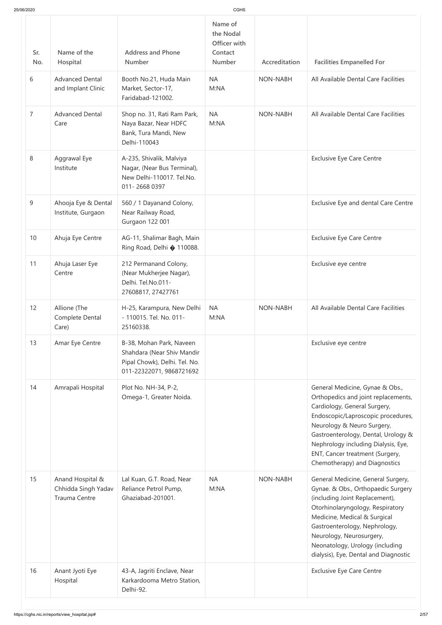| 25/06/2020     |                                                                 |                                                                                                                     | <b>CGHS</b>                                                      |                 |                                                                                                                                                                                                                                                                                                                              |
|----------------|-----------------------------------------------------------------|---------------------------------------------------------------------------------------------------------------------|------------------------------------------------------------------|-----------------|------------------------------------------------------------------------------------------------------------------------------------------------------------------------------------------------------------------------------------------------------------------------------------------------------------------------------|
| Sr.<br>No.     | Name of the<br>Hospital                                         | <b>Address and Phone</b><br><b>Number</b>                                                                           | Name of<br>the Nodal<br>Officer with<br>Contact<br><b>Number</b> | Accreditation   | <b>Facilities Empanelled For</b>                                                                                                                                                                                                                                                                                             |
| 6              | <b>Advanced Dental</b><br>and Implant Clinic                    | Booth No.21, Huda Main<br>Market, Sector-17,<br>Faridabad-121002.                                                   | <b>NA</b><br>M:NA                                                | <b>NON-NABH</b> | All Available Dental Care Facilities                                                                                                                                                                                                                                                                                         |
| $\overline{7}$ | <b>Advanced Dental</b><br>Care                                  | Shop no. 31, Rati Ram Park,<br>Naya Bazar, Near HDFC<br>Bank, Tura Mandi, New<br>Delhi-110043                       | <b>NA</b><br>M:NA                                                | <b>NON-NABH</b> | All Available Dental Care Facilities                                                                                                                                                                                                                                                                                         |
| 8              | Aggrawal Eye<br>Institute                                       | A-235, Shivalik, Malviya<br>Nagar, (Near Bus Terminal),<br>New Delhi-110017. Tel.No.<br>011-2668 0397               |                                                                  |                 | <b>Exclusive Eye Care Centre</b>                                                                                                                                                                                                                                                                                             |
| 9              | Ahooja Eye & Dental<br>Institute, Gurgaon                       | 560 / 1 Dayanand Colony,<br>Near Railway Road,<br><b>Gurgaon 122 001</b>                                            |                                                                  |                 | Exclusive Eye and dental Care Centre                                                                                                                                                                                                                                                                                         |
| 10             | Ahuja Eye Centre                                                | AG-11, Shalimar Bagh, Main<br>Ring Road, Delhi � 110088.                                                            |                                                                  |                 | <b>Exclusive Eye Care Centre</b>                                                                                                                                                                                                                                                                                             |
| 11             | Ahuja Laser Eye<br>Centre                                       | 212 Permanand Colony,<br>(Near Mukherjee Nagar),<br>Delhi. Tel.No.011-<br>27608817, 27427761                        |                                                                  |                 | Exclusive eye centre                                                                                                                                                                                                                                                                                                         |
| 12             | Allione (The<br>Complete Dental<br>Care)                        | H-25, Karampura, New Delhi<br>- 110015. Tel. No. 011-<br>25160338.                                                  | <b>NA</b><br>M:NA                                                | <b>NON-NABH</b> | All Available Dental Care Facilities                                                                                                                                                                                                                                                                                         |
| 13             | Amar Eye Centre                                                 | B-38, Mohan Park, Naveen<br>Shahdara (Near Shiv Mandir<br>Pipal Chowk), Delhi. Tel. No.<br>011-22322071, 9868721692 |                                                                  |                 | Exclusive eye centre                                                                                                                                                                                                                                                                                                         |
| 14             | Amrapali Hospital                                               | Plot No. NH-34, P-2,<br>Omega-1, Greater Noida.                                                                     |                                                                  |                 | General Medicine, Gynae & Obs.,<br>Orthopedics and joint replacements,<br>Cardiology, General Surgery,<br>Endoscopic/Laproscopic procedures,<br>Neurology & Neuro Surgery,<br>Gastroenterology, Dental, Urology &<br>Nephrology including Dialysis, Eye,<br>ENT, Cancer treatment (Surgery,<br>Chemotherapy) and Diagnostics |
| 15             | Anand Hospital &<br>Chhidda Singh Yadav<br><b>Trauma Centre</b> | Lal Kuan, G.T. Road, Near<br>Reliance Petrol Pump,<br>Ghaziabad-201001.                                             | <b>NA</b><br>M:NA                                                | <b>NON-NABH</b> | General Medicine, General Surgery,<br>Gynae. & Obs., Orthopaedic Surgery<br>(including Joint Replacement),<br>Otorhinolaryngology, Respiratory<br>Medicine, Medical & Surgical<br>Gastroenterology, Nephrology,<br>Neurology, Neurosurgery,<br>Neonatology, Urology (including<br>dialysis), Eye, Dental and Diagnostic      |
| 16             | Anant Jyoti Eye<br>Hospital                                     | 43-A, Jagriti Enclave, Near<br>Karkardooma Metro Station,<br>Delhi-92.                                              |                                                                  |                 | <b>Exclusive Eye Care Centre</b>                                                                                                                                                                                                                                                                                             |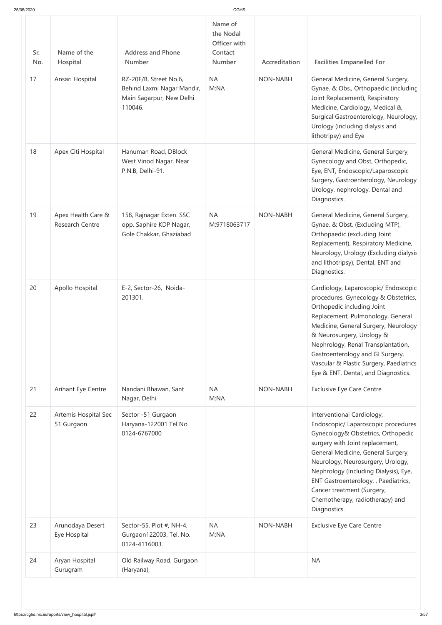| 25/06/2020 |                                              |                                                                                             | <b>CGHS</b>                                                      |                 |                                                                                                                                                                                                                                                                                                                                                                                         |
|------------|----------------------------------------------|---------------------------------------------------------------------------------------------|------------------------------------------------------------------|-----------------|-----------------------------------------------------------------------------------------------------------------------------------------------------------------------------------------------------------------------------------------------------------------------------------------------------------------------------------------------------------------------------------------|
| Sr.<br>No. | Name of the<br>Hospital                      | <b>Address and Phone</b><br><b>Number</b>                                                   | Name of<br>the Nodal<br>Officer with<br>Contact<br><b>Number</b> | Accreditation   | <b>Facilities Empanelled For</b>                                                                                                                                                                                                                                                                                                                                                        |
| 17         | Ansari Hospital                              | RZ-20F/B, Street No.6,<br>Behind Laxmi Nagar Mandir,<br>Main Sagarpur, New Delhi<br>110046. | <b>NA</b><br>M:NA                                                | <b>NON-NABH</b> | General Medicine, General Surgery,<br>Gynae. & Obs., Orthopaedic (including<br>Joint Replacement), Respiratory<br>Medicine, Cardiology, Medical &<br>Surgical Gastroenterology, Neurology,<br>Urology (including dialysis and<br>lithotripsy) and Eye                                                                                                                                   |
| 18         | Apex Citi Hospital                           | Hanuman Road, DBlock<br>West Vinod Nagar, Near<br>P.N.B, Delhi-91.                          |                                                                  |                 | General Medicine, General Surgery,<br>Gynecology and Obst, Orthopedic,<br>Eye, ENT, Endoscopic/Laparoscopic<br>Surgery, Gastroenterology, Neurology<br>Urology, nephrology, Dental and<br>Diagnostics.                                                                                                                                                                                  |
| 19         | Apex Health Care &<br><b>Research Centre</b> | 158, Rajnagar Exten. SSC<br>opp. Saphire KDP Nagar,<br>Gole Chakkar, Ghaziabad              | <b>NA</b><br>M:9718063717                                        | <b>NON-NABH</b> | General Medicine, General Surgery,<br>Gynae. & Obst. (Excluding MTP),<br>Orthopaedic (excluding Joint<br>Replacement), Respiratory Medicine,<br>Neurology, Urology (Excluding dialysis<br>and lithotripsy), Dental, ENT and<br>Diagnostics.                                                                                                                                             |
| 20         | Apollo Hospital                              | E-2, Sector-26, Noida-<br>201301.                                                           |                                                                  |                 | Cardiology, Laparoscopic/ Endoscopic<br>procedures, Gynecology & Obstetrics,<br>Orthopedic including Joint<br>Replacement, Pulmonology, General<br>Medicine, General Surgery, Neurology<br>& Neurosurgery, Urology &<br>Nephrology, Renal Transplantation,<br>Gastroenterology and GI Surgery,<br>Vascular & Plastic Surgery, Paediatrics<br>Eye & ENT, Dental, and Diagnostics.        |
| 21         | Arihant Eye Centre                           | Nandani Bhawan, Sant<br>Nagar, Delhi                                                        | <b>NA</b><br>M:NA                                                | <b>NON-NABH</b> | <b>Exclusive Eye Care Centre</b>                                                                                                                                                                                                                                                                                                                                                        |
| 22         | Artemis Hospital Sec<br>51 Gurgaon           | Sector -51 Gurgaon<br>Haryana-122001 Tel No.<br>0124-6767000                                |                                                                  |                 | Interventional Cardiology,<br>Endoscopic/ Laparoscopic procedures<br>Gynecology& Obstetrics, Orthopedic<br>surgery with Joint replacement,<br>General Medicine, General Surgery,<br>Neurology, Neurosurgery, Urology,<br>Nephrology (Including Dialysis), Eye,<br>ENT Gastroenterology, , Paediatrics,<br>Cancer treatment (Surgery,<br>Chemotherapy, radiotherapy) and<br>Diagnostics. |
| 23         | Arunodaya Desert<br>Eye Hospital             | Sector-55, Plot #, NH-4,<br>Gurgaon122003. Tel. No.<br>0124-4116003.                        | <b>NA</b><br>M:NA                                                | <b>NON-NABH</b> | <b>Exclusive Eye Care Centre</b>                                                                                                                                                                                                                                                                                                                                                        |
| 24         | Aryan Hospital<br>Gurugram                   | Old Railway Road, Gurgaon<br>(Haryana),                                                     |                                                                  |                 | <b>NA</b>                                                                                                                                                                                                                                                                                                                                                                               |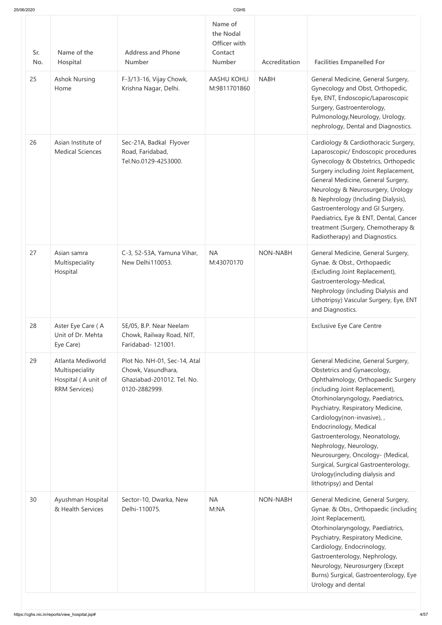| 25/06/2020 |                                                                                     |                                                                                                   | CGHS                                                             |                 |                                                                                                                                                                                                                                                                                                                                                                                                                                                                                    |
|------------|-------------------------------------------------------------------------------------|---------------------------------------------------------------------------------------------------|------------------------------------------------------------------|-----------------|------------------------------------------------------------------------------------------------------------------------------------------------------------------------------------------------------------------------------------------------------------------------------------------------------------------------------------------------------------------------------------------------------------------------------------------------------------------------------------|
| Sr.<br>No. | Name of the<br>Hospital                                                             | <b>Address and Phone</b><br><b>Number</b>                                                         | Name of<br>the Nodal<br>Officer with<br>Contact<br><b>Number</b> | Accreditation   | <b>Facilities Empanelled For</b>                                                                                                                                                                                                                                                                                                                                                                                                                                                   |
| 25         | <b>Ashok Nursing</b><br>Home                                                        | F-3/13-16, Vijay Chowk,<br>Krishna Nagar, Delhi.                                                  | <b>AASHU KOHLI</b><br>M:9811701860                               | <b>NABH</b>     | General Medicine, General Surgery,<br>Gynecology and Obst, Orthopedic,<br>Eye, ENT, Endoscopic/Laparoscopic<br>Surgery, Gastroenterology,<br>Pulmonology, Neurology, Urology,<br>nephrology, Dental and Diagnostics.                                                                                                                                                                                                                                                               |
| 26         | Asian Institute of<br><b>Medical Sciences</b>                                       | Sec-21A, Badkal Flyover<br>Road, Faridabad,<br>Tel.No.0129-4253000.                               |                                                                  |                 | Cardiology & Cardiothoracic Surgery,<br>Laparoscopic/ Endoscopic procedures<br>Gynecology & Obstetrics, Orthopedic<br>Surgery including Joint Replacement,<br>General Medicine, General Surgery,<br>Neurology & Neurosurgery, Urology<br>& Nephrology (Including Dialysis),<br>Gastroenterology and GI Surgery,<br>Paediatrics, Eye & ENT, Dental, Cancer<br>treatment (Surgery, Chemotherapy &<br>Radiotherapy) and Diagnostics.                                                  |
| 27         | Asian samra<br>Multispeciality<br>Hospital                                          | C-3, 52-53A, Yamuna Vihar,<br>New Delhi110053.                                                    | <b>NA</b><br>M:43070170                                          | <b>NON-NABH</b> | General Medicine, General Surgery,<br>Gynae. & Obst., Orthopaedic<br>(Excluding Joint Replacement),<br>Gastroenterology-Medical,<br>Nephrology (including Dialysis and<br>Lithotripsy) Vascular Surgery, Eye, ENT<br>and Diagnostics.                                                                                                                                                                                                                                              |
| 28         | Aster Eye Care (A<br>Unit of Dr. Mehta<br>Eye Care)                                 | 5E/05, B.P. Near Neelam<br>Chowk, Railway Road, NIT,<br>Faridabad- 121001.                        |                                                                  |                 | <b>Exclusive Eye Care Centre</b>                                                                                                                                                                                                                                                                                                                                                                                                                                                   |
| 29         | Atlanta Mediworld<br>Multispeciality<br>Hospital (A unit of<br><b>RRM Services)</b> | Plot No. NH-01, Sec-14, Atal<br>Chowk, Vasundhara,<br>Ghaziabad-201012. Tel. No.<br>0120-2882999. |                                                                  |                 | General Medicine, General Surgery,<br>Obstetrics and Gynaecology,<br>Ophthalmology, Orthopaedic Surgery<br>(including Joint Replacement),<br>Otorhinolaryngology, Paediatrics,<br>Psychiatry, Respiratory Medicine,<br>Cardiology(non-invasive), ,<br>Endocrinology, Medical<br>Gastroenterology, Neonatology,<br>Nephrology, Neurology,<br>Neurosurgery, Oncology- (Medical,<br>Surgical, Surgical Gastroenterology,<br>Urology(including dialysis and<br>lithotripsy) and Dental |
| 30         | Ayushman Hospital<br>& Health Services                                              | Sector-10, Dwarka, New<br>Delhi-110075.                                                           | <b>NA</b><br>M:NA                                                | <b>NON-NABH</b> | General Medicine, General Surgery,<br>Gynae. & Obs., Orthopaedic (including<br>Joint Replacement),<br>Otorhinolaryngology, Paediatrics,<br>Psychiatry, Respiratory Medicine,<br>Cardiology, Endocrinology,<br>Gastroenterology, Nephrology,<br>Neurology, Neurosurgery (Except<br>Burns) Surgical, Gastroenterology, Eye<br>Urology and dental                                                                                                                                     |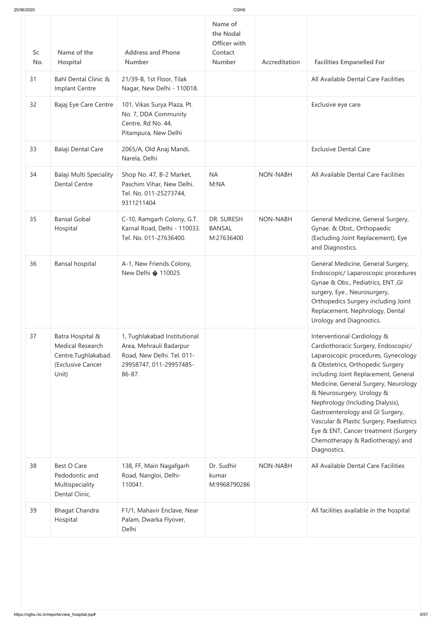| Sr. | Name of the                                                                                       | <b>Address and Phone</b>                                                                                                   | Name of<br>the Nodal<br>Officer with<br>Contact |                 |                                                                                                                                                                                                                                                                                                                                                                                                                                                                           |
|-----|---------------------------------------------------------------------------------------------------|----------------------------------------------------------------------------------------------------------------------------|-------------------------------------------------|-----------------|---------------------------------------------------------------------------------------------------------------------------------------------------------------------------------------------------------------------------------------------------------------------------------------------------------------------------------------------------------------------------------------------------------------------------------------------------------------------------|
| No. | Hospital                                                                                          | <b>Number</b>                                                                                                              | <b>Number</b>                                   | Accreditation   | <b>Facilities Empanelled For</b>                                                                                                                                                                                                                                                                                                                                                                                                                                          |
| 31  | <b>Bahl Dental Clinic &amp;</b><br>Implant Centre                                                 | 21/39-B, 1st Floor, Tilak<br>Nagar, New Delhi - 110018.                                                                    |                                                 |                 | All Available Dental Care Facilities                                                                                                                                                                                                                                                                                                                                                                                                                                      |
| 32  | Bajaj Eye Care Centre                                                                             | 101, Vikas Surya Plaza, Pt.<br>No. 7, DDA Community<br>Centre, Rd No. 44,<br>Pitampura, New Delhi                          |                                                 |                 | Exclusive eye care                                                                                                                                                                                                                                                                                                                                                                                                                                                        |
| 33  | Balaji Dental Care                                                                                | 2065/A, Old Anaj Mandi,<br>Narela, Delhi                                                                                   |                                                 |                 | <b>Exclusive Dental Care</b>                                                                                                                                                                                                                                                                                                                                                                                                                                              |
| 34  | Balaji Multi Speciality<br><b>Dental Centre</b>                                                   | Shop No. 47, B-2 Market,<br>Paschim Vihar, New Delhi.<br>Tel. No. 011-25273744,<br>9311211404                              | <b>NA</b><br>M:NA                               | <b>NON-NABH</b> | All Available Dental Care Facilities                                                                                                                                                                                                                                                                                                                                                                                                                                      |
| 35  | <b>Bansal Gobal</b><br>Hospital                                                                   | C-10, Ramgarh Colony, G.T.<br>Karnal Road, Delhi - 110033.<br>Tel. No. 011-27636400.                                       | DR. SURESH<br><b>BANSAL</b><br>M:27636400       | <b>NON-NABH</b> | General Medicine, General Surgery,<br>Gynae. & Obst., Orthopaedic<br>(Excluding Joint Replacement), Eye<br>and Diagnostics.                                                                                                                                                                                                                                                                                                                                               |
| 36  | Bansal hospital                                                                                   | A-1, New Friends Colony,<br>New Delhi � 110025                                                                             |                                                 |                 | General Medicine, General Surgery,<br>Endoscopic/ Laparoscopic procedures<br>Gynae & Obs., Pediatrics, ENT, GI<br>surgery, Eye, Neurosurgery,<br>Orthopedics Surgery including Joint<br>Replacement, Nephrology, Dental<br>Urology and Diagnostics.                                                                                                                                                                                                                       |
| 37  | Batra Hospital &<br><b>Medical Research</b><br>Centre, Tughlakabad.<br>(Exclusive Cancer<br>Unit) | 1, Tughlakabad Institutional<br>Area, Mehrauli Badarpur<br>Road, New Delhi. Tel. 011-<br>29958747, 011-29957485-<br>86-87. |                                                 |                 | Interventional Cardiology &<br>Cardiothoracic Surgery, Endoscopic/<br>Laparoscopic procedures, Gynecology<br>& Obstetrics, Orthopedic Surgery<br>including Joint Replacement, General<br>Medicine, General Surgery, Neurology<br>& Neurosurgery, Urology &<br>Nephrology (Including Dialysis),<br>Gastroenterology and GI Surgery,<br>Vascular & Plastic Surgery, Paediatrics<br>Eye & ENT, Cancer treatment (Surgery<br>Chemotherapy & Radiotherapy) and<br>Diagnostics. |
| 38  | <b>Best O Care</b><br>Pedodontic and<br>Multispeciality<br>Dental Clinic,                         | 138, FF, Main Nagafgarh<br>Road, Nangloi, Delhi-<br>110041.                                                                | Dr. Sudhir<br>kumar<br>M:9968790286             | <b>NON-NABH</b> | All Available Dental Care Facilities                                                                                                                                                                                                                                                                                                                                                                                                                                      |
| 39  | <b>Bhagat Chandra</b><br>Hospital                                                                 | F1/1, Mahavir Enclave, Near<br>Palam, Dwarka Flyover,<br>Delhi                                                             |                                                 |                 | All facilities available in the hospital                                                                                                                                                                                                                                                                                                                                                                                                                                  |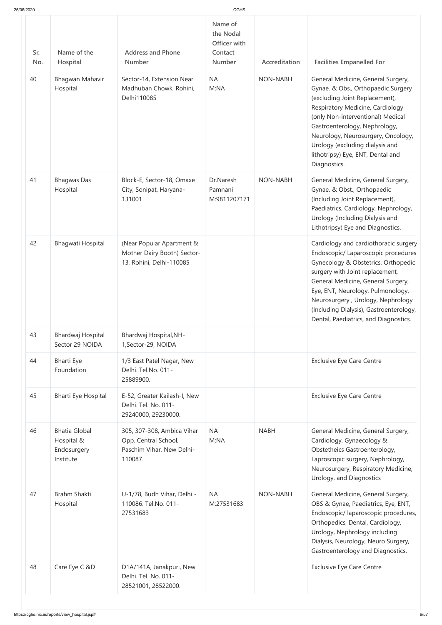| 25/06/2020 |  |
|------------|--|

| 25/06/2020 |                                                                |                                                                                            | <b>CGHS</b>                                                      |                 |                                                                                                                                                                                                                                                                                                                                                            |
|------------|----------------------------------------------------------------|--------------------------------------------------------------------------------------------|------------------------------------------------------------------|-----------------|------------------------------------------------------------------------------------------------------------------------------------------------------------------------------------------------------------------------------------------------------------------------------------------------------------------------------------------------------------|
| Sr.<br>No. | Name of the<br>Hospital                                        | <b>Address and Phone</b><br><b>Number</b>                                                  | Name of<br>the Nodal<br>Officer with<br>Contact<br><b>Number</b> | Accreditation   | <b>Facilities Empanelled For</b>                                                                                                                                                                                                                                                                                                                           |
| 40         | Bhagwan Mahavir<br>Hospital                                    | Sector-14, Extension Near<br>Madhuban Chowk, Rohini,<br>Delhi110085                        | <b>NA</b><br>M:NA                                                | <b>NON-NABH</b> | General Medicine, General Surgery,<br>Gynae. & Obs., Orthopaedic Surgery<br>(excluding Joint Replacement),<br>Respiratory Medicine, Cardiology<br>(only Non-interventional) Medical<br>Gastroenterology, Nephrology,<br>Neurology, Neurosurgery, Oncology,<br>Urology (excluding dialysis and<br>lithotripsy) Eye, ENT, Dental and<br>Diagnostics.         |
| 41         | <b>Bhagwas Das</b><br>Hospital                                 | Block-E, Sector-18, Omaxe<br>City, Sonipat, Haryana-<br>131001                             | Dr.Naresh<br>Pamnani<br>M:9811207171                             | <b>NON-NABH</b> | General Medicine, General Surgery,<br>Gynae. & Obst., Orthopaedic<br>(Including Joint Replacement),<br>Paediatrics, Cardiology, Nephrology,<br>Urology (Including Dialysis and<br>Lithotripsy) Eye and Diagnostics.                                                                                                                                        |
| 42         | Bhagwati Hospital                                              | (Near Popular Apartment &<br>Mother Dairy Booth) Sector-<br>13, Rohini, Delhi-110085       |                                                                  |                 | Cardiology and cardiothoracic surgery<br>Endoscopic/ Laparoscopic procedures<br>Gynecology & Obstetrics, Orthopedic<br>surgery with Joint replacement,<br>General Medicine, General Surgery,<br>Eye, ENT, Neurology, Pulmonology,<br>Neurosurgery, Urology, Nephrology<br>(Including Dialysis), Gastroenterology,<br>Dental, Paediatrics, and Diagnostics. |
| 43         | Bhardwaj Hospital<br>Sector 29 NOIDA                           | Bhardwaj Hospital, NH-<br>1, Sector-29, NOIDA                                              |                                                                  |                 |                                                                                                                                                                                                                                                                                                                                                            |
| 44         | Bharti Eye<br>Foundation                                       | 1/3 East Patel Nagar, New<br>Delhi. Tel.No. 011-<br>25889900.                              |                                                                  |                 | <b>Exclusive Eye Care Centre</b>                                                                                                                                                                                                                                                                                                                           |
| 45         | Bharti Eye Hospital                                            | E-52, Greater Kailash-I, New<br>Delhi. Tel. No. 011-<br>29240000, 29230000.                |                                                                  |                 | <b>Exclusive Eye Care Centre</b>                                                                                                                                                                                                                                                                                                                           |
| 46         | <b>Bhatia Global</b><br>Hospital &<br>Endosurgery<br>Institute | 305, 307-308, Ambica Vihar<br>Opp. Central School,<br>Paschim Vihar, New Delhi-<br>110087. | <b>NA</b><br>M:NA                                                | <b>NABH</b>     | General Medicine, General Surgery,<br>Cardiology, Gynaecology &<br>Obstetheics Gastroenterology,<br>Laproscopic surgery, Nephrology,<br>Neurosurgery, Respiratory Medicine,<br>Urology, and Diagnostics                                                                                                                                                    |
| 47         | <b>Brahm Shakti</b><br>Hospital                                | U-1/78, Budh Vihar, Delhi -<br>110086. Tel.No. 011-<br>27531683                            | <b>NA</b><br>M:27531683                                          | <b>NON-NABH</b> | General Medicine, General Surgery,<br>OBS & Gynae, Paediatrics, Eye, ENT,<br>Endoscopic/ laparoscopic procedures,<br>Orthopedics, Dental, Cardiology,<br>Urology, Nephrology including<br>Dialysis, Neurology, Neuro Surgery,<br>Gastroenterology and Diagnostics.                                                                                         |
| 48         | Care Eye C &D                                                  | D1A/141A, Janakpuri, New<br>Delhi. Tel. No. 011-<br>28521001, 28522000.                    |                                                                  |                 | <b>Exclusive Eye Care Centre</b>                                                                                                                                                                                                                                                                                                                           |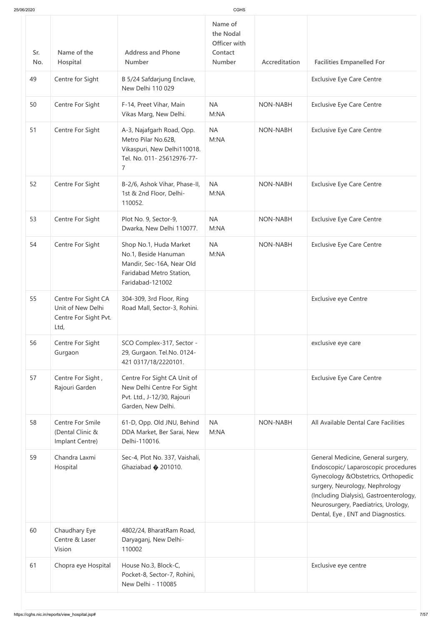| 25/06/2020 |                                                                           |                                                                                                                                | <b>CGHS</b>                                               |                 |                                                                                                                                                                                                                                                                           |
|------------|---------------------------------------------------------------------------|--------------------------------------------------------------------------------------------------------------------------------|-----------------------------------------------------------|-----------------|---------------------------------------------------------------------------------------------------------------------------------------------------------------------------------------------------------------------------------------------------------------------------|
| Sr.<br>No. | Name of the<br>Hospital                                                   | <b>Address and Phone</b><br><b>Number</b>                                                                                      | Name of<br>the Nodal<br>Officer with<br>Contact<br>Number | Accreditation   | <b>Facilities Empanelled For</b>                                                                                                                                                                                                                                          |
| 49         | Centre for Sight                                                          | B 5/24 Safdarjung Enclave,<br>New Delhi 110 029                                                                                |                                                           |                 | <b>Exclusive Eye Care Centre</b>                                                                                                                                                                                                                                          |
| 50         | Centre For Sight                                                          | F-14, Preet Vihar, Main<br>Vikas Marg, New Delhi.                                                                              | <b>NA</b><br>M:NA                                         | <b>NON-NABH</b> | <b>Exclusive Eye Care Centre</b>                                                                                                                                                                                                                                          |
| 51         | Centre For Sight                                                          | A-3, Najafgarh Road, Opp.<br>Metro Pilar No.62B,<br>Vikaspuri, New Delhi110018.<br>Tel. No. 011-25612976-77-<br>$\overline{7}$ | <b>NA</b><br>M:NA                                         | <b>NON-NABH</b> | <b>Exclusive Eye Care Centre</b>                                                                                                                                                                                                                                          |
| 52         | Centre For Sight                                                          | B-2/6, Ashok Vihar, Phase-II,<br>1st & 2nd Floor, Delhi-<br>110052.                                                            | <b>NA</b><br>M:NA                                         | <b>NON-NABH</b> | <b>Exclusive Eye Care Centre</b>                                                                                                                                                                                                                                          |
| 53         | Centre For Sight                                                          | Plot No. 9, Sector-9,<br>Dwarka, New Delhi 110077.                                                                             | <b>NA</b><br>M:NA                                         | <b>NON-NABH</b> | <b>Exclusive Eye Care Centre</b>                                                                                                                                                                                                                                          |
| 54         | Centre For Sight                                                          | Shop No.1, Huda Market<br>No.1, Beside Hanuman<br>Mandir, Sec-16A, Near Old<br>Faridabad Metro Station,<br>Faridabad-121002    | <b>NA</b><br>M:NA                                         | NON-NABH        | <b>Exclusive Eye Care Centre</b>                                                                                                                                                                                                                                          |
| 55         | Centre For Sight CA<br>Unit of New Delhi<br>Centre For Sight Pvt.<br>Ltd, | 304-309, 3rd Floor, Ring<br>Road Mall, Sector-3, Rohini.                                                                       |                                                           |                 | <b>Exclusive eye Centre</b>                                                                                                                                                                                                                                               |
| 56         | Centre For Sight<br>Gurgaon                                               | SCO Complex-317, Sector -<br>29, Gurgaon. Tel.No. 0124-<br>421 0317/18/2220101.                                                |                                                           |                 | exclusive eye care                                                                                                                                                                                                                                                        |
| 57         | Centre For Sight,<br>Rajouri Garden                                       | Centre For Sight CA Unit of<br>New Delhi Centre For Sight<br>Pvt. Ltd., J-12/30, Rajouri<br>Garden, New Delhi.                 |                                                           |                 | <b>Exclusive Eye Care Centre</b>                                                                                                                                                                                                                                          |
| 58         | <b>Centre For Smile</b><br>(Dental Clinic &<br>Implant Centre)            | 61-D, Opp. Old JNU, Behind<br>DDA Market, Ber Sarai, New<br>Delhi-110016.                                                      | <b>NA</b><br>M:NA                                         | <b>NON-NABH</b> | All Available Dental Care Facilities                                                                                                                                                                                                                                      |
| 59         | Chandra Laxmi<br>Hospital                                                 | Sec-4, Plot No. 337, Vaishali,<br>Ghaziabad $\bigcirc$ 201010.                                                                 |                                                           |                 | General Medicine, General surgery,<br>Endoscopic/ Laparoscopic procedures<br>Gynecology & Obstetrics, Orthopedic<br>surgery, Neurology, Nephrology<br>(Including Dialysis), Gastroenterology,<br>Neurosurgery, Paediatrics, Urology,<br>Dental, Eye, ENT and Diagnostics. |
| 60         | Chaudhary Eye<br>Centre & Laser<br>Vision                                 | 4802/24, BharatRam Road,<br>Daryaganj, New Delhi-<br>110002                                                                    |                                                           |                 |                                                                                                                                                                                                                                                                           |
| 61         | Chopra eye Hospital                                                       | House No.3, Block-C,<br>Pocket-8, Sector-7, Rohini,<br>New Delhi - 110085                                                      |                                                           |                 | Exclusive eye centre                                                                                                                                                                                                                                                      |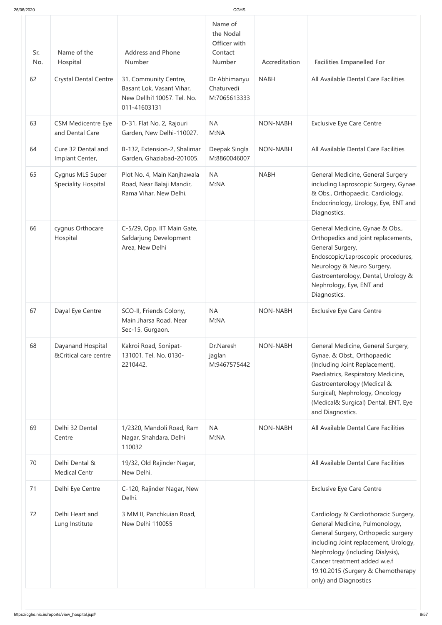| 25/06/2020 |                                                |                                                                                                  | CGHS                                                             |                 |                                                                                                                                                                                                                                                                                           |
|------------|------------------------------------------------|--------------------------------------------------------------------------------------------------|------------------------------------------------------------------|-----------------|-------------------------------------------------------------------------------------------------------------------------------------------------------------------------------------------------------------------------------------------------------------------------------------------|
| Sr.<br>No. | Name of the<br>Hospital                        | <b>Address and Phone</b><br><b>Number</b>                                                        | Name of<br>the Nodal<br>Officer with<br>Contact<br><b>Number</b> | Accreditation   | <b>Facilities Empanelled For</b>                                                                                                                                                                                                                                                          |
| 62         | <b>Crystal Dental Centre</b>                   | 31, Community Centre,<br>Basant Lok, Vasant Vihar,<br>New Dellhi110057. Tel. No.<br>011-41603131 | Dr Abhimanyu<br>Chaturvedi<br>M:7065613333                       | <b>NABH</b>     | All Available Dental Care Facilities                                                                                                                                                                                                                                                      |
| 63         | <b>CSM Medicentre Eye</b><br>and Dental Care   | D-31, Flat No. 2, Rajouri<br>Garden, New Delhi-110027.                                           | <b>NA</b><br>M:NA                                                | <b>NON-NABH</b> | <b>Exclusive Eye Care Centre</b>                                                                                                                                                                                                                                                          |
| 64         | Cure 32 Dental and<br>Implant Center,          | B-132, Extension-2, Shalimar<br>Garden, Ghaziabad-201005.                                        | Deepak Singla<br>M:8860046007                                    | <b>NON-NABH</b> | All Available Dental Care Facilities                                                                                                                                                                                                                                                      |
| 65         | Cygnus MLS Super<br><b>Speciality Hospital</b> | Plot No. 4, Main Kanjhawala<br>Road, Near Balaji Mandir,<br>Rama Vihar, New Delhi.               | <b>NA</b><br>M:NA                                                | <b>NABH</b>     | General Medicine, General Surgery<br>including Laproscopic Surgery, Gynae.<br>& Obs., Orthopaedic, Cardiology,<br>Endocrinology, Urology, Eye, ENT and<br>Diagnostics.                                                                                                                    |
| 66         | cygnus Orthocare<br>Hospital                   | C-5/29, Opp. IIT Main Gate,<br>Safdarjung Development<br>Area, New Delhi                         |                                                                  |                 | General Medicine, Gynae & Obs.,<br>Orthopedics and joint replacements,<br>General Surgery,<br>Endoscopic/Laproscopic procedures,<br>Neurology & Neuro Surgery,<br>Gastroenterology, Dental, Urology &<br>Nephrology, Eye, ENT and<br>Diagnostics.                                         |
| 67         | Dayal Eye Centre                               | SCO-II, Friends Colony,<br>Main Jharsa Road, Near<br>Sec-15, Gurgaon.                            | <b>NA</b><br>M:NA                                                | <b>NON-NABH</b> | <b>Exclusive Eye Care Centre</b>                                                                                                                                                                                                                                                          |
| 68         | Dayanand Hospital<br>&Critical care centre     | Kakroi Road, Sonipat-<br>131001. Tel. No. 0130-<br>2210442.                                      | Dr.Naresh<br>jaglan<br>M:9467575442                              | <b>NON-NABH</b> | General Medicine, General Surgery,<br>Gynae. & Obst., Orthopaedic<br>(Including Joint Replacement),<br>Paediatrics, Respiratory Medicine,<br>Gastroenterology (Medical &<br>Surgical), Nephrology, Oncology<br>(Medical& Surgical) Dental, ENT, Eye<br>and Diagnostics.                   |
| 69         | Delhi 32 Dental<br>Centre                      | 1/2320, Mandoli Road, Ram<br>Nagar, Shahdara, Delhi<br>110032                                    | <b>NA</b><br>M:NA                                                | <b>NON-NABH</b> | All Available Dental Care Facilities                                                                                                                                                                                                                                                      |
| 70         | Delhi Dental &<br><b>Medical Centr</b>         | 19/32, Old Rajinder Nagar,<br>New Delhi.                                                         |                                                                  |                 | All Available Dental Care Facilities                                                                                                                                                                                                                                                      |
| 71         | Delhi Eye Centre                               | C-120, Rajinder Nagar, New<br>Delhi.                                                             |                                                                  |                 | <b>Exclusive Eye Care Centre</b>                                                                                                                                                                                                                                                          |
| 72         | Delhi Heart and<br>Lung Institute              | 3 MM II, Panchkuian Road,<br>New Delhi 110055                                                    |                                                                  |                 | Cardiology & Cardiothoracic Surgery,<br>General Medicine, Pulmonology,<br>General Surgery, Orthopedic surgery<br>including Joint replacement, Urology,<br>Nephrology (including Dialysis),<br>Cancer treatment added w.e.f<br>19.10.2015 (Surgery & Chemotherapy<br>only) and Diagnostics |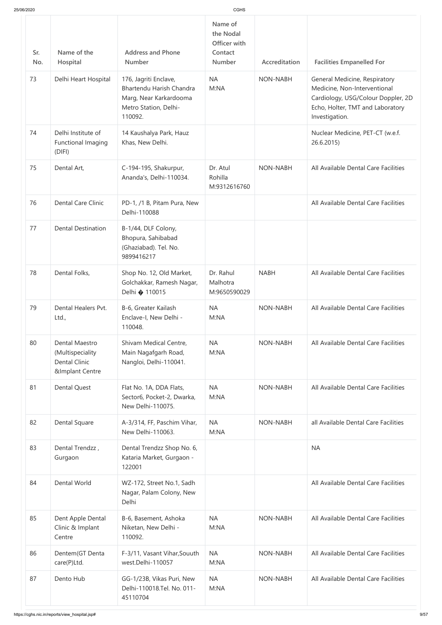| 25/06/2020 |                                                                                          |                                                                                                                 | <b>CGHS</b>                                                      |                 |                                                                                                                                                           |
|------------|------------------------------------------------------------------------------------------|-----------------------------------------------------------------------------------------------------------------|------------------------------------------------------------------|-----------------|-----------------------------------------------------------------------------------------------------------------------------------------------------------|
| Sr.<br>No. | Name of the<br>Hospital                                                                  | <b>Address and Phone</b><br><b>Number</b>                                                                       | Name of<br>the Nodal<br>Officer with<br>Contact<br><b>Number</b> | Accreditation   | <b>Facilities Empanelled For</b>                                                                                                                          |
| 73         | Delhi Heart Hospital                                                                     | 176, Jagriti Enclave,<br>Bhartendu Harish Chandra<br>Marg, Near Karkardooma<br>Metro Station, Delhi-<br>110092. | <b>NA</b><br>M:NA                                                | <b>NON-NABH</b> | General Medicine, Respiratory<br>Medicine, Non-Interventional<br>Cardiology, USG/Colour Doppler, 2D<br>Echo, Holter, TMT and Laboratory<br>Investigation. |
| 74         | Delhi Institute of<br>Functional Imaging<br>(DIFI)                                       | 14 Kaushalya Park, Hauz<br>Khas, New Delhi.                                                                     |                                                                  |                 | Nuclear Medicine, PET-CT (w.e.f.<br>26.6.2015)                                                                                                            |
| 75         | Dental Art,                                                                              | C-194-195, Shakurpur,<br>Ananda's, Delhi-110034.                                                                | Dr. Atul<br>Rohilla<br>M:9312616760                              | <b>NON-NABH</b> | All Available Dental Care Facilities                                                                                                                      |
| 76         | <b>Dental Care Clinic</b>                                                                | PD-1, /1 B, Pitam Pura, New<br>Delhi-110088                                                                     |                                                                  |                 | All Available Dental Care Facilities                                                                                                                      |
| 77         | <b>Dental Destination</b>                                                                | B-1/44, DLF Colony,<br>Bhopura, Sahibabad<br>(Ghaziabad). Tel. No.<br>9899416217                                |                                                                  |                 |                                                                                                                                                           |
| 78         | Dental Folks,                                                                            | Shop No. 12, Old Market,<br>Golchakkar, Ramesh Nagar,<br>Delhi � 110015                                         | Dr. Rahul<br>Malhotra<br>M:9650590029                            | <b>NABH</b>     | All Available Dental Care Facilities                                                                                                                      |
| 79         | Dental Healers Pvt.<br>Ltd.,                                                             | B-6, Greater Kailash<br>Enclave-I, New Delhi -<br>110048.                                                       | <b>NA</b><br>M:NA                                                | <b>NON-NABH</b> | All Available Dental Care Facilities                                                                                                                      |
| 80         | Dental Maestro<br>(Multispeciality<br><b>Dental Clinic</b><br><b>&amp;Implant Centre</b> | Shivam Medical Centre,<br>Main Nagafgarh Road,<br>Nangloi, Delhi-110041.                                        | <b>NA</b><br>M:NA                                                | <b>NON-NABH</b> | All Available Dental Care Facilities                                                                                                                      |
| 81         | <b>Dental Quest</b>                                                                      | Flat No. 1A, DDA Flats,<br>Sector6, Pocket-2, Dwarka,<br>New Delhi-110075.                                      | <b>NA</b><br>M:NA                                                | <b>NON-NABH</b> | All Available Dental Care Facilities                                                                                                                      |
| 82         | Dental Square                                                                            | A-3/314, FF, Paschim Vihar,<br>New Delhi-110063.                                                                | <b>NA</b><br>M:NA                                                | <b>NON-NABH</b> | all Available Dental Care Facilities                                                                                                                      |
| 83         | Dental Trendzz,<br>Gurgaon                                                               | Dental Trendzz Shop No. 6,<br>Kataria Market, Gurgaon -<br>122001                                               |                                                                  |                 | <b>NA</b>                                                                                                                                                 |
| 84         | Dental World                                                                             | WZ-172, Street No.1, Sadh<br>Nagar, Palam Colony, New<br>Delhi                                                  |                                                                  |                 | All Available Dental Care Facilities                                                                                                                      |
| 85         | Dent Apple Dental<br>Clinic & Implant<br>Centre                                          | B-6, Basement, Ashoka<br>Niketan, New Delhi -<br>110092.                                                        | <b>NA</b><br>M:NA                                                | <b>NON-NABH</b> | All Available Dental Care Facilities                                                                                                                      |
| 86         | Dentem (GT Denta<br>care(P)Ltd.                                                          | F-3/11, Vasant Vihar, Souuth<br>west.Delhi-110057                                                               | <b>NA</b><br>M:NA                                                | <b>NON-NABH</b> | All Available Dental Care Facilities                                                                                                                      |
| 87         | Dento Hub                                                                                | GG-1/23B, Vikas Puri, New<br>Delhi-110018.Tel. No. 011-<br>45110704                                             | <b>NA</b><br>M:NA                                                | <b>NON-NABH</b> | All Available Dental Care Facilities                                                                                                                      |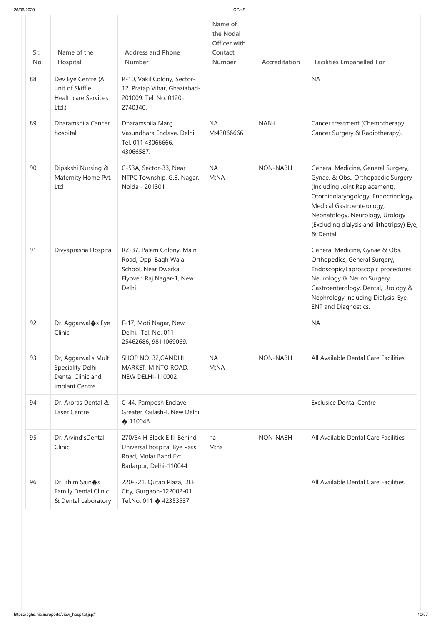| Sr.<br>No. | Name of the<br>Hospital                                                         | <b>Address and Phone</b><br><b>Number</b>                                                                       | Officer with<br>Contact<br><b>Number</b> | Accreditation | <b>Facilities Empanelled For</b>                                                                                                                                                                                                                                           |
|------------|---------------------------------------------------------------------------------|-----------------------------------------------------------------------------------------------------------------|------------------------------------------|---------------|----------------------------------------------------------------------------------------------------------------------------------------------------------------------------------------------------------------------------------------------------------------------------|
| 88         | Dev Eye Centre (A<br>unit of Skiffle<br><b>Healthcare Services</b><br>Ltd.)     | R-10, Vakil Colony, Sector-<br>12, Pratap Vihar, Ghaziabad-<br>201009. Tel. No. 0120-<br>2740340.               |                                          |               | <b>NA</b>                                                                                                                                                                                                                                                                  |
| 89         | Dharamshila Cancer<br>hospital                                                  | Dharamshila Marg<br>Vasundhara Enclave, Delhi<br>Tel. 011 43066666,<br>43066587.                                | <b>NA</b><br>M:43066666                  | <b>NABH</b>   | Cancer treatment (Chemotherapy<br>Cancer Surgery & Radiotherapy).                                                                                                                                                                                                          |
| 90         | Dipakshi Nursing &<br>Maternity Home Pvt.<br>Ltd                                | C-53A, Sector-33, Near<br>NTPC Township, G.B. Nagar,<br>Noida - 201301                                          | <b>NA</b><br>M:NA                        | NON-NABH      | General Medicine, General Surgery,<br>Gynae. & Obs., Orthopaedic Surgery<br>(Including Joint Replacement),<br>Otorhinolaryngology, Endocrinology,<br>Medical Gastroenterology,<br>Neonatology, Neurology, Urology<br>(Excluding dialysis and lithotripsy) Eye<br>& Dental. |
| 91         | Divyaprasha Hospital                                                            | RZ-37, Palam Colony, Main<br>Road, Opp. Bagh Wala<br>School, Near Dwarka<br>Flyover, Raj Nagar-1, New<br>Delhi. |                                          |               | General Medicine, Gynae & Obs.,<br>Orthopedics, General Surgery,<br>Endoscopic/Laproscopic procedures,<br>Neurology & Neuro Surgery,<br>Gastroenterology, Dental, Urology &<br>Nephrology including Dialysis, Eye,<br><b>ENT and Diagnostics.</b>                          |
| 92         | Dr. Aggarwal <sup>o</sup> s Eye<br>Clinic                                       | F-17, Moti Nagar, New<br>Delhi. Tel. No. 011-<br>25462686, 9811069069.                                          |                                          |               | <b>NA</b>                                                                                                                                                                                                                                                                  |
| 93         | Dr, Aggarwal's Multi<br>Speciality Delhi<br>Dental Clinic and<br>implant Centre | SHOP NO. 32, GANDHI<br>MARKET, MINTO ROAD,<br><b>NEW DELHI-110002</b>                                           | <b>NA</b><br>M:NA                        | NON-NABH      | All Available Dental Care Facilities                                                                                                                                                                                                                                       |
| 94         | Dr. Aroras Dental &<br>Laser Centre                                             | C-44, Pamposh Enclave,<br>Greater Kailash-I, New Delhi<br>$\bullet$ 110048                                      |                                          |               | <b>Exclusice Dental Centre</b>                                                                                                                                                                                                                                             |
| 95         | Dr. Arvind'sDental<br>Clinic                                                    | 270/54 H Block E III Behind<br>Universal hospital Bye Pass<br>Road, Molar Band Ext.<br>Badarpur, Delhi-110044   | na<br>M:na                               | NON-NABH      | All Available Dental Care Facilities                                                                                                                                                                                                                                       |
| 96         | Dr. Bhim Sain�s<br><b>Family Dental Clinic</b><br>& Dental Laboratory           | 220-221, Qutab Plaza, DLF<br>City, Gurgaon-122002-01.<br>Tel.No. 011 $\bullet$ 42353537.                        |                                          |               | All Available Dental Care Facilities                                                                                                                                                                                                                                       |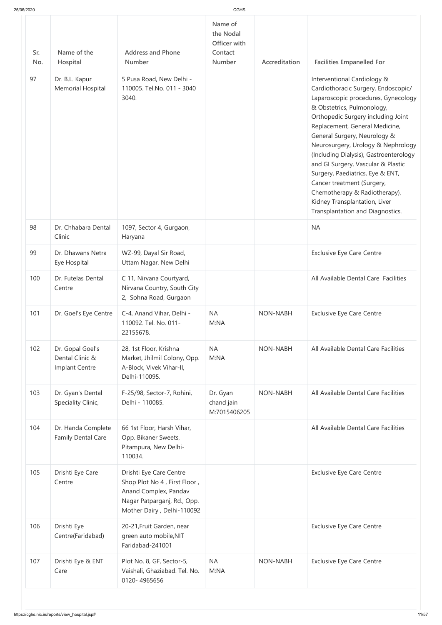|  | 25/06/2020 |  |
|--|------------|--|
|  |            |  |

| 25/06/2020 |                                                       |                                                                                                                                               | CGHS                                                             |                 |                                                                                                                                                                                                                                                                                                                                                                                                                                                                                                                                               |
|------------|-------------------------------------------------------|-----------------------------------------------------------------------------------------------------------------------------------------------|------------------------------------------------------------------|-----------------|-----------------------------------------------------------------------------------------------------------------------------------------------------------------------------------------------------------------------------------------------------------------------------------------------------------------------------------------------------------------------------------------------------------------------------------------------------------------------------------------------------------------------------------------------|
| Sr.<br>No. | Name of the<br>Hospital                               | <b>Address and Phone</b><br><b>Number</b>                                                                                                     | Name of<br>the Nodal<br>Officer with<br>Contact<br><b>Number</b> | Accreditation   | <b>Facilities Empanelled For</b>                                                                                                                                                                                                                                                                                                                                                                                                                                                                                                              |
| 97         | Dr. B.L. Kapur<br>Memorial Hospital                   | 5 Pusa Road, New Delhi -<br>110005. Tel.No. 011 - 3040<br>3040.                                                                               |                                                                  |                 | Interventional Cardiology &<br>Cardiothoracic Surgery, Endoscopic/<br>Laparoscopic procedures, Gynecology<br>& Obstetrics, Pulmonology,<br>Orthopedic Surgery including Joint<br>Replacement, General Medicine,<br>General Surgery, Neurology &<br>Neurosurgery, Urology & Nephrology<br>(Including Dialysis), Gastroenterology<br>and GI Surgery, Vascular & Plastic<br>Surgery, Paediatrics, Eye & ENT,<br>Cancer treatment (Surgery,<br>Chemotherapy & Radiotherapy),<br>Kidney Transplantation, Liver<br>Transplantation and Diagnostics. |
| 98         | Dr. Chhabara Dental<br>Clinic                         | 1097, Sector 4, Gurgaon,<br>Haryana                                                                                                           |                                                                  |                 | <b>NA</b>                                                                                                                                                                                                                                                                                                                                                                                                                                                                                                                                     |
| 99         | Dr. Dhawans Netra<br>Eye Hospital                     | WZ-99, Dayal Sir Road,<br>Uttam Nagar, New Delhi                                                                                              |                                                                  |                 | <b>Exclusive Eye Care Centre</b>                                                                                                                                                                                                                                                                                                                                                                                                                                                                                                              |
| 100        | Dr. Futelas Dental<br>Centre                          | C 11, Nirvana Courtyard,<br>Nirvana Country, South City<br>2, Sohna Road, Gurgaon                                                             |                                                                  |                 | All Available Dental Care Facilities                                                                                                                                                                                                                                                                                                                                                                                                                                                                                                          |
| 101        | Dr. Goel's Eye Centre                                 | C-4, Anand Vihar, Delhi -<br>110092. Tel. No. 011-<br>22155678.                                                                               | <b>NA</b><br>M:NA                                                | <b>NON-NABH</b> | <b>Exclusive Eye Care Centre</b>                                                                                                                                                                                                                                                                                                                                                                                                                                                                                                              |
| 102        | Dr. Gopal Goel's<br>Dental Clinic &<br>Implant Centre | 28, 1st Floor, Krishna<br>Market, Jhilmil Colony, Opp.<br>A-Block, Vivek Vihar-II,<br>Delhi-110095.                                           | <b>NA</b><br>M:NA                                                | NON-NABH        | All Available Dental Care Facilities                                                                                                                                                                                                                                                                                                                                                                                                                                                                                                          |
| 103        | Dr. Gyan's Dental<br>Speciality Clinic,               | F-25/98, Sector-7, Rohini,<br>Delhi - 110085.                                                                                                 | Dr. Gyan<br>chand jain<br>M:7015406205                           | <b>NON-NABH</b> | All Available Dental Care Facilities                                                                                                                                                                                                                                                                                                                                                                                                                                                                                                          |
| 104        | Dr. Handa Complete<br><b>Family Dental Care</b>       | 66 1st Floor, Harsh Vihar,<br>Opp. Bikaner Sweets,<br>Pitampura, New Delhi-<br>110034.                                                        |                                                                  |                 | All Available Dental Care Facilities                                                                                                                                                                                                                                                                                                                                                                                                                                                                                                          |
| 105        | Drishti Eye Care<br>Centre                            | Drishti Eye Care Centre<br>Shop Plot No 4, First Floor,<br>Anand Complex, Pandav<br>Nagar Patparganj, Rd., Opp.<br>Mother Dairy, Delhi-110092 |                                                                  |                 | <b>Exclusive Eye Care Centre</b>                                                                                                                                                                                                                                                                                                                                                                                                                                                                                                              |
| 106        | Drishti Eye<br>Centre(Faridabad)                      | 20-21, Fruit Garden, near<br>green auto mobile, NIT<br>Faridabad-241001                                                                       |                                                                  |                 | <b>Exclusive Eye Care Centre</b>                                                                                                                                                                                                                                                                                                                                                                                                                                                                                                              |
| 107        | Drishti Eye & ENT<br>Care                             | Plot No. 8, GF, Sector-5,<br>Vaishali, Ghaziabad. Tel. No.<br>0120-4965656                                                                    | <b>NA</b><br>M:NA                                                | NON-NABH        | <b>Exclusive Eye Care Centre</b>                                                                                                                                                                                                                                                                                                                                                                                                                                                                                                              |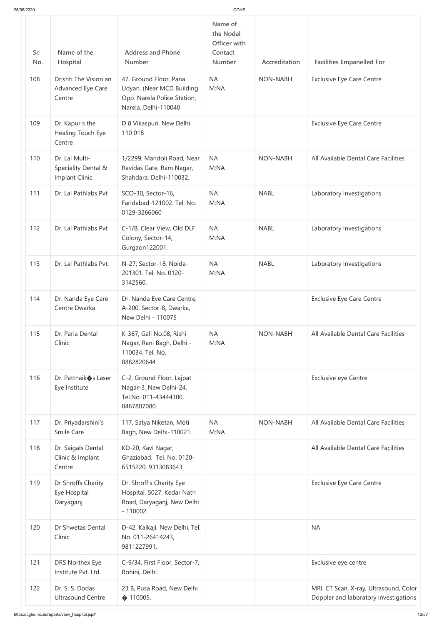| 25/06/2020 |                                                         |                                                                                                            | CGHS                                                             |                 |                                                                                 |
|------------|---------------------------------------------------------|------------------------------------------------------------------------------------------------------------|------------------------------------------------------------------|-----------------|---------------------------------------------------------------------------------|
| Sr.<br>No. | Name of the<br>Hospital                                 | <b>Address and Phone</b><br><b>Number</b>                                                                  | Name of<br>the Nodal<br>Officer with<br>Contact<br><b>Number</b> | Accreditation   | <b>Facilities Empanelled For</b>                                                |
| 108        | Drishti The Vision an<br>Advanced Eye Care<br>Centre    | 47, Ground Floor, Pana<br>Udyan, (Near MCD Building<br>Opp. Narela Police Station,<br>Narela, Delhi-110040 | <b>NA</b><br>M:NA                                                | <b>NON-NABH</b> | <b>Exclusive Eye Care Centre</b>                                                |
| 109        | Dr. Kapur s the<br>Healing Touch Eye<br>Centre          | D 8 Vikaspuri, New Delhi<br>110 018                                                                        |                                                                  |                 | <b>Exclusive Eye Care Centre</b>                                                |
| 110        | Dr. Lal Multi-<br>Speciality Dental &<br>Implant Clinic | 1/2299, Mandoli Road, Near<br>Ravidas Gate, Ram Nagar,<br>Shahdara, Delhi-110032.                          | <b>NA</b><br>M:NA                                                | <b>NON-NABH</b> | All Available Dental Care Facilities                                            |
| 111        | Dr. Lal Pathlabs Pvt                                    | SCO-30, Sector-16,<br>Faridabad-121002. Tel. No.<br>0129-3266060                                           | <b>NA</b><br>M:NA                                                | <b>NABL</b>     | Laboratory Investigations                                                       |
| 112        | Dr. Lal Pathlabs Pvt                                    | C-1/B, Clear View, Old DLF<br>Colony, Sector-14,<br>Gurgaon122001.                                         | <b>NA</b><br>M:NA                                                | <b>NABL</b>     | Laboratory Investigations                                                       |
| 113        | Dr. Lal Pathlabs Pvt.                                   | N-27, Sector-18, Noida-<br>201301. Tel. No. 0120-<br>3142560.                                              | <b>NA</b><br>M:NA                                                | <b>NABL</b>     | Laboratory Investigations                                                       |
| 114        | Dr. Nanda Eye Care<br>Centre Dwarka                     | Dr. Nanda Eye Care Centre,<br>A-200, Sector-8, Dwarka,<br>New Delhi - 110075                               |                                                                  |                 | <b>Exclusive Eye Care Centre</b>                                                |
| 115        | Dr. Paria Dental<br>Clinic                              | K-367, Gali No.08, Rishi<br>Nagar, Rani Bagh, Delhi -<br>110034. Tel. No.<br>8882820644                    | <b>NA</b><br>M:NA                                                | <b>NON-NABH</b> | All Available Dental Care Facilities                                            |
| 116        | Dr. Pattnaik $\bullet$ s Laser<br>Eye Institute         | C-2, Ground Floor, Lajpat<br>Nagar-3, New Delhi-24.<br>Tel.No. 011-43444300,<br>8467807080.                |                                                                  |                 | <b>Exclusive eye Centre</b>                                                     |
| 117        | Dr. Priyadarshini's<br>Smile Care                       | 117, Satya Niketan, Moti<br>Bagh, New Delhi-110021.                                                        | <b>NA</b><br>M:NA                                                | <b>NON-NABH</b> | All Available Dental Care Facilities                                            |
| 118        | Dr. Saigals Dental<br>Clinic & Implant<br>Centre        | KD-20, Kavi Nagar,<br>Ghaziabad. Tel. No. 0120-<br>6515220, 9313083643                                     |                                                                  |                 | All Available Dental Care Facilities                                            |
| 119        | Dr Shroffs Charity<br>Eye Hospital<br>Daryaganj         | Dr. Shroff's Charity Eye<br>Hospital, 5027, Kedar Nath<br>Road, Daryaganj, New Delhi<br>$-110002.$         |                                                                  |                 | <b>Exclusive Eye Care Centre</b>                                                |
| 120        | Dr Shwetas Dental<br>Clinic                             | D-42, Kalkaji, New Delhi. Tel.<br>No. 011-26414243,<br>9811227991.                                         |                                                                  |                 | <b>NA</b>                                                                       |
| 121        | DRS Northex Eye<br>Institute Pvt. Ltd.                  | C-9/34, First Floor, Sector-7,<br>Rohini, Delhi                                                            |                                                                  |                 | Exclusive eye centre                                                            |
| 122        | Dr. S. S. Dodas<br><b>Ultrasound Centre</b>             | 23 B, Pusa Road, New Delhi<br>$\bullet$ 110005.                                                            |                                                                  |                 | MRI, CT Scan, X-ray, Ultrasound, Color<br>Doppler and laboratory investigations |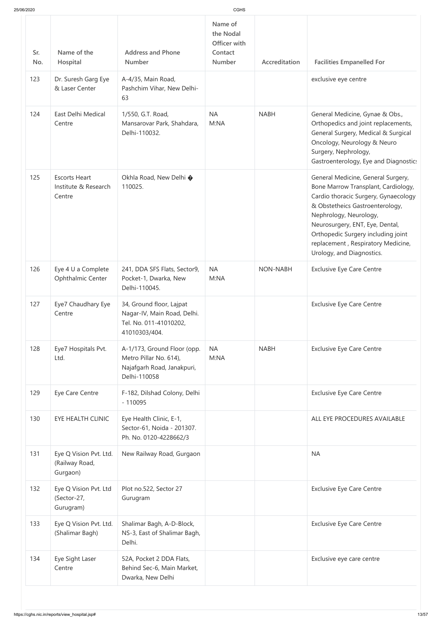| 25/06/2020 |                                                        |                                                                                                     |                                                           |               |                                                                                                                                                                                                                                                                                                                            |
|------------|--------------------------------------------------------|-----------------------------------------------------------------------------------------------------|-----------------------------------------------------------|---------------|----------------------------------------------------------------------------------------------------------------------------------------------------------------------------------------------------------------------------------------------------------------------------------------------------------------------------|
| Sr.<br>No. | Name of the<br>Hospital                                | <b>Address and Phone</b><br><b>Number</b>                                                           | Name of<br>the Nodal<br>Officer with<br>Contact<br>Number | Accreditation | <b>Facilities Empanelled For</b>                                                                                                                                                                                                                                                                                           |
| 123        | Dr. Suresh Garg Eye<br>& Laser Center                  | A-4/35, Main Road,<br>Pashchim Vihar, New Delhi-<br>63                                              |                                                           |               | exclusive eye centre                                                                                                                                                                                                                                                                                                       |
| 124        | East Delhi Medical<br>Centre                           | 1/550, G.T. Road,<br>Mansarovar Park, Shahdara,<br>Delhi-110032.                                    | <b>NA</b><br>M:NA                                         | <b>NABH</b>   | General Medicine, Gynae & Obs.,<br>Orthopedics and joint replacements,<br>General Surgery, Medical & Surgical<br>Oncology, Neurology & Neuro<br>Surgery, Nephrology,<br>Gastroenterology, Eye and Diagnostic:                                                                                                              |
| 125        | <b>Escorts Heart</b><br>Institute & Research<br>Centre | Okhla Road, New Delhi �<br>110025.                                                                  |                                                           |               | General Medicine, General Surgery,<br>Bone Marrow Transplant, Cardiology,<br>Cardio thoracic Surgery, Gynaecology<br>& Obstetheics Gastroenterology,<br>Nephrology, Neurology,<br>Neurosurgery, ENT, Eye, Dental,<br>Orthopedic Surgery including joint<br>replacement, Respiratory Medicine,<br>Urology, and Diagnostics. |
| 126        | Eye 4 U a Complete<br><b>Ophthalmic Center</b>         | 241, DDA SFS Flats, Sector9,<br>Pocket-1, Dwarka, New<br>Delhi-110045.                              | <b>NA</b><br>M:NA                                         | NON-NABH      | <b>Exclusive Eye Care Centre</b>                                                                                                                                                                                                                                                                                           |
| 127        | Eye7 Chaudhary Eye<br>Centre                           | 34, Ground floor, Lajpat<br>Nagar-IV, Main Road, Delhi.<br>Tel. No. 011-41010202,<br>41010303/404.  |                                                           |               | <b>Exclusive Eye Care Centre</b>                                                                                                                                                                                                                                                                                           |
| 128        | Eye7 Hospitals Pvt.<br>Ltd.                            | A-1/173, Ground Floor (opp.<br>Metro Pillar No. 614),<br>Najafgarh Road, Janakpuri,<br>Delhi-110058 | <b>NA</b><br>M:NA                                         | <b>NABH</b>   | <b>Exclusive Eye Care Centre</b>                                                                                                                                                                                                                                                                                           |
| 129        | Eye Care Centre                                        | F-182, Dilshad Colony, Delhi<br>$-110095$                                                           |                                                           |               | <b>Exclusive Eye Care Centre</b>                                                                                                                                                                                                                                                                                           |
| 130        | EYE HEALTH CLINIC                                      | Eye Health Clinic, E-1,<br>Sector-61, Noida - 201307.<br>Ph. No. 0120-4228662/3                     |                                                           |               | ALL EYE PROCEDURES AVAILABLE                                                                                                                                                                                                                                                                                               |
| 131        | Eye Q Vision Pvt. Ltd.<br>(Railway Road,<br>Gurgaon)   | New Railway Road, Gurgaon                                                                           |                                                           |               | <b>NA</b>                                                                                                                                                                                                                                                                                                                  |
| 132        | Eye Q Vision Pvt. Ltd<br>(Sector-27,<br>Gurugram)      | Plot no.522, Sector 27<br>Gurugram                                                                  |                                                           |               | <b>Exclusive Eye Care Centre</b>                                                                                                                                                                                                                                                                                           |
| 133        | Eye Q Vision Pvt. Ltd.<br>(Shalimar Bagh)              | Shalimar Bagh, A-D-Block,<br>NS-3, East of Shalimar Bagh,<br>Delhi.                                 |                                                           |               | <b>Exclusive Eye Care Centre</b>                                                                                                                                                                                                                                                                                           |
| 134        | Eye Sight Laser<br>Centre                              | 52A, Pocket 2 DDA Flats,<br>Behind Sec-6, Main Market,<br>Dwarka, New Delhi                         |                                                           |               | Exclusive eye care centre                                                                                                                                                                                                                                                                                                  |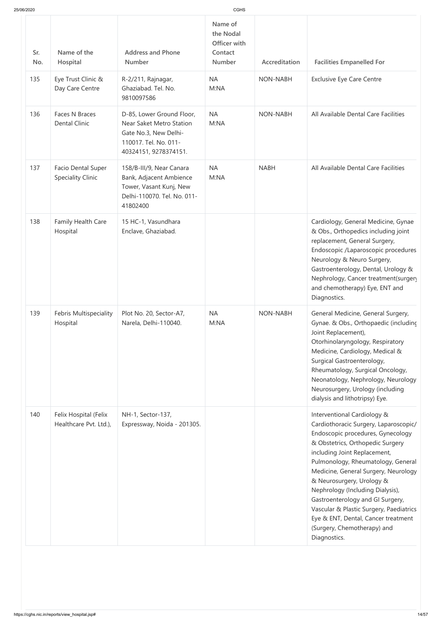| 25/06/2020 |                                                       |                                                                                                                                         | CGHS                                                      |                 |                                                                                                                                                                                                                                                                                                                                                                                                                                                                                                   |
|------------|-------------------------------------------------------|-----------------------------------------------------------------------------------------------------------------------------------------|-----------------------------------------------------------|-----------------|---------------------------------------------------------------------------------------------------------------------------------------------------------------------------------------------------------------------------------------------------------------------------------------------------------------------------------------------------------------------------------------------------------------------------------------------------------------------------------------------------|
| Sr.<br>No. | Name of the<br>Hospital                               | <b>Address and Phone</b><br><b>Number</b>                                                                                               | Name of<br>the Nodal<br>Officer with<br>Contact<br>Number | Accreditation   | <b>Facilities Empanelled For</b>                                                                                                                                                                                                                                                                                                                                                                                                                                                                  |
| 135        | Eye Trust Clinic &<br>Day Care Centre                 | R-2/211, Rajnagar,<br>Ghaziabad. Tel. No.<br>9810097586                                                                                 | <b>NA</b><br>M:NA                                         | <b>NON-NABH</b> | <b>Exclusive Eye Care Centre</b>                                                                                                                                                                                                                                                                                                                                                                                                                                                                  |
| 136        | Faces N Braces<br><b>Dental Clinic</b>                | D-85, Lower Ground Floor,<br><b>Near Saket Metro Station</b><br>Gate No.3, New Delhi-<br>110017. Tel. No. 011-<br>40324151, 9278374151. | <b>NA</b><br>M:NA                                         | <b>NON-NABH</b> | All Available Dental Care Facilities                                                                                                                                                                                                                                                                                                                                                                                                                                                              |
| 137        | <b>Facio Dental Super</b><br><b>Speciality Clinic</b> | 158/B-III/9, Near Canara<br>Bank, Adjacent Ambience<br>Tower, Vasant Kunj, New<br>Delhi-110070. Tel. No. 011-<br>41802400               | <b>NA</b><br>M:NA                                         | <b>NABH</b>     | All Available Dental Care Facilities                                                                                                                                                                                                                                                                                                                                                                                                                                                              |
| 138        | Family Health Care<br>Hospital                        | 15 HC-1, Vasundhara<br>Enclave, Ghaziabad.                                                                                              |                                                           |                 | Cardiology, General Medicine, Gynae<br>& Obs., Orthopedics including joint<br>replacement, General Surgery,<br>Endoscopic /Laparoscopic procedures<br>Neurology & Neuro Surgery,<br>Gastroenterology, Dental, Urology &<br>Nephrology, Cancer treatment(surger)<br>and chemotherapy) Eye, ENT and<br>Diagnostics.                                                                                                                                                                                 |
| 139        | Febris Multispeciality<br>Hospital                    | Plot No. 20, Sector-A7,<br>Narela, Delhi-110040.                                                                                        | <b>NA</b><br>M:NA                                         | <b>NON-NABH</b> | General Medicine, General Surgery,<br>Gynae. & Obs., Orthopaedic (including<br>Joint Replacement),<br>Otorhinolaryngology, Respiratory<br>Medicine, Cardiology, Medical &<br>Surgical Gastroenterology,<br>Rheumatology, Surgical Oncology,<br>Neonatology, Nephrology, Neurology<br>Neurosurgery, Urology (including<br>dialysis and lithotripsy) Eye.                                                                                                                                           |
| 140        | Felix Hospital (Felix<br>Healthcare Pvt. Ltd.),       | NH-1, Sector-137,<br>Expressway, Noida - 201305.                                                                                        |                                                           |                 | Interventional Cardiology &<br>Cardiothoracic Surgery, Laparoscopic/<br>Endoscopic procedures, Gynecology<br>& Obstetrics, Orthopedic Surgery<br>including Joint Replacement,<br>Pulmonology, Rheumatology, General<br>Medicine, General Surgery, Neurology<br>& Neurosurgery, Urology &<br>Nephrology (Including Dialysis),<br>Gastroenterology and GI Surgery,<br>Vascular & Plastic Surgery, Paediatrics<br>Eye & ENT, Dental, Cancer treatment<br>(Surgery, Chemotherapy) and<br>Diagnostics. |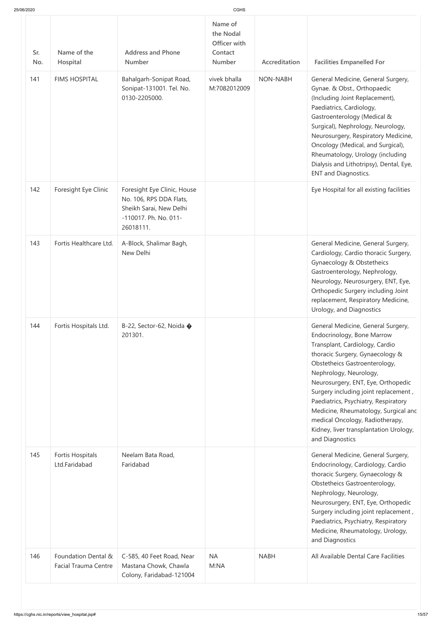| 25/06/2020 |  |  |
|------------|--|--|
|            |  |  |

| 25/06/2020 |                                                    |                                                                                                                         | <b>CGHS</b>                                                      |                 |                                                                                                                                                                                                                                                                                                                                                                                                                                                                |
|------------|----------------------------------------------------|-------------------------------------------------------------------------------------------------------------------------|------------------------------------------------------------------|-----------------|----------------------------------------------------------------------------------------------------------------------------------------------------------------------------------------------------------------------------------------------------------------------------------------------------------------------------------------------------------------------------------------------------------------------------------------------------------------|
| Sr.<br>No. | Name of the<br>Hospital                            | <b>Address and Phone</b><br>Number                                                                                      | Name of<br>the Nodal<br>Officer with<br>Contact<br><b>Number</b> | Accreditation   | <b>Facilities Empanelled For</b>                                                                                                                                                                                                                                                                                                                                                                                                                               |
| 141        | <b>FIMS HOSPITAL</b>                               | Bahalgarh-Sonipat Road,<br>Sonipat-131001. Tel. No.<br>0130-2205000.                                                    | vivek bhalla<br>M:7082012009                                     | <b>NON-NABH</b> | General Medicine, General Surgery,<br>Gynae. & Obst., Orthopaedic<br>(Including Joint Replacement),<br>Paediatrics, Cardiology,<br>Gastroenterology (Medical &<br>Surgical), Nephrology, Neurology,<br>Neurosurgery, Respiratory Medicine,<br>Oncology (Medical, and Surgical),<br>Rheumatology, Urology (including<br>Dialysis and Lithotripsy), Dental, Eye,<br><b>ENT and Diagnostics.</b>                                                                  |
| 142        | Foresight Eye Clinic                               | Foresight Eye Clinic, House<br>No. 106, RPS DDA Flats,<br>Sheikh Sarai, New Delhi<br>-110017. Ph. No. 011-<br>26018111. |                                                                  |                 | Eye Hospital for all existing facilities                                                                                                                                                                                                                                                                                                                                                                                                                       |
| 143        | Fortis Healthcare Ltd.                             | A-Block, Shalimar Bagh,<br>New Delhi                                                                                    |                                                                  |                 | General Medicine, General Surgery,<br>Cardiology, Cardio thoracic Surgery,<br>Gynaecology & Obstetheics<br>Gastroenterology, Nephrology,<br>Neurology, Neurosurgery, ENT, Eye,<br>Orthopedic Surgery including Joint<br>replacement, Respiratory Medicine,<br>Urology, and Diagnostics                                                                                                                                                                         |
| 144        | Fortis Hospitals Ltd.                              | B-22, Sector-62, Noida $\bullet$<br>201301.                                                                             |                                                                  |                 | General Medicine, General Surgery,<br>Endocrinology, Bone Marrow<br>Transplant, Cardiology, Cardio<br>thoracic Surgery, Gynaecology &<br>Obstetheics Gastroenterology,<br>Nephrology, Neurology,<br>Neurosurgery, ENT, Eye, Orthopedic<br>Surgery including joint replacement,<br>Paediatrics, Psychiatry, Respiratory<br>Medicine, Rheumatology, Surgical anc<br>medical Oncology, Radiotherapy,<br>Kidney, liver transplantation Urology,<br>and Diagnostics |
| 145        | Fortis Hospitals<br>Ltd.Faridabad                  | Neelam Bata Road,<br>Faridabad                                                                                          |                                                                  |                 | General Medicine, General Surgery,<br>Endocrinology, Cardiology, Cardio<br>thoracic Surgery, Gynaecology &<br>Obstetheics Gastroenterology,<br>Nephrology, Neurology,<br>Neurosurgery, ENT, Eye, Orthopedic<br>Surgery including joint replacement,<br>Paediatrics, Psychiatry, Respiratory<br>Medicine, Rheumatology, Urology,<br>and Diagnostics                                                                                                             |
| 146        | Foundation Dental &<br><b>Facial Trauma Centre</b> | C-585, 40 Feet Road, Near<br>Mastana Chowk, Chawla<br>Colony, Faridabad-121004                                          | <b>NA</b><br>M:NA                                                | <b>NABH</b>     | All Available Dental Care Facilities                                                                                                                                                                                                                                                                                                                                                                                                                           |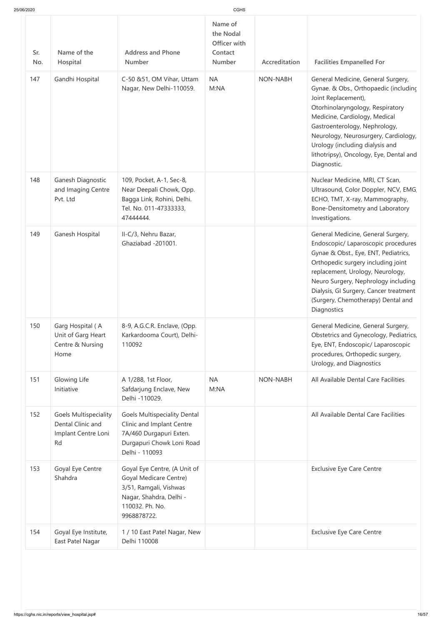| Sr.<br>No. | Name of the<br>Hospital                                                        | <b>Address and Phone</b><br><b>Number</b>                                                                                                            | Name of<br>the Nodal<br>Officer with<br>Contact<br>Number | Accreditation | <b>Facilities Empanelled For</b>                                                                                                                                                                                                                                                                                                              |
|------------|--------------------------------------------------------------------------------|------------------------------------------------------------------------------------------------------------------------------------------------------|-----------------------------------------------------------|---------------|-----------------------------------------------------------------------------------------------------------------------------------------------------------------------------------------------------------------------------------------------------------------------------------------------------------------------------------------------|
| 147        | Gandhi Hospital                                                                | C-50 &51, OM Vihar, Uttam<br>Nagar, New Delhi-110059.                                                                                                | <b>NA</b><br>M:NA                                         | NON-NABH      | General Medicine, General Surgery,<br>Gynae. & Obs., Orthopaedic (including<br>Joint Replacement),<br>Otorhinolaryngology, Respiratory<br>Medicine, Cardiology, Medical<br>Gastroenterology, Nephrology,<br>Neurology, Neurosurgery, Cardiology,<br>Urology (including dialysis and<br>lithotripsy), Oncology, Eye, Dental and<br>Diagnostic. |
| 148        | Ganesh Diagnostic<br>and Imaging Centre<br>Pvt. Ltd                            | 109, Pocket, A-1, Sec-8,<br>Near Deepali Chowk, Opp.<br>Bagga Link, Rohini, Delhi.<br>Tel. No. 011-47333333,<br>47444444.                            |                                                           |               | Nuclear Medicine, MRI, CT Scan,<br>Ultrasound, Color Doppler, NCV, EMG,<br>ECHO, TMT, X-ray, Mammography,<br>Bone-Densitometry and Laboratory<br>Investigations.                                                                                                                                                                              |
| 149        | Ganesh Hospital                                                                | II-C/3, Nehru Bazar,<br>Ghaziabad -201001.                                                                                                           |                                                           |               | General Medicine, General Surgery,<br>Endoscopic/ Laparoscopic procedures<br>Gynae & Obst., Eye, ENT, Pediatrics,<br>Orthopedic surgery including joint<br>replacement, Urology, Neurology,<br>Neuro Surgery, Nephrology including<br>Dialysis, GI Surgery, Cancer treatment<br>(Surgery, Chemotherapy) Dental and<br>Diagnostics             |
| 150        | Garg Hospital (A<br>Unit of Garg Heart<br>Centre & Nursing<br>Home             | 8-9, A.G.C.R. Enclave, (Opp.<br>Karkardooma Court), Delhi-<br>110092                                                                                 |                                                           |               | General Medicine, General Surgery,<br>Obstetrics and Gynecology, Pediatrics,<br>Eye, ENT, Endoscopic/ Laparoscopic<br>procedures, Orthopedic surgery,<br>Urology, and Diagnostics                                                                                                                                                             |
| 151        | Glowing Life<br>Initiative                                                     | A 1/288, 1st Floor,<br>Safdarjung Enclave, New<br>Delhi -110029.                                                                                     | <b>NA</b><br>M:NA                                         | NON-NABH      | All Available Dental Care Facilities                                                                                                                                                                                                                                                                                                          |
| 152        | <b>Goels Multispeciality</b><br>Dental Clinic and<br>Implant Centre Loni<br>Rd | <b>Goels Multispeciality Dental</b><br>Clinic and Implant Centre<br>7A/460 Durgapuri Exten.<br>Durgapuri Chowk Loni Road<br>Delhi - 110093           |                                                           |               | All Available Dental Care Facilities                                                                                                                                                                                                                                                                                                          |
| 153        | Goyal Eye Centre<br>Shahdra                                                    | Goyal Eye Centre, (A Unit of<br><b>Goyal Medicare Centre)</b><br>3/51, Ramgali, Vishwas<br>Nagar, Shahdra, Delhi -<br>110032. Ph. No.<br>9968878722. |                                                           |               | <b>Exclusive Eye Care Centre</b>                                                                                                                                                                                                                                                                                                              |
| 154        | Goyal Eye Institute,<br>East Patel Nagar                                       | 1 / 10 East Patel Nagar, New<br>Delhi 110008                                                                                                         |                                                           |               | <b>Exclusive Eye Care Centre</b>                                                                                                                                                                                                                                                                                                              |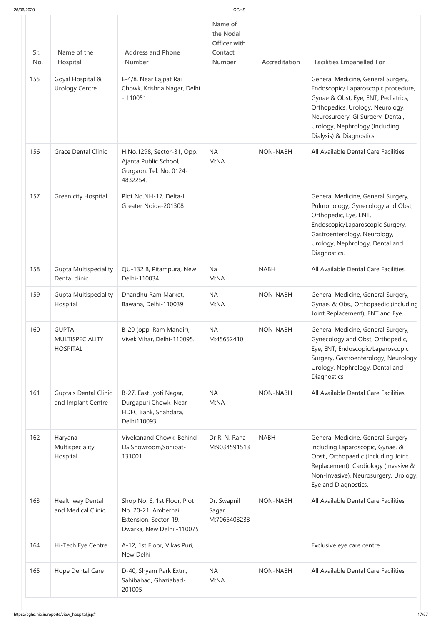| 25/06/2020 |  |  |
|------------|--|--|
|            |  |  |

| 25/06/2020 |                                                           |                                                                                                          | <b>CGHS</b>                                                      |                 |                                                                                                                                                                                                                                                         |
|------------|-----------------------------------------------------------|----------------------------------------------------------------------------------------------------------|------------------------------------------------------------------|-----------------|---------------------------------------------------------------------------------------------------------------------------------------------------------------------------------------------------------------------------------------------------------|
| Sr.<br>No. | Name of the<br>Hospital                                   | <b>Address and Phone</b><br><b>Number</b>                                                                | Name of<br>the Nodal<br>Officer with<br>Contact<br><b>Number</b> | Accreditation   | <b>Facilities Empanelled For</b>                                                                                                                                                                                                                        |
| 155        | Goyal Hospital &<br><b>Urology Centre</b>                 | E-4/8, Near Lajpat Rai<br>Chowk, Krishna Nagar, Delhi<br>$-110051$                                       |                                                                  |                 | General Medicine, General Surgery,<br>Endoscopic/ Laparoscopic procedure,<br>Gynae & Obst, Eye, ENT, Pediatrics,<br>Orthopedics, Urology, Neurology,<br>Neurosurgery, GI Surgery, Dental,<br>Urology, Nephrology (Including<br>Dialysis) & Diagnostics. |
| 156        | <b>Grace Dental Clinic</b>                                | H.No.1298, Sector-31, Opp.<br>Ajanta Public School,<br>Gurgaon. Tel. No. 0124-<br>4832254.               | <b>NA</b><br>M:NA                                                | <b>NON-NABH</b> | All Available Dental Care Facilities                                                                                                                                                                                                                    |
| 157        | Green city Hospital                                       | Plot No.NH-17, Delta-I,<br>Greater Noida-201308                                                          |                                                                  |                 | General Medicine, General Surgery,<br>Pulmonology, Gynecology and Obst,<br>Orthopedic, Eye, ENT,<br>Endoscopic/Laparoscopic Surgery,<br>Gastroenterology, Neurology,<br>Urology, Nephrology, Dental and<br>Diagnostics.                                 |
| 158        | <b>Gupta Multispeciality</b><br>Dental clinic             | QU-132 B, Pitampura, New<br>Delhi-110034.                                                                | <b>Na</b><br>M:NA                                                | <b>NABH</b>     | All Available Dental Care Facilities                                                                                                                                                                                                                    |
| 159        | <b>Gupta Multispeciality</b><br>Hospital                  | Dhandhu Ram Market,<br>Bawana, Delhi-110039                                                              | <b>NA</b><br>M:NA                                                | <b>NON-NABH</b> | General Medicine, General Surgery,<br>Gynae. & Obs., Orthopaedic (including<br>Joint Replacement), ENT and Eye.                                                                                                                                         |
| 160        | <b>GUPTA</b><br><b>MULTISPECIALITY</b><br><b>HOSPITAL</b> | B-20 (opp. Ram Mandir),<br>Vivek Vihar, Delhi-110095.                                                    | <b>NA</b><br>M:45652410                                          | <b>NON-NABH</b> | General Medicine, General Surgery,<br>Gynecology and Obst, Orthopedic,<br>Eye, ENT, Endoscopic/Laparoscopic<br>Surgery, Gastroenterology, Neurology<br>Urology, Nephrology, Dental and<br>Diagnostics                                                   |
| 161        | <b>Gupta's Dental Clinic</b><br>and Implant Centre        | B-27, East Jyoti Nagar,<br>Durgapuri Chowk, Near<br>HDFC Bank, Shahdara,<br>Delhi110093.                 | <b>NA</b><br>M:NA                                                | <b>NON-NABH</b> | All Available Dental Care Facilities                                                                                                                                                                                                                    |
| 162        | Haryana<br>Multispeciality<br>Hospital                    | Vivekanand Chowk, Behind<br>LG Showroom, Sonipat-<br>131001                                              | Dr R. N. Rana<br>M:9034591513                                    | <b>NABH</b>     | General Medicine, General Surgery<br>including Laparoscopic, Gynae. &<br>Obst., Orthopaedic (Including Joint<br>Replacement), Cardiology (Invasive &<br>Non-Invasive), Neurosurgery, Urology,<br>Eye and Diagnostics.                                   |
| 163        | Healthway Dental<br>and Medical Clinic                    | Shop No. 6, 1st Floor, Plot<br>No. 20-21, Amberhai<br>Extension, Sector-19,<br>Dwarka, New Delhi -110075 | Dr. Swapnil<br>Sagar<br>M:7065403233                             | <b>NON-NABH</b> | All Available Dental Care Facilities                                                                                                                                                                                                                    |
| 164        | Hi-Tech Eye Centre                                        | A-12, 1st Floor, Vikas Puri,<br>New Delhi                                                                |                                                                  |                 | Exclusive eye care centre                                                                                                                                                                                                                               |
| 165        | Hope Dental Care                                          | D-40, Shyam Park Extn.,<br>Sahibabad, Ghaziabad-<br>201005                                               | <b>NA</b><br>M:NA                                                | <b>NON-NABH</b> | All Available Dental Care Facilities                                                                                                                                                                                                                    |
|            |                                                           |                                                                                                          |                                                                  |                 |                                                                                                                                                                                                                                                         |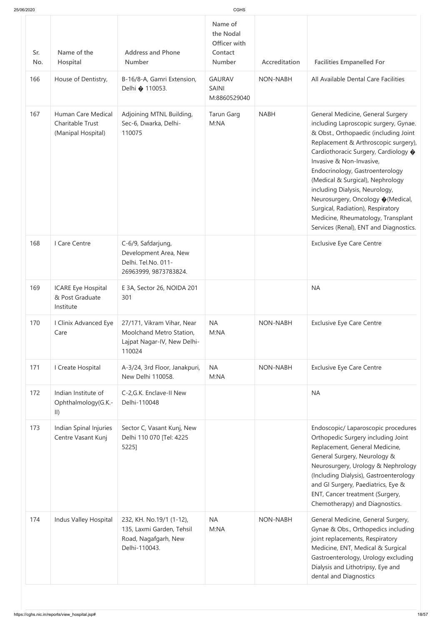| 25/06/2020 |                                                              |                                                                                                 | CGHS                                                             |                 |                                                                                                                                                                                                                                                                                                                                                                                                                                                                                                     |
|------------|--------------------------------------------------------------|-------------------------------------------------------------------------------------------------|------------------------------------------------------------------|-----------------|-----------------------------------------------------------------------------------------------------------------------------------------------------------------------------------------------------------------------------------------------------------------------------------------------------------------------------------------------------------------------------------------------------------------------------------------------------------------------------------------------------|
| Sr.<br>No. | Name of the<br>Hospital                                      | <b>Address and Phone</b><br>Number                                                              | Name of<br>the Nodal<br>Officer with<br>Contact<br><b>Number</b> | Accreditation   | <b>Facilities Empanelled For</b>                                                                                                                                                                                                                                                                                                                                                                                                                                                                    |
| 166        | House of Dentistry,                                          | B-16/8-A, Gamri Extension,<br>Delhi ♦ 110053.                                                   | <b>GAURAV</b><br><b>SAINI</b><br>M:8860529040                    | <b>NON-NABH</b> | All Available Dental Care Facilities                                                                                                                                                                                                                                                                                                                                                                                                                                                                |
| 167        | Human Care Medical<br>Charitable Trust<br>(Manipal Hospital) | Adjoining MTNL Building,<br>Sec-6, Dwarka, Delhi-<br>110075                                     | <b>Tarun Garg</b><br>M:NA                                        | <b>NABH</b>     | General Medicine, General Surgery<br>including Laproscopic surgery, Gynae.<br>& Obst., Orthopaedic (including Joint<br>Replacement & Arthroscopic surgery),<br>Cardiothoracic Surgery, Cardiology �<br>Invasive & Non-Invasive,<br>Endocrinology, Gastroenterology<br>(Medical & Surgical), Nephrology<br>including Dialysis, Neurology,<br>Neurosurgery, Oncology ♦ (Medical,<br>Surgical, Radiation), Respiratory<br>Medicine, Rheumatology, Transplant<br>Services (Renal), ENT and Diagnostics. |
| 168        | I Care Centre                                                | C-6/9, Safdarjung,<br>Development Area, New<br>Delhi. Tel.No. 011-<br>26963999, 9873783824.     |                                                                  |                 | <b>Exclusive Eye Care Centre</b>                                                                                                                                                                                                                                                                                                                                                                                                                                                                    |
| 169        | <b>ICARE Eye Hospital</b><br>& Post Graduate<br>Institute    | E 3A, Sector 26, NOIDA 201<br>301                                                               |                                                                  |                 | <b>NA</b>                                                                                                                                                                                                                                                                                                                                                                                                                                                                                           |
| 170        | I Clinix Advanced Eye<br>Care                                | 27/171, Vikram Vihar, Near<br>Moolchand Metro Station,<br>Lajpat Nagar-IV, New Delhi-<br>110024 | <b>NA</b><br>M:NA                                                | <b>NON-NABH</b> | <b>Exclusive Eye Care Centre</b>                                                                                                                                                                                                                                                                                                                                                                                                                                                                    |
| 171        | I Create Hospital                                            | A-3/24, 3rd Floor, Janakpuri,<br>New Delhi 110058.                                              | <b>NA</b><br>M:NA                                                | <b>NON-NABH</b> | <b>Exclusive Eye Care Centre</b>                                                                                                                                                                                                                                                                                                                                                                                                                                                                    |
| 172        | Indian Institute of<br>Ophthalmology(G.K.-<br>$\vert \vert$  | C-2, G.K. Enclave-II New<br>Delhi-110048                                                        |                                                                  |                 | <b>NA</b>                                                                                                                                                                                                                                                                                                                                                                                                                                                                                           |
| 173        | Indian Spinal Injuries<br>Centre Vasant Kunj                 | Sector C, Vasant Kunj, New<br>Delhi 110 070 [Tel: 4225<br>5225]                                 |                                                                  |                 | Endoscopic/ Laparoscopic procedures<br>Orthopedic Surgery including Joint<br>Replacement, General Medicine,<br>General Surgery, Neurology &<br>Neurosurgery, Urology & Nephrology<br>(Including Dialysis), Gastroenterology<br>and GI Surgery, Paediatrics, Eye &<br>ENT, Cancer treatment (Surgery,<br>Chemotherapy) and Diagnostics.                                                                                                                                                              |
| 174        | Indus Valley Hospital                                        | 232, KH. No.19/1 (1-12),<br>135, Laxmi Garden, Tehsil<br>Road, Nagafgarh, New<br>Delhi-110043.  | <b>NA</b><br>M:NA                                                | <b>NON-NABH</b> | General Medicine, General Surgery,<br>Gynae & Obs., Orthopedics including<br>joint replacements, Respiratory<br>Medicine, ENT, Medical & Surgical<br>Gastroenterology, Urology excluding<br>Dialysis and Lithotripsy, Eye and<br>dental and Diagnostics                                                                                                                                                                                                                                             |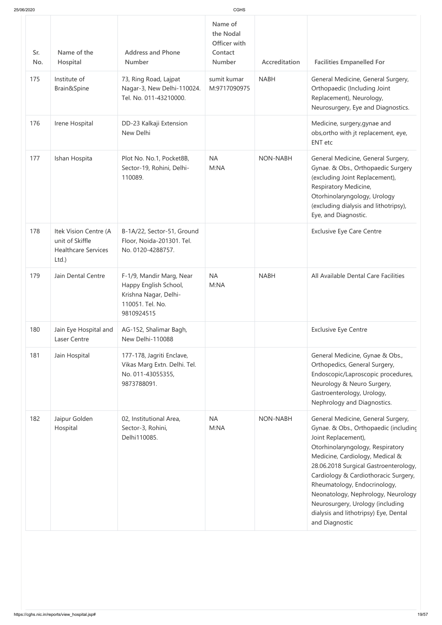| 25/06/2020 |                                                                                |                                                                                                              |                                                                  |                 |                                                                                                                                                                                                                                                                                                                                                                                                                                 |
|------------|--------------------------------------------------------------------------------|--------------------------------------------------------------------------------------------------------------|------------------------------------------------------------------|-----------------|---------------------------------------------------------------------------------------------------------------------------------------------------------------------------------------------------------------------------------------------------------------------------------------------------------------------------------------------------------------------------------------------------------------------------------|
| Sr.<br>No. | Name of the<br>Hospital                                                        | <b>Address and Phone</b><br><b>Number</b>                                                                    | Name of<br>the Nodal<br>Officer with<br>Contact<br><b>Number</b> | Accreditation   | <b>Facilities Empanelled For</b>                                                                                                                                                                                                                                                                                                                                                                                                |
| 175        | Institute of<br>Brain&Spine                                                    | 73, Ring Road, Lajpat<br>Nagar-3, New Delhi-110024.<br>Tel. No. 011-43210000.                                | sumit kumar<br>M:9717090975                                      | <b>NABH</b>     | General Medicine, General Surgery,<br>Orthopaedic (Including Joint<br>Replacement), Neurology,<br>Neurosurgery, Eye and Diagnostics.                                                                                                                                                                                                                                                                                            |
| 176        | Irene Hospital                                                                 | DD-23 Kalkaji Extension<br>New Delhi                                                                         |                                                                  |                 | Medicine, surgery, gynae and<br>obs, ortho with jt replacement, eye,<br><b>ENT</b> etc                                                                                                                                                                                                                                                                                                                                          |
| 177        | Ishan Hospita                                                                  | Plot No. No.1, Pocket8B,<br>Sector-19, Rohini, Delhi-<br>110089.                                             | <b>NA</b><br>M:NA                                                | <b>NON-NABH</b> | General Medicine, General Surgery,<br>Gynae. & Obs., Orthopaedic Surgery<br>(excluding Joint Replacement),<br>Respiratory Medicine,<br>Otorhinolaryngology, Urology<br>(excluding dialysis and lithotripsy),<br>Eye, and Diagnostic.                                                                                                                                                                                            |
| 178        | Itek Vision Centre (A<br>unit of Skiffle<br><b>Healthcare Services</b><br>Ltd. | B-1A/22, Sector-51, Ground<br>Floor, Noida-201301. Tel.<br>No. 0120-4288757.                                 |                                                                  |                 | <b>Exclusive Eye Care Centre</b>                                                                                                                                                                                                                                                                                                                                                                                                |
| 179        | Jain Dental Centre                                                             | F-1/9, Mandir Marg, Near<br>Happy English School,<br>Krishna Nagar, Delhi-<br>110051. Tel. No.<br>9810924515 | <b>NA</b><br>M:NA                                                | <b>NABH</b>     | All Available Dental Care Facilities                                                                                                                                                                                                                                                                                                                                                                                            |
| 180        | Jain Eye Hospital and<br>Laser Centre                                          | AG-152, Shalimar Bagh,<br>New Delhi-110088                                                                   |                                                                  |                 | <b>Exclusive Eye Centre</b>                                                                                                                                                                                                                                                                                                                                                                                                     |
| 181        | Jain Hospital                                                                  | 177-178, Jagriti Enclave,<br>Vikas Marg Extn. Delhi. Tel.<br>No. 011-43055355,<br>9873788091.                |                                                                  |                 | General Medicine, Gynae & Obs.,<br>Orthopedics, General Surgery,<br>Endoscopic/Laproscopic procedures,<br>Neurology & Neuro Surgery,<br>Gastroenterology, Urology,<br>Nephrology and Diagnostics.                                                                                                                                                                                                                               |
| 182        | Jaipur Golden<br>Hospital                                                      | 02, Institutional Area,<br>Sector-3, Rohini,<br>Delhi110085.                                                 | <b>NA</b><br>M:NA                                                | <b>NON-NABH</b> | General Medicine, General Surgery,<br>Gynae. & Obs., Orthopaedic (including<br>Joint Replacement),<br>Otorhinolaryngology, Respiratory<br>Medicine, Cardiology, Medical &<br>28.06.2018 Surgical Gastroenterology,<br>Cardiology & Cardiothoracic Surgery,<br>Rheumatology, Endocrinology,<br>Neonatology, Nephrology, Neurology<br>Neurosurgery, Urology (including<br>dialysis and lithotripsy) Eye, Dental<br>and Diagnostic |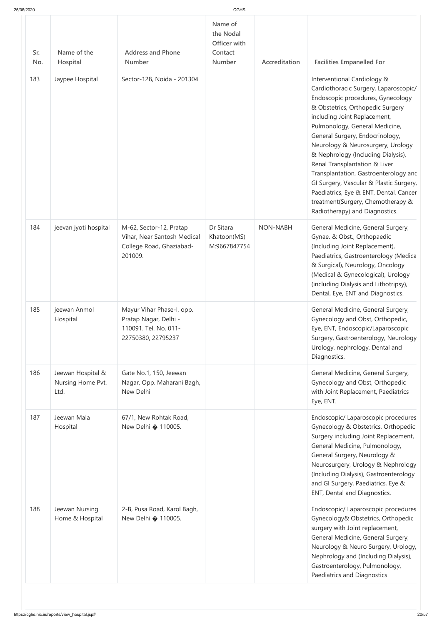| 25/06/2020 |  |
|------------|--|

| 25/06/2020 |                                                |                                                                                                   | CGHS                                                             |                 |                                                                                                                                                                                                                                                                                                                                                                                                                                                                                                                                                                     |
|------------|------------------------------------------------|---------------------------------------------------------------------------------------------------|------------------------------------------------------------------|-----------------|---------------------------------------------------------------------------------------------------------------------------------------------------------------------------------------------------------------------------------------------------------------------------------------------------------------------------------------------------------------------------------------------------------------------------------------------------------------------------------------------------------------------------------------------------------------------|
| Sr.<br>No. | Name of the<br>Hospital                        | <b>Address and Phone</b><br>Number                                                                | Name of<br>the Nodal<br>Officer with<br>Contact<br><b>Number</b> | Accreditation   | <b>Facilities Empanelled For</b>                                                                                                                                                                                                                                                                                                                                                                                                                                                                                                                                    |
| 183        | Jaypee Hospital                                | Sector-128, Noida - 201304                                                                        |                                                                  |                 | Interventional Cardiology &<br>Cardiothoracic Surgery, Laparoscopic/<br>Endoscopic procedures, Gynecology<br>& Obstetrics, Orthopedic Surgery<br>including Joint Replacement,<br>Pulmonology, General Medicine,<br>General Surgery, Endocrinology,<br>Neurology & Neurosurgery, Urology<br>& Nephrology (Including Dialysis),<br>Renal Transplantation & Liver<br>Transplantation, Gastroenterology and<br>GI Surgery, Vascular & Plastic Surgery,<br>Paediatrics, Eye & ENT, Dental, Cancer<br>treatment(Surgery, Chemotherapy &<br>Radiotherapy) and Diagnostics. |
| 184        | jeevan jyoti hospital                          | M-62, Sector-12, Pratap<br>Vihar, Near Santosh Medical<br>College Road, Ghaziabad-<br>201009.     | Dr Sitara<br>Khatoon(MS)<br>M:9667847754                         | <b>NON-NABH</b> | General Medicine, General Surgery,<br>Gynae. & Obst., Orthopaedic<br>(Including Joint Replacement),<br>Paediatrics, Gastroenterology (Medica<br>& Surgical), Neurology, Oncology<br>(Medical & Gynecological), Urology<br>(including Dialysis and Lithotripsy),<br>Dental, Eye, ENT and Diagnostics.                                                                                                                                                                                                                                                                |
| 185        | jeewan Anmol<br>Hospital                       | Mayur Vihar Phase-I, opp.<br>Pratap Nagar, Delhi -<br>110091. Tel. No. 011-<br>22750380, 22795237 |                                                                  |                 | General Medicine, General Surgery,<br>Gynecology and Obst, Orthopedic,<br>Eye, ENT, Endoscopic/Laparoscopic<br>Surgery, Gastroenterology, Neurology<br>Urology, nephrology, Dental and<br>Diagnostics.                                                                                                                                                                                                                                                                                                                                                              |
| 186        | Jeewan Hospital &<br>Nursing Home Pvt.<br>Ltd. | Gate No.1, 150, Jeewan<br>Nagar, Opp. Maharani Bagh,<br>New Delhi                                 |                                                                  |                 | General Medicine, General Surgery,<br>Gynecology and Obst, Orthopedic<br>with Joint Replacement, Paediatrics<br>Eye, ENT.                                                                                                                                                                                                                                                                                                                                                                                                                                           |
| 187        | Jeewan Mala<br>Hospital                        | 67/1, New Rohtak Road,<br>New Delhi $\bigcirc$ 110005.                                            |                                                                  |                 | Endoscopic/ Laparoscopic procedures<br>Gynecology & Obstetrics, Orthopedic<br>Surgery including Joint Replacement,<br>General Medicine, Pulmonology,<br>General Surgery, Neurology &<br>Neurosurgery, Urology & Nephrology<br>(Including Dialysis), Gastroenterology<br>and GI Surgery, Paediatrics, Eye &<br>ENT, Dental and Diagnostics.                                                                                                                                                                                                                          |
| 188        | Jeewan Nursing<br>Home & Hospital              | 2-B, Pusa Road, Karol Bagh,<br>New Delhi $\bullet$ 110005.                                        |                                                                  |                 | Endoscopic/ Laparoscopic procedures<br>Gynecology& Obstetrics, Orthopedic<br>surgery with Joint replacement,<br>General Medicine, General Surgery,<br>Neurology & Neuro Surgery, Urology,<br>Nephrology and (Including Dialysis),<br>Gastroenterology, Pulmonology,<br>Paediatrics and Diagnostics                                                                                                                                                                                                                                                                  |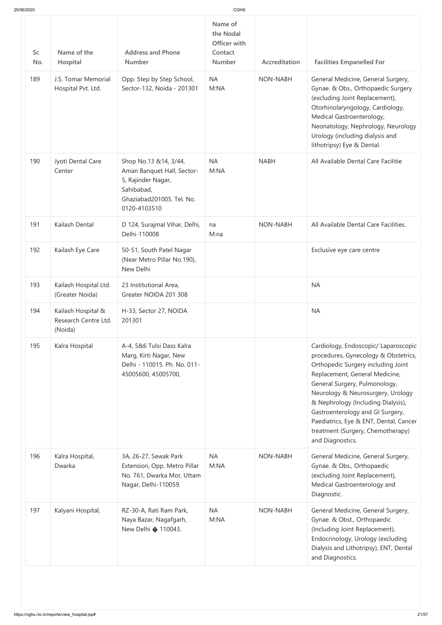| 25/06/2020 |                                                       |                                                                                                                                      | CGHS                                                             |                 |                                                                                                                                                                                                                                                                                                                                                                                                         |
|------------|-------------------------------------------------------|--------------------------------------------------------------------------------------------------------------------------------------|------------------------------------------------------------------|-----------------|---------------------------------------------------------------------------------------------------------------------------------------------------------------------------------------------------------------------------------------------------------------------------------------------------------------------------------------------------------------------------------------------------------|
| Sr.<br>No. | Name of the<br>Hospital                               | <b>Address and Phone</b><br><b>Number</b>                                                                                            | Name of<br>the Nodal<br>Officer with<br>Contact<br><b>Number</b> | Accreditation   | <b>Facilities Empanelled For</b>                                                                                                                                                                                                                                                                                                                                                                        |
| 189        | J.S. Tomar Memorial<br>Hospital Pvt. Ltd.             | Opp. Step by Step School,<br>Sector-132, Noida - 201301                                                                              | <b>NA</b><br>M:NA                                                | <b>NON-NABH</b> | General Medicine, General Surgery,<br>Gynae. & Obs., Orthopaedic Surgery<br>(excluding Joint Replacement),<br>Otorhinolaryngology, Cardiology,<br>Medical Gastroenterology,<br>Neonatology, Nephrology, Neurology<br>Urology (including dialysis and<br>lithotripsy) Eye & Dental.                                                                                                                      |
| 190        | Jyoti Dental Care<br>Center                           | Shop No.13 &14, 3/44,<br>Aman Banquet Hall, Sector-<br>5, Rajinder Nagar,<br>Sahibabad,<br>Ghaziabad201005. Tel. No.<br>0120-4103510 | <b>NA</b><br>M:NA                                                | <b>NABH</b>     | All Available Dental Care Facilitie                                                                                                                                                                                                                                                                                                                                                                     |
| 191        | Kailash Dental                                        | D 124, Surajmal Vihar, Delhi,<br>Delhi-110008                                                                                        | na<br>M:na                                                       | <b>NON-NABH</b> | All Available Dental Care Facilities.                                                                                                                                                                                                                                                                                                                                                                   |
| 192        | Kailash Eye Care                                      | 50-51, South Patel Nagar<br>(Near Metro Pillar No.190),<br>New Delhi                                                                 |                                                                  |                 | Exclusive eye care centre                                                                                                                                                                                                                                                                                                                                                                               |
| 193        | Kailash Hospital Ltd.<br>(Greater Noida)              | 23 Institutional Area,<br>Greater NOIDA 201 308                                                                                      |                                                                  |                 | <b>NA</b>                                                                                                                                                                                                                                                                                                                                                                                               |
| 194        | Kailash Hospital &<br>Research Centre Ltd.<br>(Noida) | H-33, Sector 27, NOIDA<br>201301                                                                                                     |                                                                  |                 | <b>NA</b>                                                                                                                                                                                                                                                                                                                                                                                               |
| 195        | Kalra Hospital                                        | A-4, 5&6 Tulsi Dass Kalra<br>Marg, Kirti Nagar, New<br>Delhi - 110015. Ph. No. 011-<br>45005600, 45005700,                           |                                                                  |                 | Cardiology, Endoscopic/ Laparoscopic<br>procedures, Gynecology & Obstetrics,<br>Orthopedic Surgery including Joint<br>Replacement, General Medicine,<br>General Surgery, Pulmonology,<br>Neurology & Neurosurgery, Urology<br>& Nephrology (Including Dialysis),<br>Gastroenterology and GI Surgery,<br>Paediatrics, Eye & ENT, Dental, Cancer<br>treatment (Surgery, Chemotherapy)<br>and Diagnostics. |
| 196        | Kalra Hospital,<br>Dwarka                             | 3A, 26-27, Sewak Park<br>Extension, Opp. Metro Pillar<br>No. 761, Dwarka Mor, Uttam<br>Nagar, Delhi-110059.                          | <b>NA</b><br>M:NA                                                | <b>NON-NABH</b> | General Medicine, General Surgery,<br>Gynae. & Obs., Orthopaedic<br>(excluding Joint Replacement),<br>Medical Gastroenterology and<br>Diagnostic.                                                                                                                                                                                                                                                       |
| 197        | Kalyani Hospital,                                     | RZ-30-A, Rati Ram Park,<br>Naya Bazar, Nagafgarh,<br>New Delhi $\bullet$ 110043.                                                     | <b>NA</b><br>M:NA                                                | <b>NON-NABH</b> | General Medicine, General Surgery,<br>Gynae. & Obst., Orthopaedic<br>(Including Joint Replacement),<br>Endocrinology, Urology (excluding<br>Dialysis and Lithotripsy), ENT, Dental<br>and Diagnostics.                                                                                                                                                                                                  |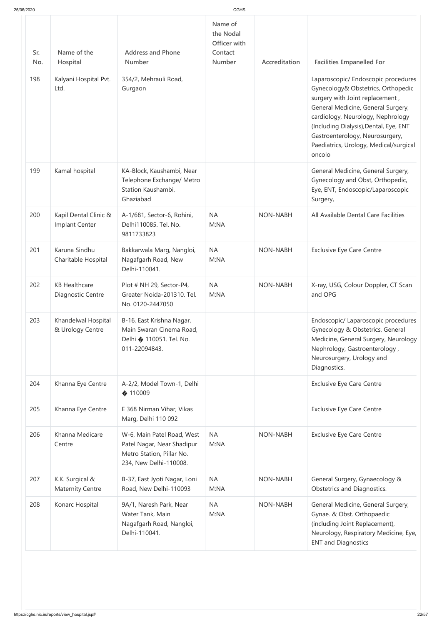| Sr.<br>No. | Name of the<br>Hospital                    | <b>Address and Phone</b><br><b>Number</b>                                                                       | the Nodal<br>Officer with<br>Contact<br><b>Number</b> | Accreditation   | <b>Facilities Empanelled For</b>                                                                                                                                                                                                                                                                                         |
|------------|--------------------------------------------|-----------------------------------------------------------------------------------------------------------------|-------------------------------------------------------|-----------------|--------------------------------------------------------------------------------------------------------------------------------------------------------------------------------------------------------------------------------------------------------------------------------------------------------------------------|
| 198        | Kalyani Hospital Pvt.<br>Ltd.              | 354/2, Mehrauli Road,<br>Gurgaon                                                                                |                                                       |                 | Laparoscopic/ Endoscopic procedures<br>Gynecology& Obstetrics, Orthopedic<br>surgery with Joint replacement,<br>General Medicine, General Surgery,<br>cardiology, Neurology, Nephrology<br>(Including Dialysis), Dental, Eye, ENT<br>Gastroenterology, Neurosurgery,<br>Paediatrics, Urology, Medical/surgical<br>oncolo |
| 199        | Kamal hospital                             | KA-Block, Kaushambi, Near<br>Telephone Exchange/ Metro<br>Station Kaushambi,<br>Ghaziabad                       |                                                       |                 | General Medicine, General Surgery,<br>Gynecology and Obst, Orthopedic,<br>Eye, ENT, Endoscopic/Laparoscopic<br>Surgery,                                                                                                                                                                                                  |
| 200        | Kapil Dental Clinic &<br>Implant Center    | A-1/681, Sector-6, Rohini,<br>Delhi110085. Tel. No.<br>9811733823                                               | <b>NA</b><br>M:NA                                     | <b>NON-NABH</b> | All Available Dental Care Facilities                                                                                                                                                                                                                                                                                     |
| 201        | Karuna Sindhu<br>Charitable Hospital       | Bakkarwala Marg, Nangloi,<br>Nagafgarh Road, New<br>Delhi-110041.                                               | <b>NA</b><br>M:NA                                     | <b>NON-NABH</b> | <b>Exclusive Eye Care Centre</b>                                                                                                                                                                                                                                                                                         |
| 202        | <b>KB Healthcare</b><br>Diagnostic Centre  | Plot # NH 29, Sector-P4,<br>Greater Noida-201310. Tel.<br>No. 0120-2447050                                      | <b>NA</b><br>M:NA                                     | <b>NON-NABH</b> | X-ray, USG, Colour Doppler, CT Scan<br>and OPG                                                                                                                                                                                                                                                                           |
| 203        | Khandelwal Hospital<br>& Urology Centre    | B-16, East Krishna Nagar,<br>Main Swaran Cinema Road,<br>Delhi � 110051. Tel. No.<br>011-22094843.              |                                                       |                 | Endoscopic/ Laparoscopic procedures<br>Gynecology & Obstetrics, General<br>Medicine, General Surgery, Neurology<br>Nephrology, Gastroenterology,<br>Neurosurgery, Urology and<br>Diagnostics.                                                                                                                            |
| 204        | Khanna Eye Centre                          | A-2/2, Model Town-1, Delhi<br>$\bigcirc$ 110009                                                                 |                                                       |                 | <b>Exclusive Eye Care Centre</b>                                                                                                                                                                                                                                                                                         |
| 205        | Khanna Eye Centre                          | E 368 Nirman Vihar, Vikas<br>Marg, Delhi 110 092                                                                |                                                       |                 | <b>Exclusive Eye Care Centre</b>                                                                                                                                                                                                                                                                                         |
| 206        | Khanna Medicare<br>Centre                  | W-6, Main Patel Road, West<br>Patel Nagar, Near Shadipur<br>Metro Station, Pillar No.<br>234, New Delhi-110008. | <b>NA</b><br>M:NA                                     | <b>NON-NABH</b> | <b>Exclusive Eye Care Centre</b>                                                                                                                                                                                                                                                                                         |
| 207        | K.K. Surgical &<br><b>Maternity Centre</b> | B-37, East Jyoti Nagar, Loni<br>Road, New Delhi-110093                                                          | <b>NA</b><br>M:NA                                     | NON-NABH        | General Surgery, Gynaecology &<br>Obstetrics and Diagnostics.                                                                                                                                                                                                                                                            |
| 208        | Konarc Hospital                            | 9A/1, Naresh Park, Near<br>Water Tank, Main<br>Nagafgarh Road, Nangloi,<br>Delhi-110041.                        | <b>NA</b><br>M:NA                                     | NON-NABH        | General Medicine, General Surgery,<br>Gynae. & Obst. Orthopaedic<br>(including Joint Replacement),<br>Neurology, Respiratory Medicine, Eye,<br><b>ENT and Diagnostics</b>                                                                                                                                                |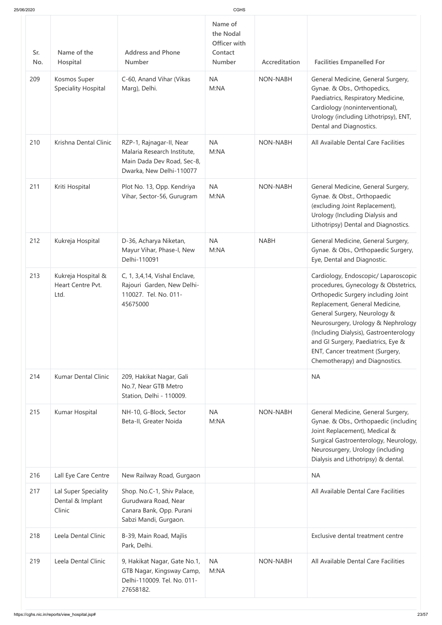| 25/06/2020        |                                                    |                                                                                                                   | CGHS                                                                          |                                  |                                                                                                                                                                                                                                                                                                                                                                                 |
|-------------------|----------------------------------------------------|-------------------------------------------------------------------------------------------------------------------|-------------------------------------------------------------------------------|----------------------------------|---------------------------------------------------------------------------------------------------------------------------------------------------------------------------------------------------------------------------------------------------------------------------------------------------------------------------------------------------------------------------------|
| Sr.<br>No.<br>209 | Name of the<br>Hospital<br>Kosmos Super            | <b>Address and Phone</b><br><b>Number</b><br>C-60, Anand Vihar (Vikas                                             | Name of<br>the Nodal<br>Officer with<br>Contact<br><b>Number</b><br><b>NA</b> | Accreditation<br><b>NON-NABH</b> | <b>Facilities Empanelled For</b><br>General Medicine, General Surgery,                                                                                                                                                                                                                                                                                                          |
|                   | <b>Speciality Hospital</b>                         | Marg), Delhi.                                                                                                     | M:NA                                                                          |                                  | Gynae. & Obs., Orthopedics,<br>Paediatrics, Respiratory Medicine,<br>Cardiology (noninterventional),<br>Urology (including Lithotripsy), ENT,<br>Dental and Diagnostics.                                                                                                                                                                                                        |
| 210               | Krishna Dental Clinic                              | RZP-1, Rajnagar-II, Near<br>Malaria Research Institute,<br>Main Dada Dev Road, Sec-8,<br>Dwarka, New Delhi-110077 | <b>NA</b><br>M:NA                                                             | <b>NON-NABH</b>                  | All Available Dental Care Facilities                                                                                                                                                                                                                                                                                                                                            |
| 211               | Kriti Hospital                                     | Plot No. 13, Opp. Kendriya<br>Vihar, Sector-56, Gurugram                                                          | <b>NA</b><br>M:NA                                                             | <b>NON-NABH</b>                  | General Medicine, General Surgery,<br>Gynae. & Obst., Orthopaedic<br>(excluding Joint Replacement),<br>Urology (Including Dialysis and<br>Lithotripsy) Dental and Diagnostics.                                                                                                                                                                                                  |
| 212               | Kukreja Hospital                                   | D-36, Acharya Niketan,<br>Mayur Vihar, Phase-I, New<br>Delhi-110091                                               | <b>NA</b><br>M:NA                                                             | <b>NABH</b>                      | General Medicine, General Surgery,<br>Gynae. & Obs., Orthopaedic Surgery,<br>Eye, Dental and Diagnostic.                                                                                                                                                                                                                                                                        |
| 213               | Kukreja Hospital &<br>Heart Centre Pvt.<br>Ltd.    | C, 1, 3,4,14, Vishal Enclave,<br>Rajouri Garden, New Delhi-<br>110027. Tel. No. 011-<br>45675000                  |                                                                               |                                  | Cardiology, Endoscopic/ Laparoscopic<br>procedures, Gynecology & Obstetrics,<br>Orthopedic Surgery including Joint<br>Replacement, General Medicine,<br>General Surgery, Neurology &<br>Neurosurgery, Urology & Nephrology<br>(Including Dialysis), Gastroenterology<br>and GI Surgery, Paediatrics, Eye &<br>ENT, Cancer treatment (Surgery,<br>Chemotherapy) and Diagnostics. |
| 214               | <b>Kumar Dental Clinic</b>                         | 209, Hakikat Nagar, Gali<br>No.7, Near GTB Metro<br>Station, Delhi - 110009.                                      |                                                                               |                                  | <b>NA</b>                                                                                                                                                                                                                                                                                                                                                                       |
| 215               | Kumar Hospital                                     | NH-10, G-Block, Sector<br>Beta-II, Greater Noida                                                                  | <b>NA</b><br>M:NA                                                             | <b>NON-NABH</b>                  | General Medicine, General Surgery,<br>Gynae. & Obs., Orthopaedic (includinc<br>Joint Replacement), Medical &<br>Surgical Gastroenterology, Neurology,<br>Neurosurgery, Urology (including<br>Dialysis and Lithotripsy) & dental.                                                                                                                                                |
| 216               | Lall Eye Care Centre                               | New Railway Road, Gurgaon                                                                                         |                                                                               |                                  | <b>NA</b>                                                                                                                                                                                                                                                                                                                                                                       |
| 217               | Lal Super Speciality<br>Dental & Implant<br>Clinic | Shop. No.C-1, Shiv Palace,<br>Gurudwara Road, Near<br>Canara Bank, Opp. Purani<br>Sabzi Mandi, Gurgaon.           |                                                                               |                                  | All Available Dental Care Facilities                                                                                                                                                                                                                                                                                                                                            |
| 218               | Leela Dental Clinic                                | B-39, Main Road, Majlis<br>Park, Delhi.                                                                           |                                                                               |                                  | Exclusive dental treatment centre                                                                                                                                                                                                                                                                                                                                               |
| 219               | Leela Dental Clinic                                | 9, Hakikat Nagar, Gate No.1,<br>GTB Nagar, Kingsway Camp,<br>Delhi-110009, Tel. No. 011-<br>27658182.             | <b>NA</b><br>M:NA                                                             | <b>NON-NABH</b>                  | All Available Dental Care Facilities                                                                                                                                                                                                                                                                                                                                            |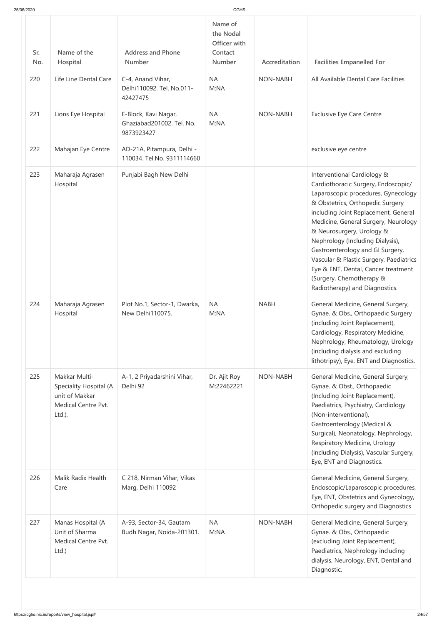| Sr.<br>No. | Name of the<br>Hospital                                                                       | <b>Address and Phone</b><br><b>Number</b>                       | the Nodal<br>Officer with<br>Contact<br><b>Number</b> | Accreditation   | <b>Facilities Empanelled For</b>                                                                                                                                                                                                                                                                                                                                                                                                                                                   |
|------------|-----------------------------------------------------------------------------------------------|-----------------------------------------------------------------|-------------------------------------------------------|-----------------|------------------------------------------------------------------------------------------------------------------------------------------------------------------------------------------------------------------------------------------------------------------------------------------------------------------------------------------------------------------------------------------------------------------------------------------------------------------------------------|
| 220        | Life Line Dental Care                                                                         | C-4, Anand Vihar,<br>Delhi110092. Tel. No.011-<br>42427475      | <b>NA</b><br>M:NA                                     | <b>NON-NABH</b> | All Available Dental Care Facilities                                                                                                                                                                                                                                                                                                                                                                                                                                               |
| 221        | Lions Eye Hospital                                                                            | E-Block, Kavi Nagar,<br>Ghaziabad201002. Tel. No.<br>9873923427 | <b>NA</b><br>M:NA                                     | <b>NON-NABH</b> | <b>Exclusive Eye Care Centre</b>                                                                                                                                                                                                                                                                                                                                                                                                                                                   |
| 222        | Mahajan Eye Centre                                                                            | AD-21A, Pitampura, Delhi -<br>110034. Tel.No. 9311114660        |                                                       |                 | exclusive eye centre                                                                                                                                                                                                                                                                                                                                                                                                                                                               |
| 223        | Maharaja Agrasen<br>Hospital                                                                  | Punjabi Bagh New Delhi                                          |                                                       |                 | Interventional Cardiology &<br>Cardiothoracic Surgery, Endoscopic/<br>Laparoscopic procedures, Gynecology<br>& Obstetrics, Orthopedic Surgery<br>including Joint Replacement, General<br>Medicine, General Surgery, Neurology<br>& Neurosurgery, Urology &<br>Nephrology (Including Dialysis),<br>Gastroenterology and GI Surgery,<br>Vascular & Plastic Surgery, Paediatrics<br>Eye & ENT, Dental, Cancer treatment<br>(Surgery, Chemotherapy &<br>Radiotherapy) and Diagnostics. |
| 224        | Maharaja Agrasen<br>Hospital                                                                  | Plot No.1, Sector-1, Dwarka,<br>New Delhi110075.                | <b>NA</b><br>M:NA                                     | <b>NABH</b>     | General Medicine, General Surgery,<br>Gynae. & Obs., Orthopaedic Surgery<br>(including Joint Replacement),<br>Cardiology, Respiratory Medicine,<br>Nephrology, Rheumatology, Urology<br>(including dialysis and excluding<br>lithotripsy), Eye, ENT and Diagnostics.                                                                                                                                                                                                               |
| 225        | Makkar Multi-<br>Speciality Hospital (A<br>unit of Makkar<br>Medical Centre Pvt.<br>$Ltd.$ ), | A-1, 2 Priyadarshini Vihar,<br>Delhi 92                         | Dr. Ajit Roy<br>M:22462221                            | <b>NON-NABH</b> | General Medicine, General Surgery,<br>Gynae. & Obst., Orthopaedic<br>(Including Joint Replacement),<br>Paediatrics, Psychiatry, Cardiology<br>(Non-interventional),<br>Gastroenterology (Medical &<br>Surgical), Neonatology, Nephrology,<br>Respiratory Medicine, Urology<br>(including Dialysis), Vascular Surgery,<br>Eye, ENT and Diagnostics.                                                                                                                                 |
| 226        | Malik Radix Health<br>Care                                                                    | C 218, Nirman Vihar, Vikas<br>Marg, Delhi 110092                |                                                       |                 | General Medicine, General Surgery,<br>Endoscopic/Laparoscopic procedures,<br>Eye, ENT, Obstetrics and Gynecology,<br>Orthopedic surgery and Diagnostics                                                                                                                                                                                                                                                                                                                            |
| 227        | Manas Hospital (A<br>Unit of Sharma<br>Medical Centre Pvt.<br>Ltd.)                           | A-93, Sector-34, Gautam<br>Budh Nagar, Noida-201301.            | <b>NA</b><br>M:NA                                     | <b>NON-NABH</b> | General Medicine, General Surgery,<br>Gynae. & Obs., Orthopaedic<br>(excluding Joint Replacement),<br>Paediatrics, Nephrology including<br>dialysis, Neurology, ENT, Dental and<br>Diagnostic.                                                                                                                                                                                                                                                                                     |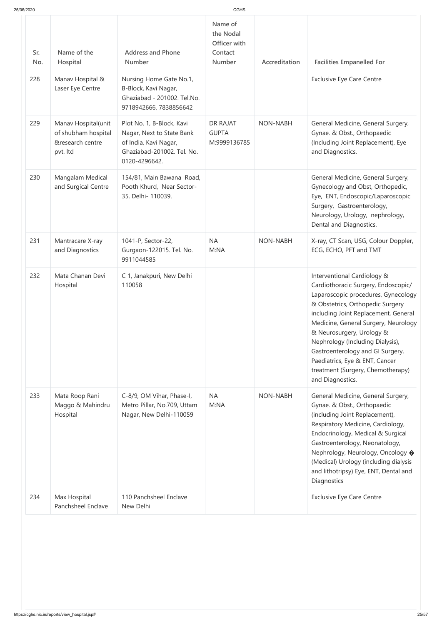| 25/06/2020 |                                                                            |                                                                                                                                | <b>CGHS</b>                                                      |                 |                                                                                                                                                                                                                                                                                                                                                                                                                               |
|------------|----------------------------------------------------------------------------|--------------------------------------------------------------------------------------------------------------------------------|------------------------------------------------------------------|-----------------|-------------------------------------------------------------------------------------------------------------------------------------------------------------------------------------------------------------------------------------------------------------------------------------------------------------------------------------------------------------------------------------------------------------------------------|
| Sr.<br>No. | Name of the<br>Hospital                                                    | <b>Address and Phone</b><br><b>Number</b>                                                                                      | Name of<br>the Nodal<br>Officer with<br>Contact<br><b>Number</b> | Accreditation   | <b>Facilities Empanelled For</b>                                                                                                                                                                                                                                                                                                                                                                                              |
| 228        | Manav Hospital &<br>Laser Eye Centre                                       | Nursing Home Gate No.1,<br>B-Block, Kavi Nagar,<br>Ghaziabad - 201002. Tel.No.<br>9718942666, 7838856642                       |                                                                  |                 | <b>Exclusive Eye Care Centre</b>                                                                                                                                                                                                                                                                                                                                                                                              |
| 229        | Manav Hospital(unit<br>of shubham hospital<br>&research centre<br>pvt. Itd | Plot No. 1, B-Block, Kavi<br>Nagar, Next to State Bank<br>of India, Kavi Nagar,<br>Ghaziabad-201002. Tel. No.<br>0120-4296642. | DR RAJAT<br><b>GUPTA</b><br>M:9999136785                         | <b>NON-NABH</b> | General Medicine, General Surgery,<br>Gynae. & Obst., Orthopaedic<br>(Including Joint Replacement), Eye<br>and Diagnostics.                                                                                                                                                                                                                                                                                                   |
| 230        | Mangalam Medical<br>and Surgical Centre                                    | 154/81, Main Bawana Road,<br>Pooth Khurd, Near Sector-<br>35, Delhi- 110039.                                                   |                                                                  |                 | General Medicine, General Surgery,<br>Gynecology and Obst, Orthopedic,<br>Eye, ENT, Endoscopic/Laparoscopic<br>Surgery, Gastroenterology,<br>Neurology, Urology, nephrology,<br>Dental and Diagnostics.                                                                                                                                                                                                                       |
| 231        | Mantracare X-ray<br>and Diagnostics                                        | 1041-P, Sector-22,<br>Gurgaon-122015. Tel. No.<br>9911044585                                                                   | <b>NA</b><br>M:NA                                                | <b>NON-NABH</b> | X-ray, CT Scan, USG, Colour Doppler,<br>ECG, ECHO, PFT and TMT                                                                                                                                                                                                                                                                                                                                                                |
| 232        | Mata Chanan Devi<br>Hospital                                               | C 1, Janakpuri, New Delhi<br>110058                                                                                            |                                                                  |                 | Interventional Cardiology &<br>Cardiothoracic Surgery, Endoscopic/<br>Laparoscopic procedures, Gynecology<br>& Obstetrics, Orthopedic Surgery<br>including Joint Replacement, General<br>Medicine, General Surgery, Neurology<br>& Neurosurgery, Urology &<br>Nephrology (Including Dialysis),<br>Gastroenterology and GI Surgery,<br>Paediatrics, Eye & ENT, Cancer<br>treatment (Surgery, Chemotherapy)<br>and Diagnostics. |
| 233        | Mata Roop Rani<br>Maggo & Mahindru<br>Hospital                             | C-8/9, OM Vihar, Phase-I,<br>Metro Pillar, No.709, Uttam<br>Nagar, New Delhi-110059                                            | <b>NA</b><br>M:NA                                                | NON-NABH        | General Medicine, General Surgery,<br>Gynae. & Obst., Orthopaedic<br>(including Joint Replacement),<br>Respiratory Medicine, Cardiology,<br>Endocrinology, Medical & Surgical<br>Gastroenterology, Neonatology,<br>Nephrology, Neurology, Oncology ♦<br>(Medical) Urology (including dialysis                                                                                                                                 |

|     |                                    |                                     |  | and iithotripsy) Eye, Eivil, Dental and<br>Diagnostics |
|-----|------------------------------------|-------------------------------------|--|--------------------------------------------------------|
| 234 | Max Hospital<br>Panchsheel Enclave | 110 Panchsheel Enclave<br>New Delhi |  | <b>Exclusive Eye Care Centre</b>                       |
|     |                                    |                                     |  |                                                        |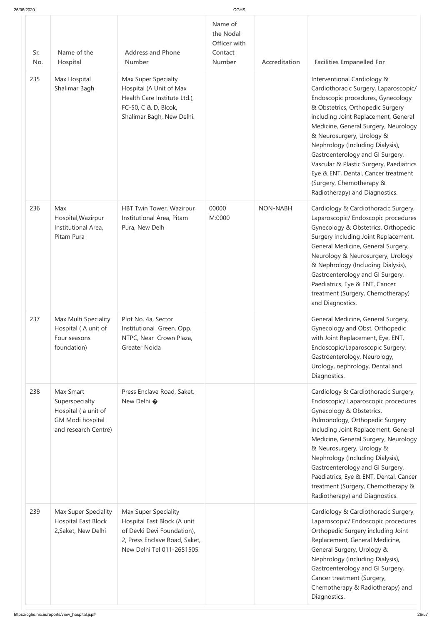|  | 25/06/2020 |
|--|------------|
|  |            |

| 25/06/2020        |                                                                                                       |                                                                                                                                                                                  | CGHS                                                             |                 |                                                                                                                                                                                                                                                                                                                                                                                                                                                                                                                        |
|-------------------|-------------------------------------------------------------------------------------------------------|----------------------------------------------------------------------------------------------------------------------------------------------------------------------------------|------------------------------------------------------------------|-----------------|------------------------------------------------------------------------------------------------------------------------------------------------------------------------------------------------------------------------------------------------------------------------------------------------------------------------------------------------------------------------------------------------------------------------------------------------------------------------------------------------------------------------|
| Sr.<br>No.<br>235 | Name of the<br>Hospital<br>Max Hospital<br>Shalimar Bagh                                              | <b>Address and Phone</b><br><b>Number</b><br>Max Super Specialty<br>Hospital (A Unit of Max<br>Health Care Institute Ltd.),<br>FC-50, C & D, Blcok,<br>Shalimar Bagh, New Delhi. | Name of<br>the Nodal<br>Officer with<br>Contact<br><b>Number</b> | Accreditation   | <b>Facilities Empanelled For</b><br>Interventional Cardiology &<br>Cardiothoracic Surgery, Laparoscopic/<br>Endoscopic procedures, Gynecology<br>& Obstetrics, Orthopedic Surgery<br>including Joint Replacement, General<br>Medicine, General Surgery, Neurology<br>& Neurosurgery, Urology &<br>Nephrology (Including Dialysis),<br>Gastroenterology and GI Surgery,<br>Vascular & Plastic Surgery, Paediatrics<br>Eye & ENT, Dental, Cancer treatment<br>(Surgery, Chemotherapy &<br>Radiotherapy) and Diagnostics. |
| 236               | Max<br>Hospital, Wazirpur<br>Institutional Area,<br>Pitam Pura                                        | HBT Twin Tower, Wazirpur<br>Institutional Area, Pitam<br>Pura, New Delh                                                                                                          | 00000<br>M:0000                                                  | <b>NON-NABH</b> | Cardiology & Cardiothoracic Surgery,<br>Laparoscopic/ Endoscopic procedures<br>Gynecology & Obstetrics, Orthopedic<br>Surgery including Joint Replacement,<br>General Medicine, General Surgery,<br>Neurology & Neurosurgery, Urology<br>& Nephrology (Including Dialysis),<br>Gastroenterology and GI Surgery,<br>Paediatrics, Eye & ENT, Cancer<br>treatment (Surgery, Chemotherapy)<br>and Diagnostics.                                                                                                             |
| 237               | Max Multi Speciality<br>Hospital (A unit of<br>Four seasons<br>foundation)                            | Plot No. 4a, Sector<br>Institutional Green, Opp.<br>NTPC, Near Crown Plaza,<br>Greater Noida                                                                                     |                                                                  |                 | General Medicine, General Surgery,<br>Gynecology and Obst, Orthopedic<br>with Joint Replacement, Eye, ENT,<br>Endoscopic/Laparoscopic Surgery,<br>Gastroenterology, Neurology,<br>Urology, nephrology, Dental and<br>Diagnostics.                                                                                                                                                                                                                                                                                      |
| 238               | Max Smart<br>Superspecialty<br>Hospital (a unit of<br><b>GM Modi hospital</b><br>and research Centre) | Press Enclave Road, Saket,<br>New Delhi �                                                                                                                                        |                                                                  |                 | Cardiology & Cardiothoracic Surgery,<br>Endoscopic/ Laparoscopic procedures<br>Gynecology & Obstetrics,<br>Pulmonology, Orthopedic Surgery<br>including Joint Replacement, General<br>Medicine, General Surgery, Neurology<br>& Neurosurgery, Urology &<br>Nephrology (Including Dialysis),<br>Gastroenterology and GI Surgery,<br>Paediatrics, Eye & ENT, Dental, Cancer<br>treatment (Surgery, Chemotherapy &<br>Radiotherapy) and Diagnostics.                                                                      |
| 239               | Max Super Speciality<br>Hospital East Block<br>2, Saket, New Delhi                                    | <b>Max Super Speciality</b><br>Hospital East Block (A unit<br>of Devki Devi Foundation),<br>2, Press Enclave Road, Saket,<br>New Delhi Tel 011-2651505                           |                                                                  |                 | Cardiology & Cardiothoracic Surgery,<br>Laparoscopic/ Endoscopic procedures<br>Orthopedic Surgery including Joint<br>Replacement, General Medicine,<br>General Surgery, Urology &<br>Nephrology (Including Dialysis),<br>Gastroenterology and GI Surgery,<br>Cancer treatment (Surgery,<br>Chemotherapy & Radiotherapy) and<br>Diagnostics.                                                                                                                                                                            |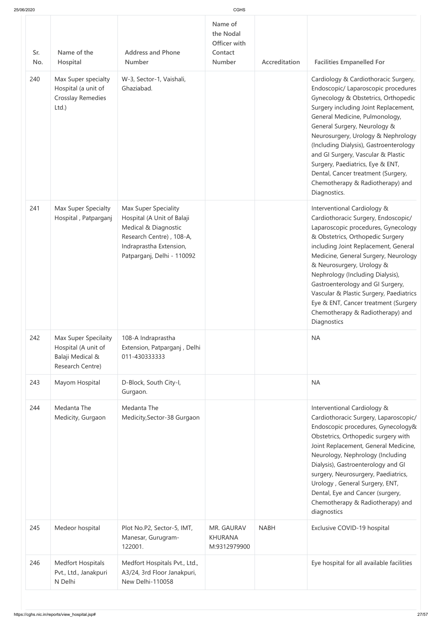| 25/06/2020 |  |  |
|------------|--|--|

| 25/06/2020 |                                                                                     |                                                                                                                                                                        | <b>CGHS</b>                                                      |               |                                                                                                                                                                                                                                                                                                                                                                                                                                                                                  |
|------------|-------------------------------------------------------------------------------------|------------------------------------------------------------------------------------------------------------------------------------------------------------------------|------------------------------------------------------------------|---------------|----------------------------------------------------------------------------------------------------------------------------------------------------------------------------------------------------------------------------------------------------------------------------------------------------------------------------------------------------------------------------------------------------------------------------------------------------------------------------------|
| Sr.<br>No. | Name of the<br>Hospital                                                             | <b>Address and Phone</b><br><b>Number</b>                                                                                                                              | Name of<br>the Nodal<br>Officer with<br>Contact<br><b>Number</b> | Accreditation | <b>Facilities Empanelled For</b>                                                                                                                                                                                                                                                                                                                                                                                                                                                 |
| 240        | Max Super specialty<br>Hospital (a unit of<br><b>Crosslay Remedies</b><br>Ltd.)     | W-3, Sector-1, Vaishali,<br>Ghaziabad.                                                                                                                                 |                                                                  |               | Cardiology & Cardiothoracic Surgery,<br>Endoscopic/ Laparoscopic procedures<br>Gynecology & Obstetrics, Orthopedic<br>Surgery including Joint Replacement,<br>General Medicine, Pulmonology,<br>General Surgery, Neurology &<br>Neurosurgery, Urology & Nephrology<br>(Including Dialysis), Gastroenterology<br>and GI Surgery, Vascular & Plastic<br>Surgery, Paediatrics, Eye & ENT,<br>Dental, Cancer treatment (Surgery,<br>Chemotherapy & Radiotherapy) and<br>Diagnostics. |
| 241        | Max Super Specialty<br>Hospital, Patparganj                                         | <b>Max Super Speciality</b><br>Hospital (A Unit of Balaji<br>Medical & Diagnostic<br>Research Centre), 108-A,<br>Indraprastha Extension,<br>Patparganj, Delhi - 110092 |                                                                  |               | Interventional Cardiology &<br>Cardiothoracic Surgery, Endoscopic/<br>Laparoscopic procedures, Gynecology<br>& Obstetrics, Orthopedic Surgery<br>including Joint Replacement, General<br>Medicine, General Surgery, Neurology<br>& Neurosurgery, Urology &<br>Nephrology (Including Dialysis),<br>Gastroenterology and GI Surgery,<br>Vascular & Plastic Surgery, Paediatrics<br>Eye & ENT, Cancer treatment (Surgery<br>Chemotherapy & Radiotherapy) and<br>Diagnostics         |
| 242        | Max Super Specilaity<br>Hospital (A unit of<br>Balaji Medical &<br>Research Centre) | 108-A Indraprastha<br>Extension, Patparganj, Delhi<br>011-430333333                                                                                                    |                                                                  |               | <b>NA</b>                                                                                                                                                                                                                                                                                                                                                                                                                                                                        |
| 243        | Mayom Hospital                                                                      | D-Block, South City-I,<br>Gurgaon.                                                                                                                                     |                                                                  |               | <b>NA</b>                                                                                                                                                                                                                                                                                                                                                                                                                                                                        |
| 244        | Medanta The<br>Medicity, Gurgaon                                                    | Medanta The<br>Medicity, Sector-38 Gurgaon                                                                                                                             |                                                                  |               | Interventional Cardiology &<br>Cardiothoracic Surgery, Laparoscopic/<br>Endoscopic procedures, Gynecology&<br>Obstetrics, Orthopedic surgery with<br>Joint Replacement, General Medicine,<br>Neurology, Nephrology (Including<br>Dialysis), Gastroenterology and GI<br>surgery, Neurosurgery, Paediatrics,<br>Urology, General Surgery, ENT,<br>Dental, Eye and Cancer (surgery,<br>Chemotherapy & Radiotherapy) and<br>diagnostics                                              |
| 245        | Medeor hospital                                                                     | Plot No.P2, Sector-5, IMT,<br>Manesar, Gurugram-<br>122001.                                                                                                            | MR. GAURAV<br><b>KHURANA</b><br>M:9312979900                     | <b>NABH</b>   | Exclusive COVID-19 hospital                                                                                                                                                                                                                                                                                                                                                                                                                                                      |
| 246        | <b>Medfort Hospitals</b><br>Pvt., Ltd., Janakpuri<br>N Delhi                        | Medfort Hospitals Pvt., Ltd.,<br>A3/24, 3rd Floor Janakpuri,<br>New Delhi-110058                                                                                       |                                                                  |               | Eye hospital for all available facilities                                                                                                                                                                                                                                                                                                                                                                                                                                        |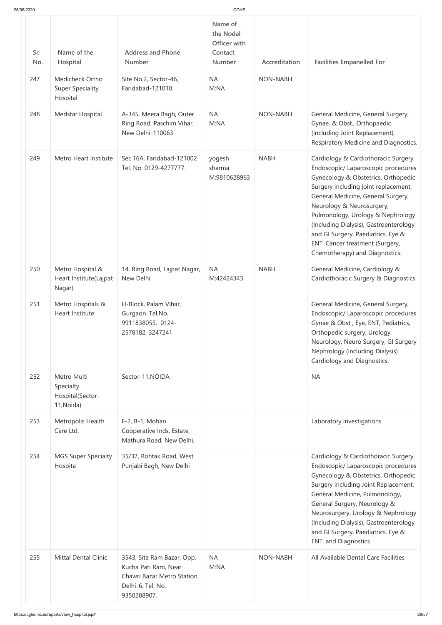| 25/06/2020 |                                                            |                                                                                                                       | <b>CGHS</b>                                                      |                 |                                                                                                                                                                                                                                                                                                                                                                                                                         |
|------------|------------------------------------------------------------|-----------------------------------------------------------------------------------------------------------------------|------------------------------------------------------------------|-----------------|-------------------------------------------------------------------------------------------------------------------------------------------------------------------------------------------------------------------------------------------------------------------------------------------------------------------------------------------------------------------------------------------------------------------------|
| Sr.<br>No. | Name of the<br>Hospital                                    | <b>Address and Phone</b><br>Number                                                                                    | Name of<br>the Nodal<br>Officer with<br>Contact<br><b>Number</b> | Accreditation   | <b>Facilities Empanelled For</b>                                                                                                                                                                                                                                                                                                                                                                                        |
| 247        | Medicheck Ortho<br><b>Super Speciality</b><br>Hospital     | Site No.2, Sector-46,<br>Faridabad-121010.                                                                            | <b>NA</b><br>M:NA                                                | <b>NON-NABH</b> |                                                                                                                                                                                                                                                                                                                                                                                                                         |
| 248        | Medstar Hospital                                           | A-345, Meera Bagh, Outer<br>Ring Road, Paschim Vihar,<br>New Delhi-110063                                             | <b>NA</b><br>M:NA                                                | <b>NON-NABH</b> | General Medicine, General Surgery,<br>Gynae. & Obst., Orthopaedic<br>(including Joint Replacement),<br>Respiratory Medicine and Diagnostics.                                                                                                                                                                                                                                                                            |
| 249        | Metro Heart Institute                                      | Sec.16A, Faridabad-121002<br>Tel. No. 0129-4277777.                                                                   | yogesh<br>sharma<br>M:9810628963                                 | <b>NABH</b>     | Cardiology & Cardiothoracic Surgery,<br>Endoscopic/ Laparoscopic procedures<br>Gynecology & Obstetrics, Orthopedic<br>Surgery including joint replacement,<br>General Medicine, General Surgery,<br>Neurology & Neurosurgery,<br>Pulmonology, Urology & Nephrology<br>(Including Dialysis), Gastroenterology<br>and GI Surgery, Paediatrics, Eye &<br>ENT, Cancer treatment (Surgery,<br>Chemotherapy) and Diagnostics. |
| 250        | Metro Hospital &<br>Heart Institute(Lajpat<br>Nagar)       | 14, Ring Road, Lajpat Nagar,<br>New Delhi                                                                             | <b>NA</b><br>M:42424343                                          | <b>NABH</b>     | General Medicine, Cardiology &<br>Cardiothoracic Surgery & Diagnostics                                                                                                                                                                                                                                                                                                                                                  |
| 251        | Metro Hospitals &<br>Heart Institute                       | H-Block, Palam Vihar,<br>Gurgaon. Tel.No.<br>9911838055, 0124-<br>2578182, 3247241                                    |                                                                  |                 | General Medicine, General Surgery,<br>Endoscopic/ Laparoscopic procedures<br>Gynae & Obst, Eye, ENT, Pediatrics,<br>Orthopedic surgery, Urology,<br>Neurology, Neuro Surgery, GI Surgery<br>Nephrology (including Dialysis)<br>Cardiology and Diagnostics.                                                                                                                                                              |
| 252        | Metro Multi<br>Specialty<br>Hospital(Sector-<br>11, Noida) | Sector-11, NOIDA                                                                                                      |                                                                  |                 | <b>NA</b>                                                                                                                                                                                                                                                                                                                                                                                                               |
| 253        | Metropolis Health<br>Care Ltd.                             | F-2, B-1, Mohan<br>Cooperative Inds. Estate,<br>Mathura Road, New Delhi.                                              |                                                                  |                 | Laboratory Investigations                                                                                                                                                                                                                                                                                                                                                                                               |
| 254        | <b>MGS Super Specialty</b><br>Hospita                      | 35/37, Rohtak Road, West<br>Punjabi Bagh, New Delhi                                                                   |                                                                  |                 | Cardiology & Cardiothoracic Surgery,<br>Endoscopic/ Laparoscopic procedures<br>Gynecology & Obstetrics, Orthopedic<br>Surgery including Joint Replacement,<br>General Medicine, Pulmonology,<br>General Surgery, Neurology &<br>Neurosurgery, Urology & Nephrology<br>(Including Dialysis), Gastroenterology<br>and GI Surgery, Paediatrics, Eye &<br><b>ENT, and Diagnostics</b>                                       |
| 255        | <b>Mittal Dental Clinic</b>                                | 3543, Sita Ram Bazar, Opp.<br>Kucha Pati Ram, Near<br>Chawri Bazar Metro Station,<br>Delhi-6. Tel. No.<br>9350288907. | <b>NA</b><br>M:NA                                                | <b>NON-NABH</b> | All Available Dental Care Facilities                                                                                                                                                                                                                                                                                                                                                                                    |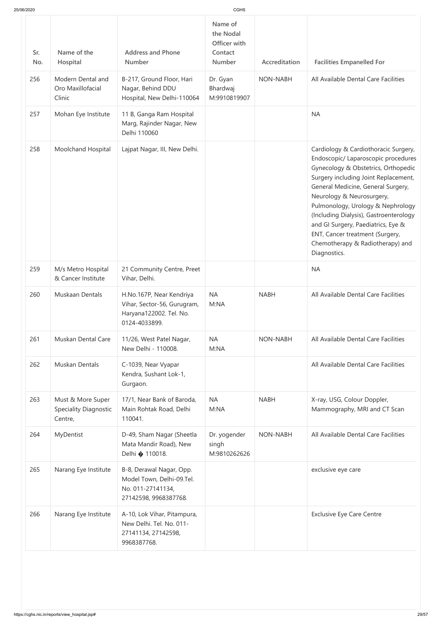| 25/06/2020 |                                                              |                                                                                                     |                                                           |                 |                                                                                                                                                                                                                                                                                                                                                                                                                                           |
|------------|--------------------------------------------------------------|-----------------------------------------------------------------------------------------------------|-----------------------------------------------------------|-----------------|-------------------------------------------------------------------------------------------------------------------------------------------------------------------------------------------------------------------------------------------------------------------------------------------------------------------------------------------------------------------------------------------------------------------------------------------|
| Sr.<br>No. | Name of the<br>Hospital                                      | <b>Address and Phone</b><br>Number                                                                  | Name of<br>the Nodal<br>Officer with<br>Contact<br>Number | Accreditation   | <b>Facilities Empanelled For</b>                                                                                                                                                                                                                                                                                                                                                                                                          |
| 256        | Modern Dental and<br>Oro Maxillofacial<br>Clinic             | B-217, Ground Floor, Hari<br>Nagar, Behind DDU<br>Hospital, New Delhi-110064                        | Dr. Gyan<br>Bhardwaj<br>M:9910819907                      | NON-NABH        | All Available Dental Care Facilities                                                                                                                                                                                                                                                                                                                                                                                                      |
| 257        | Mohan Eye Institute                                          | 11 B, Ganga Ram Hospital<br>Marg, Rajinder Nagar, New<br>Delhi 110060                               |                                                           |                 | <b>NA</b>                                                                                                                                                                                                                                                                                                                                                                                                                                 |
| 258        | Moolchand Hospital                                           | Lajpat Nagar, III, New Delhi.                                                                       |                                                           |                 | Cardiology & Cardiothoracic Surgery,<br>Endoscopic/ Laparoscopic procedures<br>Gynecology & Obstetrics, Orthopedic<br>Surgery including Joint Replacement,<br>General Medicine, General Surgery,<br>Neurology & Neurosurgery,<br>Pulmonology, Urology & Nephrology<br>(Including Dialysis), Gastroenterology<br>and GI Surgery, Paediatrics, Eye &<br>ENT, Cancer treatment (Surgery,<br>Chemotherapy & Radiotherapy) and<br>Diagnostics. |
| 259        | M/s Metro Hospital<br>& Cancer Institute                     | 21 Community Centre, Preet<br>Vihar, Delhi.                                                         |                                                           |                 | <b>NA</b>                                                                                                                                                                                                                                                                                                                                                                                                                                 |
| 260        | Muskaan Dentals                                              | H.No.167P, Near Kendriya<br>Vihar, Sector-56, Gurugram,<br>Haryana122002. Tel. No.<br>0124-4033899. | <b>NA</b><br>M:NA                                         | <b>NABH</b>     | All Available Dental Care Facilities                                                                                                                                                                                                                                                                                                                                                                                                      |
| 261        | Muskan Dental Care                                           | 11/26, West Patel Nagar,<br>New Delhi - 110008.                                                     | <b>NA</b><br>M:NA                                         | <b>NON-NABH</b> | All Available Dental Care Facilities                                                                                                                                                                                                                                                                                                                                                                                                      |
| 262        | Muskan Dentals                                               | C-1039, Near Vyapar<br>Kendra, Sushant Lok-1,<br>Gurgaon.                                           |                                                           |                 | All Available Dental Care Facilities                                                                                                                                                                                                                                                                                                                                                                                                      |
| 263        | Must & More Super<br><b>Speciality Diagnostic</b><br>Centre, | 17/1, Near Bank of Baroda,<br>Main Rohtak Road, Delhi<br>110041.                                    | <b>NA</b><br>M:NA                                         | <b>NABH</b>     | X-ray, USG, Colour Doppler,<br>Mammography, MRI and CT Scan                                                                                                                                                                                                                                                                                                                                                                               |
| 264        | MyDentist                                                    | D-49, Sham Nagar (Sheetla<br>Mata Mandir Road), New<br>Delhi � 110018.                              | Dr. yogender<br>singh<br>M:9810262626                     | NON-NABH        | All Available Dental Care Facilities                                                                                                                                                                                                                                                                                                                                                                                                      |
| 265        | Narang Eye Institute                                         | B-8, Derawal Nagar, Opp.<br>Model Town, Delhi-09.Tel.<br>No. 011-27141134,<br>27142598, 9968387768. |                                                           |                 | exclusive eye care                                                                                                                                                                                                                                                                                                                                                                                                                        |
| 266        | Narang Eye Institute                                         | A-10, Lok Vihar, Pitampura,<br>New Delhi. Tel. No. 011-<br>27141134, 27142598,<br>9968387768.       |                                                           |                 | <b>Exclusive Eye Care Centre</b>                                                                                                                                                                                                                                                                                                                                                                                                          |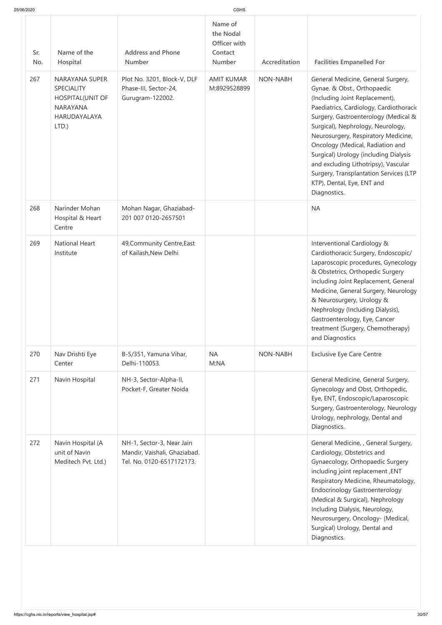| 25/06/2020 |  |
|------------|--|

| 25/06/2020 |                                                                                                                      |                                                                                        | CGHS                                                             |                 |                                                                                                                                                                                                                                                                                                                                                                                                                                                                                 |
|------------|----------------------------------------------------------------------------------------------------------------------|----------------------------------------------------------------------------------------|------------------------------------------------------------------|-----------------|---------------------------------------------------------------------------------------------------------------------------------------------------------------------------------------------------------------------------------------------------------------------------------------------------------------------------------------------------------------------------------------------------------------------------------------------------------------------------------|
| Sr.<br>No. | Name of the<br>Hospital                                                                                              | <b>Address and Phone</b><br>Number                                                     | Name of<br>the Nodal<br>Officer with<br>Contact<br><b>Number</b> | Accreditation   | <b>Facilities Empanelled For</b>                                                                                                                                                                                                                                                                                                                                                                                                                                                |
| 267        | <b>NARAYANA SUPER</b><br><b>SPECIALITY</b><br><b>HOSPITAL(UNIT OF</b><br><b>NARAYANA</b><br>HARUDAYALAYA<br>$LTD.$ ) | Plot No. 3201, Block-V, DLF<br>Phase-III, Sector-24,<br>Gurugram-122002.               | <b>AMIT KUMAR</b><br>M:8929528899                                | <b>NON-NABH</b> | General Medicine, General Surgery,<br>Gynae. & Obst., Orthopaedic<br>(Including Joint Replacement),<br>Paediatrics, Cardiology, Cardiothoracio<br>Surgery, Gastroenterology (Medical &<br>Surgical), Nephrology, Neurology,<br>Neurosurgery, Respiratory Medicine,<br>Oncology (Medical, Radiation and<br>Surgical) Urology (including Dialysis<br>and excluding Lithotripsy), Vascular<br>Surgery, Transplantation Services (LTP<br>KTP), Dental, Eye, ENT and<br>Diagnostics. |
| 268        | Narinder Mohan<br>Hospital & Heart<br>Centre                                                                         | Mohan Nagar, Ghaziabad-<br>201 007 0120-2657501                                        |                                                                  |                 | <b>NA</b>                                                                                                                                                                                                                                                                                                                                                                                                                                                                       |
| 269        | <b>National Heart</b><br>Institute                                                                                   | 49, Community Centre, East<br>of Kailash, New Delhi                                    |                                                                  |                 | Interventional Cardiology &<br>Cardiothoracic Surgery, Endoscopic/<br>Laparoscopic procedures, Gynecology<br>& Obstetrics, Orthopedic Surgery<br>including Joint Replacement, General<br>Medicine, General Surgery, Neurology<br>& Neurosurgery, Urology &<br>Nephrology (Including Dialysis),<br>Gastroenterology, Eye, Cancer<br>treatment (Surgery, Chemotherapy)<br>and Diagnostics                                                                                         |
| 270        | Nav Drishti Eye<br>Center                                                                                            | B-5/351, Yamuna Vihar,<br>Delhi-110053.                                                | <b>NA</b><br>M:NA                                                | <b>NON-NABH</b> | <b>Exclusive Eye Care Centre</b>                                                                                                                                                                                                                                                                                                                                                                                                                                                |
| 271        | Navin Hospital                                                                                                       | NH-3, Sector-Alpha-II,<br>Pocket-F, Greater Noida                                      |                                                                  |                 | General Medicine, General Surgery,<br>Gynecology and Obst, Orthopedic,<br>Eye, ENT, Endoscopic/Laparoscopic<br>Surgery, Gastroenterology, Neurology<br>Urology, nephrology, Dental and<br>Diagnostics.                                                                                                                                                                                                                                                                          |
| 272        | Navin Hospital (A<br>unit of Navin<br>Meditech Pvt. Ltd.)                                                            | NH-1, Sector-3, Near Jain<br>Mandir, Vaishali, Ghaziabad.<br>Tel. No. 0120-6517172173. |                                                                  |                 | General Medicine, , General Surgery,<br>Cardiology, Obstetrics and<br>Gynaecology, Orthopaedic Surgery<br>including joint replacement, ENT<br>Respiratory Medicine, Rheumatology,<br><b>Endocrinology Gastroenterology</b><br>(Medical & Surgical), Nephrology<br>Including Dialysis, Neurology,<br>Neurosurgery, Oncology- (Medical,<br>Surgical) Urology, Dental and<br>Diagnostics.                                                                                          |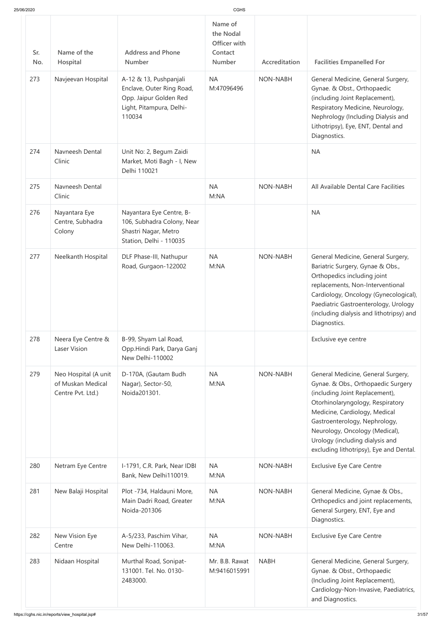|  | 25/06/2020 |  |
|--|------------|--|
|  |            |  |

| 25/06/2020        |                                                                |                                                                                                                                                                  | <b>CGHS</b>                                                                                 |                                  |                                                                                                                                                                                                                                                                                                                                  |
|-------------------|----------------------------------------------------------------|------------------------------------------------------------------------------------------------------------------------------------------------------------------|---------------------------------------------------------------------------------------------|----------------------------------|----------------------------------------------------------------------------------------------------------------------------------------------------------------------------------------------------------------------------------------------------------------------------------------------------------------------------------|
| Sr.<br>No.<br>273 | Name of the<br>Hospital<br>Navjeevan Hospital                  | <b>Address and Phone</b><br><b>Number</b><br>A-12 & 13, Pushpanjali<br>Enclave, Outer Ring Road,<br>Opp. Jaipur Golden Red<br>Light, Pitampura, Delhi-<br>110034 | Name of<br>the Nodal<br>Officer with<br>Contact<br><b>Number</b><br><b>NA</b><br>M:47096496 | Accreditation<br><b>NON-NABH</b> | <b>Facilities Empanelled For</b><br>General Medicine, General Surgery,<br>Gynae. & Obst., Orthopaedic<br>(including Joint Replacement),<br>Respiratory Medicine, Neurology,<br>Nephrology (Including Dialysis and<br>Lithotripsy), Eye, ENT, Dental and<br>Diagnostics.                                                          |
| 274               | Navneesh Dental<br>Clinic                                      | Unit No: 2, Begum Zaidi<br>Market, Moti Bagh - I, New<br>Delhi 110021                                                                                            |                                                                                             |                                  | <b>NA</b>                                                                                                                                                                                                                                                                                                                        |
| 275               | Navneesh Dental<br>Clinic                                      |                                                                                                                                                                  | <b>NA</b><br>M:NA                                                                           | <b>NON-NABH</b>                  | All Available Dental Care Facilities                                                                                                                                                                                                                                                                                             |
| 276               | Nayantara Eye<br>Centre, Subhadra<br>Colony                    | Nayantara Eye Centre, B-<br>106, Subhadra Colony, Near<br>Shastri Nagar, Metro<br>Station, Delhi - 110035                                                        |                                                                                             |                                  | <b>NA</b>                                                                                                                                                                                                                                                                                                                        |
| 277               | Neelkanth Hospital                                             | DLF Phase-III, Nathupur<br>Road, Gurgaon-122002                                                                                                                  | <b>NA</b><br>M:NA                                                                           | <b>NON-NABH</b>                  | General Medicine, General Surgery,<br>Bariatric Surgery, Gynae & Obs.,<br>Orthopedics including joint<br>replacements, Non-Interventional<br>Cardiology, Oncology (Gynecological),<br>Paediatric Gastroenterology, Urology<br>(including dialysis and lithotripsy) and<br>Diagnostics.                                           |
| 278               | Neera Eye Centre &<br><b>Laser Vision</b>                      | B-99, Shyam Lal Road,<br>Opp.Hindi Park, Darya Ganj<br>New Delhi-110002                                                                                          |                                                                                             |                                  | Exclusive eye centre                                                                                                                                                                                                                                                                                                             |
| 279               | Neo Hospital (A unit<br>of Muskan Medical<br>Centre Pvt. Ltd.) | D-170A, (Gautam Budh<br>Nagar), Sector-50,<br>Noida201301.                                                                                                       | <b>NA</b><br>M:NA                                                                           | <b>NON-NABH</b>                  | General Medicine, General Surgery,<br>Gynae. & Obs., Orthopaedic Surgery<br>(including Joint Replacement),<br>Otorhinolaryngology, Respiratory<br>Medicine, Cardiology, Medical<br>Gastroenterology, Nephrology,<br>Neurology, Oncology (Medical),<br>Urology (including dialysis and<br>excluding lithotripsy), Eye and Dental. |
| 280               | Netram Eye Centre                                              | I-1791, C.R. Park, Near IDBI<br>Bank, New Delhi110019.                                                                                                           | <b>NA</b><br>M:NA                                                                           | <b>NON-NABH</b>                  | <b>Exclusive Eye Care Centre</b>                                                                                                                                                                                                                                                                                                 |
| 281               | New Balaji Hospital                                            | Plot -734, Haldauni More,<br>Main Dadri Road, Greater<br>Noida-201306                                                                                            | <b>NA</b><br>M:NA                                                                           | <b>NON-NABH</b>                  | General Medicine, Gynae & Obs.,<br>Orthopedics and joint replacements,<br>General Surgery, ENT, Eye and<br>Diagnostics.                                                                                                                                                                                                          |
| 282               | New Vision Eye<br>Centre                                       | A-5/233, Paschim Vihar,<br>New Delhi-110063.                                                                                                                     | <b>NA</b><br>M:NA                                                                           | <b>NON-NABH</b>                  | <b>Exclusive Eye Care Centre</b>                                                                                                                                                                                                                                                                                                 |
| 283               | Nidaan Hospital                                                | Murthal Road, Sonipat-<br>131001. Tel. No. 0130-<br>2483000.                                                                                                     | Mr. B.B. Rawat<br>M:9416015991                                                              | <b>NABH</b>                      | General Medicine, General Surgery,<br>Gynae. & Obst., Orthopaedic<br>(Including Joint Replacement),<br>Cardiology-Non-Invasive, Paediatrics,<br>and Diagnostics.                                                                                                                                                                 |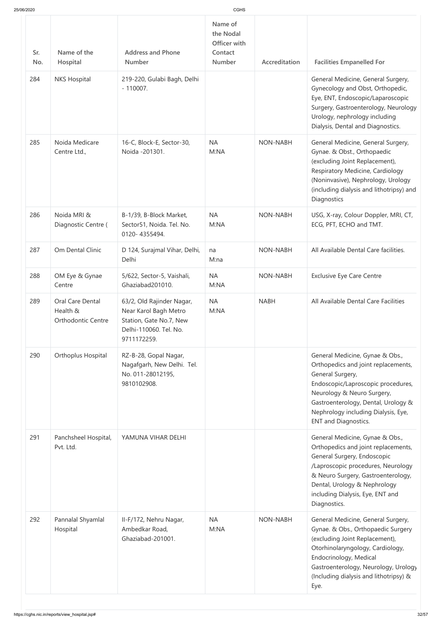| Sr.<br>No. | Name of the<br>Hospital                                          | <b>Address and Phone</b><br><b>Number</b>                                                                              | Name of<br>the Nodal<br>Officer with<br>Contact<br><b>Number</b> | Accreditation   | <b>Facilities Empanelled For</b>                                                                                                                                                                                                                                            |
|------------|------------------------------------------------------------------|------------------------------------------------------------------------------------------------------------------------|------------------------------------------------------------------|-----------------|-----------------------------------------------------------------------------------------------------------------------------------------------------------------------------------------------------------------------------------------------------------------------------|
| 284        | <b>NKS Hospital</b>                                              | 219-220, Gulabi Bagh, Delhi<br>$-110007.$                                                                              |                                                                  |                 | General Medicine, General Surgery,<br>Gynecology and Obst, Orthopedic,<br>Eye, ENT, Endoscopic/Laparoscopic<br>Surgery, Gastroenterology, Neurology<br>Urology, nephrology including<br>Dialysis, Dental and Diagnostics.                                                   |
| 285        | Noida Medicare<br>Centre Ltd.,                                   | 16-C, Block-E, Sector-30,<br>Noida -201301.                                                                            | <b>NA</b><br>M:NA                                                | <b>NON-NABH</b> | General Medicine, General Surgery,<br>Gynae. & Obst., Orthopaedic<br>(excluding Joint Replacement),<br>Respiratory Medicine, Cardiology<br>(Noninvasive), Nephrology, Urology<br>(including dialysis and lithotripsy) and<br>Diagnostics                                    |
| 286        | Noida MRI &<br>Diagnostic Centre (                               | B-1/39, B-Block Market,<br>Sector51, Noida. Tel. No.<br>0120-4355494.                                                  | <b>NA</b><br>M:NA                                                | NON-NABH        | USG, X-ray, Colour Doppler, MRI, CT,<br>ECG, PFT, ECHO and TMT.                                                                                                                                                                                                             |
| 287        | Om Dental Clinic                                                 | D 124, Surajmal Vihar, Delhi,<br>Delhi                                                                                 | na<br>M:na                                                       | NON-NABH        | All Available Dental Care facilities.                                                                                                                                                                                                                                       |
| 288        | OM Eye & Gynae<br>Centre                                         | 5/622, Sector-5, Vaishali,<br>Ghaziabad201010.                                                                         | <b>NA</b><br>M:NA                                                | <b>NON-NABH</b> | <b>Exclusive Eye Care Centre</b>                                                                                                                                                                                                                                            |
| 289        | <b>Oral Care Dental</b><br>Health &<br><b>Orthodontic Centre</b> | 63/2, Old Rajinder Nagar,<br>Near Karol Bagh Metro<br>Station, Gate No.7, New<br>Delhi-110060. Tel. No.<br>9711172259. | <b>NA</b><br>M:NA                                                | <b>NABH</b>     | All Available Dental Care Facilities                                                                                                                                                                                                                                        |
| 290        | Orthoplus Hospital                                               | RZ-B-28, Gopal Nagar,<br>Nagafgarh, New Delhi. Tel.<br>No. 011-28012195,<br>9810102908.                                |                                                                  |                 | General Medicine, Gynae & Obs.,<br>Orthopedics and joint replacements,<br>General Surgery,<br>Endoscopic/Laproscopic procedures,<br>Neurology & Neuro Surgery,<br>Gastroenterology, Dental, Urology &<br>Nephrology including Dialysis, Eye,<br><b>ENT and Diagnostics.</b> |
| 291        | Panchsheel Hospital,<br>Pvt. Ltd.                                | YAMUNA VIHAR DELHI                                                                                                     |                                                                  |                 | General Medicine, Gynae & Obs.,<br>Orthopedics and joint replacements,<br>General Surgery, Endoscopic<br>/Laproscopic procedures, Neurology<br>& Neuro Surgery, Gastroenterology,<br>Dental, Urology & Nephrology<br>including Dialysis, Eye, ENT and<br>Diagnostics.       |
| 292        | Pannalal Shyamlal<br>Hospital                                    | II-F/172, Nehru Nagar,<br>Ambedkar Road,<br>Ghaziabad-201001.                                                          | <b>NA</b><br>M:NA                                                | <b>NON-NABH</b> | General Medicine, General Surgery,<br>Gynae. & Obs., Orthopaedic Surgery<br>(excluding Joint Replacement),<br>Otorhinolaryngology, Cardiology,<br>Endocrinology, Medical<br>Gastroenterology, Neurology, Urology<br>(Including dialysis and lithotripsy) &<br>Eye.          |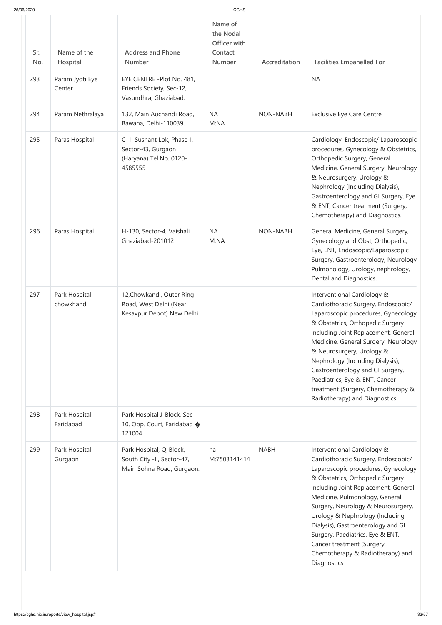| 25/06/2020 |                             |                                                                                        | CGHS                                                             |                 |                                                                                                                                                                                                                                                                                                                                                                                                                                                             |
|------------|-----------------------------|----------------------------------------------------------------------------------------|------------------------------------------------------------------|-----------------|-------------------------------------------------------------------------------------------------------------------------------------------------------------------------------------------------------------------------------------------------------------------------------------------------------------------------------------------------------------------------------------------------------------------------------------------------------------|
| Sr.<br>No. | Name of the<br>Hospital     | <b>Address and Phone</b><br><b>Number</b>                                              | Name of<br>the Nodal<br>Officer with<br>Contact<br><b>Number</b> | Accreditation   | <b>Facilities Empanelled For</b>                                                                                                                                                                                                                                                                                                                                                                                                                            |
| 293        | Param Jyoti Eye<br>Center   | EYE CENTRE - Plot No. 481,<br>Friends Society, Sec-12,<br>Vasundhra, Ghaziabad.        |                                                                  |                 | <b>NA</b>                                                                                                                                                                                                                                                                                                                                                                                                                                                   |
| 294        | Param Nethralaya            | 132, Main Auchandi Road,<br>Bawana, Delhi-110039.                                      | <b>NA</b><br>M:NA                                                | <b>NON-NABH</b> | <b>Exclusive Eye Care Centre</b>                                                                                                                                                                                                                                                                                                                                                                                                                            |
| 295        | Paras Hospital              | C-1, Sushant Lok, Phase-I,<br>Sector-43, Gurgaon<br>(Haryana) Tel.No. 0120-<br>4585555 |                                                                  |                 | Cardiology, Endoscopic/ Laparoscopic<br>procedures, Gynecology & Obstetrics,<br>Orthopedic Surgery, General<br>Medicine, General Surgery, Neurology<br>& Neurosurgery, Urology &<br>Nephrology (Including Dialysis),<br>Gastroenterology and GI Surgery, Eye<br>& ENT, Cancer treatment (Surgery,<br>Chemotherapy) and Diagnostics.                                                                                                                         |
| 296        | Paras Hospital              | H-130, Sector-4, Vaishali,<br>Ghaziabad-201012                                         | <b>NA</b><br>M:NA                                                | <b>NON-NABH</b> | General Medicine, General Surgery,<br>Gynecology and Obst, Orthopedic,<br>Eye, ENT, Endoscopic/Laparoscopic<br>Surgery, Gastroenterology, Neurology<br>Pulmonology, Urology, nephrology,<br>Dental and Diagnostics.                                                                                                                                                                                                                                         |
| 297        | Park Hospital<br>chowkhandi | 12, Chowkandi, Outer Ring<br>Road, West Delhi (Near<br>Kesavpur Depot) New Delhi       |                                                                  |                 | Interventional Cardiology &<br>Cardiothoracic Surgery, Endoscopic/<br>Laparoscopic procedures, Gynecology<br>& Obstetrics, Orthopedic Surgery<br>including Joint Replacement, General<br>Medicine, General Surgery, Neurology<br>& Neurosurgery, Urology &<br>Nephrology (Including Dialysis),<br>Gastroenterology and GI Surgery,<br>Paediatrics, Eye & ENT, Cancer<br>treatment (Surgery, Chemotherapy &<br>Radiotherapy) and Diagnostics                 |
| 298        | Park Hospital<br>Faridabad  | Park Hospital J-Block, Sec-<br>10, Opp. Court, Faridabad �<br>121004                   |                                                                  |                 |                                                                                                                                                                                                                                                                                                                                                                                                                                                             |
| 299        | Park Hospital<br>Gurgaon    | Park Hospital, Q-Block,<br>South City -II, Sector-47,<br>Main Sohna Road, Gurgaon.     | na<br>M:7503141414                                               | <b>NABH</b>     | Interventional Cardiology &<br>Cardiothoracic Surgery, Endoscopic/<br>Laparoscopic procedures, Gynecology<br>& Obstetrics, Orthopedic Surgery<br>including Joint Replacement, General<br>Medicine, Pulmonology, General<br>Surgery, Neurology & Neurosurgery,<br>Urology & Nephrology (Including<br>Dialysis), Gastroenterology and GI<br>Surgery, Paediatrics, Eye & ENT,<br>Cancer treatment (Surgery,<br>Chemotherapy & Radiotherapy) and<br>Diagnostics |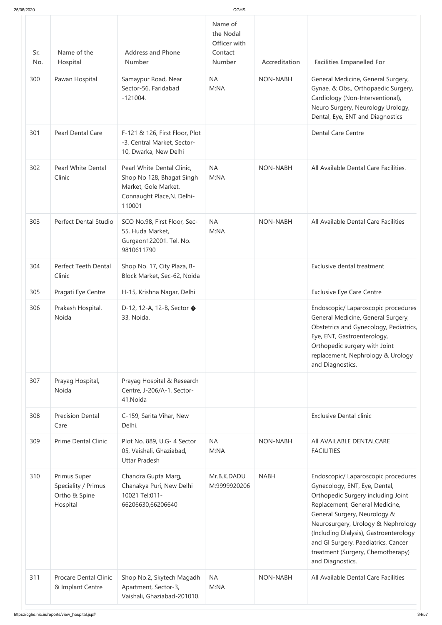| 25/06/2020        |                                                                  |                                                                                                                         | <b>CGHS</b>                                                                           |                                  |                                                                                                                                                                                                                                                                                                                                                              |
|-------------------|------------------------------------------------------------------|-------------------------------------------------------------------------------------------------------------------------|---------------------------------------------------------------------------------------|----------------------------------|--------------------------------------------------------------------------------------------------------------------------------------------------------------------------------------------------------------------------------------------------------------------------------------------------------------------------------------------------------------|
| Sr.<br>No.<br>300 | Name of the<br>Hospital<br>Pawan Hospital                        | <b>Address and Phone</b><br><b>Number</b><br>Samaypur Road, Near<br>Sector-56, Faridabad<br>$-121004.$                  | Name of<br>the Nodal<br>Officer with<br>Contact<br><b>Number</b><br><b>NA</b><br>M:NA | Accreditation<br><b>NON-NABH</b> | <b>Facilities Empanelled For</b><br>General Medicine, General Surgery,<br>Gynae. & Obs., Orthopaedic Surgery,<br>Cardiology (Non-Interventional),<br>Neuro Surgery, Neurology Urology,<br>Dental, Eye, ENT and Diagnostics                                                                                                                                   |
| 301               | <b>Pearl Dental Care</b>                                         | F-121 & 126, First Floor, Plot<br>-3, Central Market, Sector-<br>10, Dwarka, New Delhi                                  |                                                                                       |                                  | <b>Dental Care Centre</b>                                                                                                                                                                                                                                                                                                                                    |
| 302               | <b>Pearl White Dental</b><br>Clinic                              | Pearl White Dental Clinic,<br>Shop No 128, Bhagat Singh<br>Market, Gole Market,<br>Connaught Place, N. Delhi-<br>110001 | <b>NA</b><br>M:NA                                                                     | <b>NON-NABH</b>                  | All Available Dental Care Facilities.                                                                                                                                                                                                                                                                                                                        |
| 303               | <b>Perfect Dental Studio</b>                                     | SCO No.98, First Floor, Sec-<br>55, Huda Market,<br>Gurgaon122001. Tel. No.<br>9810611790                               | <b>NA</b><br>M:NA                                                                     | <b>NON-NABH</b>                  | All Available Dental Care Facilities                                                                                                                                                                                                                                                                                                                         |
| 304               | <b>Perfect Teeth Dental</b><br>Clinic                            | Shop No. 17, City Plaza, B-<br>Block Market, Sec-62, Noida                                                              |                                                                                       |                                  | Exclusive dental treatment                                                                                                                                                                                                                                                                                                                                   |
| 305               | Pragati Eye Centre                                               | H-15, Krishna Nagar, Delhi                                                                                              |                                                                                       |                                  | <b>Exclusive Eye Care Centre</b>                                                                                                                                                                                                                                                                                                                             |
| 306               | Prakash Hospital,<br>Noida                                       | D-12, 12-A, 12-B, Sector $\bigcirc$<br>33, Noida.                                                                       |                                                                                       |                                  | Endoscopic/ Laparoscopic procedures<br>General Medicine, General Surgery,<br>Obstetrics and Gynecology, Pediatrics,<br>Eye, ENT, Gastroenterology,<br>Orthopedic surgery with Joint<br>replacement, Nephrology & Urology<br>and Diagnostics.                                                                                                                 |
| 307               | Prayag Hospital,<br>Noida                                        | Prayag Hospital & Research<br>Centre, J-206/A-1, Sector-<br>41, Noida                                                   |                                                                                       |                                  |                                                                                                                                                                                                                                                                                                                                                              |
| 308               | <b>Precision Dental</b><br>Care                                  | C-159, Sarita Vihar, New<br>Delhi.                                                                                      |                                                                                       |                                  | <b>Exclusive Dental clinic</b>                                                                                                                                                                                                                                                                                                                               |
| 309               | <b>Prime Dental Clinic</b>                                       | Plot No. 889, U.G- 4 Sector<br>05, Vaishali, Ghaziabad,<br><b>Uttar Pradesh</b>                                         | <b>NA</b><br>M:NA                                                                     | <b>NON-NABH</b>                  | All AVAILABLE DENTALCARE<br><b>FACILITIES</b>                                                                                                                                                                                                                                                                                                                |
| 310               | Primus Super<br>Speciality / Primus<br>Ortho & Spine<br>Hospital | Chandra Gupta Marg,<br>Chanakya Puri, New Delhi<br>10021 Tel:011-<br>66206630,66206640                                  | Mr.B.K.DADU<br>M:9999920206                                                           | <b>NABH</b>                      | Endoscopic/ Laparoscopic procedures<br>Gynecology, ENT, Eye, Dental,<br>Orthopedic Surgery including Joint<br>Replacement, General Medicine,<br>General Surgery, Neurology &<br>Neurosurgery, Urology & Nephrology<br>(Including Dialysis), Gastroenterology<br>and GI Surgery, Paediatrics, Cancer<br>treatment (Surgery, Chemotherapy)<br>and Diagnostics. |
| 311               | <b>Procare Dental Clinic</b><br>& Implant Centre                 | Shop No.2, Skytech Magadh<br>Apartment, Sector-3,<br>Vaishali, Ghaziabad-201010.                                        | <b>NA</b><br>M:NA                                                                     | <b>NON-NABH</b>                  | All Available Dental Care Facilities                                                                                                                                                                                                                                                                                                                         |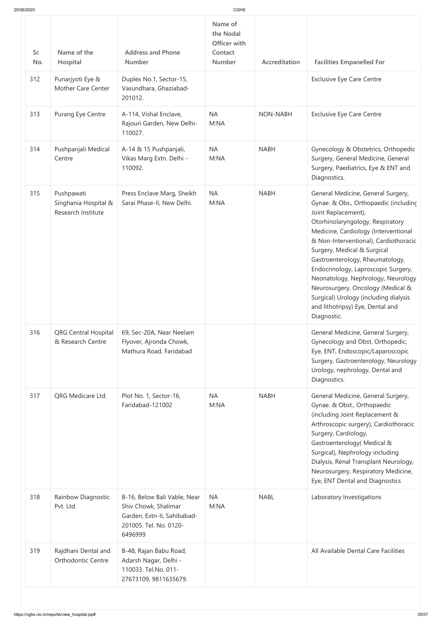| Sr.<br>No. | Name of the<br>Hospital                                  | <b>Address and Phone</b><br><b>Number</b>                                                                                | Name of<br>the Nodal<br>Officer with<br>Contact<br><b>Number</b> | Accreditation   | <b>Facilities Empanelled For</b>                                                                                                                                                                                                                                                                                                                                                                                                                                                                        |
|------------|----------------------------------------------------------|--------------------------------------------------------------------------------------------------------------------------|------------------------------------------------------------------|-----------------|---------------------------------------------------------------------------------------------------------------------------------------------------------------------------------------------------------------------------------------------------------------------------------------------------------------------------------------------------------------------------------------------------------------------------------------------------------------------------------------------------------|
| 312        | Punarjyoti Eye &<br><b>Mother Care Center</b>            | Duplex No.1, Sector-15,<br>Vasundhara, Ghaziabad-<br>201012.                                                             |                                                                  |                 | <b>Exclusive Eye Care Centre</b>                                                                                                                                                                                                                                                                                                                                                                                                                                                                        |
| 313        | Purang Eye Centre                                        | A-114, Vishal Enclave,<br>Rajouri Garden, New Delhi-<br>110027.                                                          | <b>NA</b><br>M:NA                                                | <b>NON-NABH</b> | <b>Exclusive Eye Care Centre</b>                                                                                                                                                                                                                                                                                                                                                                                                                                                                        |
| 314        | Pushpanjali Medical<br>Centre                            | A-14 & 15 Pushpanjali,<br>Vikas Marg Extn. Delhi -<br>110092.                                                            | <b>NA</b><br>M:NA                                                | <b>NABH</b>     | Gynecology & Obstetrics, Orthopedic<br>Surgery, General Medicine, General<br>Surgery, Paediatrics, Eye & ENT and<br>Diagnostics.                                                                                                                                                                                                                                                                                                                                                                        |
| 315        | Pushpawati<br>Singhania Hospital &<br>Research Institute | Press Enclave Marg, Sheikh<br>Sarai Phase-II, New Delhi.                                                                 | <b>NA</b><br>M:NA                                                | <b>NABH</b>     | General Medicine, General Surgery,<br>Gynae. & Obs., Orthopaedic (including<br>Joint Replacement),<br>Otorhinolaryngology, Respiratory<br>Medicine, Cardiology (Interventional<br>& Non-Interventional), Cardiothoracic<br>Surgery, Medical & Surgical<br>Gastroenterology, Rheumatology,<br>Endocrinology, Laproscopic Surgery,<br>Neonatology, Nephrology, Neurology<br>Neurosurgery, Oncology (Medical &<br>Surgical) Urology (including dialysis<br>and lithotripsy) Eye, Dental and<br>Diagnostic. |
| 316        | <b>QRG Central Hospital</b><br>& Research Centre         | 69, Sec-20A, Near Neelam<br>Flyover, Ajronda Chowk,<br>Mathura Road, Faridabad                                           |                                                                  |                 | General Medicine, General Surgery,<br>Gynecology and Obst, Orthopedic,<br>Eye, ENT, Endoscopic/Laparoscopic<br>Surgery, Gastroenterology, Neurology<br>Urology, nephrology, Dental and<br>Diagnostics.                                                                                                                                                                                                                                                                                                  |
| 317        | QRG Medicare Ltd.                                        | Plot No. 1, Sector-16,<br>Faridabad-121002                                                                               | <b>NA</b><br>M:NA                                                | <b>NABH</b>     | General Medicine, General Surgery,<br>Gynae. & Obst., Orthopaedic<br>(including Joint Replacement &<br>Arthroscopic surgery), Cardiothoracic<br>Surgery, Cardiology,<br>Gastroenterology (Medical &<br>Surgical), Nephrology including<br>Dialysis, Renal Transplant Neurology,<br>Neurosurgery, Respiratory Medicine,<br>Eye, ENT Dental and Diagnostics                                                                                                                                               |
| 318        | Rainbow Diagnostic<br>Pvt. Ltd.                          | B-16, Below Bali Vable, Near<br>Shiv Chowk, Shalimar<br>Garden, Extn-II, Sahibabad-<br>201005. Tel. No. 0120-<br>6496999 | <b>NA</b><br>M:NA                                                | <b>NABL</b>     | Laboratory Investigations                                                                                                                                                                                                                                                                                                                                                                                                                                                                               |
| 319        | Rajdhani Dental and<br>Orthodontic Centre                | B-48, Rajan Babu Road,<br>Adarsh Nagar, Delhi -<br>110033. Tel.No. 011-<br>27673109, 9811635679.                         |                                                                  |                 | All Available Dental Care Facilities                                                                                                                                                                                                                                                                                                                                                                                                                                                                    |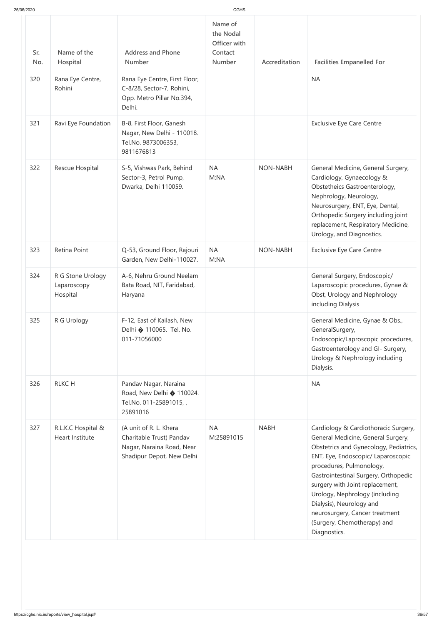| 25/06/2020 |                                              |                                                                                                              | <b>CGHS</b>                                                      |                 |                                                                                                                                                                                                                                                                                                                                                                                                                  |
|------------|----------------------------------------------|--------------------------------------------------------------------------------------------------------------|------------------------------------------------------------------|-----------------|------------------------------------------------------------------------------------------------------------------------------------------------------------------------------------------------------------------------------------------------------------------------------------------------------------------------------------------------------------------------------------------------------------------|
| Sr.<br>No. | Name of the<br>Hospital                      | <b>Address and Phone</b><br><b>Number</b>                                                                    | Name of<br>the Nodal<br>Officer with<br>Contact<br><b>Number</b> | Accreditation   | <b>Facilities Empanelled For</b>                                                                                                                                                                                                                                                                                                                                                                                 |
| 320        | Rana Eye Centre,<br>Rohini                   | Rana Eye Centre, First Floor,<br>C-8/28, Sector-7, Rohini,<br>Opp. Metro Pillar No.394,<br>Delhi.            |                                                                  |                 | <b>NA</b>                                                                                                                                                                                                                                                                                                                                                                                                        |
| 321        | Ravi Eye Foundation                          | B-8, First Floor, Ganesh<br>Nagar, New Delhi - 110018.<br>Tel.No. 9873006353,<br>9811676813                  |                                                                  |                 | <b>Exclusive Eye Care Centre</b>                                                                                                                                                                                                                                                                                                                                                                                 |
| 322        | Rescue Hospital                              | S-5, Vishwas Park, Behind<br>Sector-3, Petrol Pump,<br>Dwarka, Delhi 110059.                                 | <b>NA</b><br>M:NA                                                | <b>NON-NABH</b> | General Medicine, General Surgery,<br>Cardiology, Gynaecology &<br>Obstetheics Gastroenterology,<br>Nephrology, Neurology,<br>Neurosurgery, ENT, Eye, Dental,<br>Orthopedic Surgery including joint<br>replacement, Respiratory Medicine,<br>Urology, and Diagnostics.                                                                                                                                           |
| 323        | Retina Point                                 | Q-53, Ground Floor, Rajouri<br>Garden, New Delhi-110027.                                                     | <b>NA</b><br>M:NA                                                | NON-NABH        | <b>Exclusive Eye Care Centre</b>                                                                                                                                                                                                                                                                                                                                                                                 |
| 324        | R G Stone Urology<br>Laparoscopy<br>Hospital | A-6, Nehru Ground Neelam<br>Bata Road, NIT, Faridabad,<br>Haryana                                            |                                                                  |                 | General Surgery, Endoscopic/<br>Laparoscopic procedures, Gynae &<br>Obst, Urology and Nephrology<br>including Dialysis                                                                                                                                                                                                                                                                                           |
| 325        | R G Urology                                  | F-12, East of Kailash, New<br>Delhi � 110065. Tel. No.<br>011-71056000                                       |                                                                  |                 | General Medicine, Gynae & Obs.,<br>GeneralSurgery,<br>Endoscopic/Laproscopic procedures,<br>Gastroenterology and GI- Surgery,<br>Urology & Nephrology including<br>Dialysis.                                                                                                                                                                                                                                     |
| 326        | <b>RLKCH</b>                                 | Pandav Nagar, Naraina<br>Road, New Delhi � 110024.<br>Tel.No. 011-25891015,,<br>25891016                     |                                                                  |                 | <b>NA</b>                                                                                                                                                                                                                                                                                                                                                                                                        |
| 327        | R.L.K.C Hospital &<br>Heart Institute        | (A unit of R. L. Khera<br>Charitable Trust) Pandav<br>Nagar, Naraina Road, Near<br>Shadipur Depot, New Delhi | <b>NA</b><br>M:25891015                                          | <b>NABH</b>     | Cardiology & Cardiothoracic Surgery,<br>General Medicine, General Surgery,<br>Obstetrics and Gynecology, Pediatrics,<br>ENT, Eye, Endoscopic/ Laparoscopic<br>procedures, Pulmonology,<br>Gastrointestinal Surgery, Orthopedic<br>surgery with Joint replacement,<br>Urology, Nephrology (including<br>Dialysis), Neurology and<br>neurosurgery, Cancer treatment<br>(Surgery, Chemotherapy) and<br>Diagnostics. |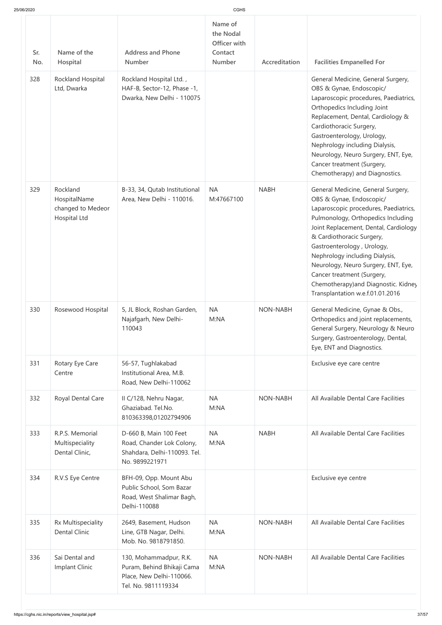| 25/06/2020 |  |  |
|------------|--|--|
|            |  |  |

| 25/06/2020        |                                                               |                                                                                                                                   | CGHS                                                      |                 |                                                                                                                                                                                                                                                                                                                                                                                                                                      |
|-------------------|---------------------------------------------------------------|-----------------------------------------------------------------------------------------------------------------------------------|-----------------------------------------------------------|-----------------|--------------------------------------------------------------------------------------------------------------------------------------------------------------------------------------------------------------------------------------------------------------------------------------------------------------------------------------------------------------------------------------------------------------------------------------|
| Sr.<br>No.<br>328 | Name of the<br>Hospital<br>Rockland Hospital<br>Ltd, Dwarka   | <b>Address and Phone</b><br><b>Number</b><br>Rockland Hospital Ltd.,<br>HAF-B, Sector-12, Phase -1,<br>Dwarka, New Delhi - 110075 | Name of<br>the Nodal<br>Officer with<br>Contact<br>Number | Accreditation   | <b>Facilities Empanelled For</b><br>General Medicine, General Surgery,<br>OBS & Gynae, Endoscopic/<br>Laparoscopic procedures, Paediatrics,<br>Orthopedics Including Joint<br>Replacement, Dental, Cardiology &<br>Cardiothoracic Surgery,<br>Gastroenterology, Urology,<br>Nephrology including Dialysis,<br>Neurology, Neuro Surgery, ENT, Eye,<br>Cancer treatment (Surgery,<br>Chemotherapy) and Diagnostics.                    |
| 329               | Rockland<br>HospitalName<br>changed to Medeor<br>Hospital Ltd | B-33, 34, Qutab Institutional<br>Area, New Delhi - 110016.                                                                        | <b>NA</b><br>M:47667100                                   | <b>NABH</b>     | General Medicine, General Surgery,<br>OBS & Gynae, Endoscopic/<br>Laparoscopic procedures, Paediatrics,<br>Pulmonology, Orthopedics Including<br>Joint Replacement, Dental, Cardiology<br>& Cardiothoracic Surgery,<br>Gastroenterology, Urology,<br>Nephrology including Dialysis,<br>Neurology, Neuro Surgery, ENT, Eye,<br>Cancer treatment (Surgery,<br>Chemotherapy) and Diagnostic. Kidney<br>Transplantation w.e.f.01.01.2016 |
| 330               | Rosewood Hospital                                             | 5, JL Block, Roshan Garden,<br>Najafgarh, New Delhi-<br>110043                                                                    | <b>NA</b><br>M:NA                                         | <b>NON-NABH</b> | General Medicine, Gynae & Obs.,<br>Orthopedics and joint replacements,<br>General Surgery, Neurology & Neuro<br>Surgery, Gastroenterology, Dental,<br>Eye, ENT and Diagnostics.                                                                                                                                                                                                                                                      |
| 331               | Rotary Eye Care<br>Centre                                     | 56-57, Tughlakabad<br>Institutional Area, M.B.<br>Road, New Delhi-110062                                                          |                                                           |                 | Exclusive eye care centre                                                                                                                                                                                                                                                                                                                                                                                                            |
| 332               | Royal Dental Care                                             | II C/128, Nehru Nagar,<br>Ghaziabad. Tel.No.<br>810363398,01202794906                                                             | <b>NA</b><br>M:NA                                         | <b>NON-NABH</b> | All Available Dental Care Facilities                                                                                                                                                                                                                                                                                                                                                                                                 |
| 333               | R.P.S. Memorial<br>Multispeciality<br>Dental Clinic,          | D-660 B, Main 100 Feet<br>Road, Chander Lok Colony,<br>Shahdara, Delhi-110093. Tel.<br>No. 9899221971                             | <b>NA</b><br>M:NA                                         | <b>NABH</b>     | All Available Dental Care Facilities                                                                                                                                                                                                                                                                                                                                                                                                 |
| 334               | R.V.S Eye Centre                                              | BFH-09, Opp. Mount Abu<br>Public School, Som Bazar<br>Road, West Shalimar Bagh,<br>Delhi-110088                                   |                                                           |                 | Exclusive eye centre                                                                                                                                                                                                                                                                                                                                                                                                                 |
| 335               | Rx Multispeciality<br><b>Dental Clinic</b>                    | 2649, Basement, Hudson<br>Line, GTB Nagar, Delhi.<br>Mob. No. 9818791850.                                                         | <b>NA</b><br>M:NA                                         | <b>NON-NABH</b> | All Available Dental Care Facilities                                                                                                                                                                                                                                                                                                                                                                                                 |
| 336               | Sai Dental and<br>Implant Clinic                              | 130, Mohammadpur, R.K.<br>Puram, Behind Bhikaji Cama<br>Place, New Delhi-110066.<br>Tel. No. 9811119334                           | <b>NA</b><br>M:NA                                         | <b>NON-NABH</b> | All Available Dental Care Facilities                                                                                                                                                                                                                                                                                                                                                                                                 |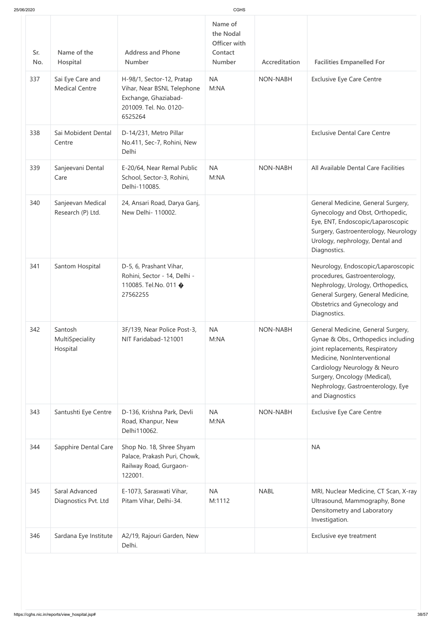| 25/06/2020 |                                           |                                                                                                                      |                                                           |                 |                                                                                                                                                                                                                                                                     |
|------------|-------------------------------------------|----------------------------------------------------------------------------------------------------------------------|-----------------------------------------------------------|-----------------|---------------------------------------------------------------------------------------------------------------------------------------------------------------------------------------------------------------------------------------------------------------------|
| Sr.<br>No. | Name of the<br>Hospital                   | <b>Address and Phone</b><br><b>Number</b>                                                                            | Name of<br>the Nodal<br>Officer with<br>Contact<br>Number | Accreditation   | <b>Facilities Empanelled For</b>                                                                                                                                                                                                                                    |
| 337        | Sai Eye Care and<br><b>Medical Centre</b> | H-98/1, Sector-12, Pratap<br>Vihar, Near BSNL Telephone<br>Exchange, Ghaziabad-<br>201009. Tel. No. 0120-<br>6525264 | <b>NA</b><br>M:NA                                         | NON-NABH        | <b>Exclusive Eye Care Centre</b>                                                                                                                                                                                                                                    |
| 338        | Sai Mobident Dental<br>Centre             | D-14/231, Metro Pillar<br>No.411, Sec-7, Rohini, New<br>Delhi                                                        |                                                           |                 | <b>Exclusive Dental Care Centre</b>                                                                                                                                                                                                                                 |
| 339        | Sanjeevani Dental<br>Care                 | E-20/64, Near Remal Public<br>School, Sector-3, Rohini,<br>Delhi-110085.                                             | <b>NA</b><br>M:NA                                         | <b>NON-NABH</b> | All Available Dental Care Facilities                                                                                                                                                                                                                                |
| 340        | Sanjeevan Medical<br>Research (P) Ltd.    | 24, Ansari Road, Darya Ganj,<br>New Delhi- 110002.                                                                   |                                                           |                 | General Medicine, General Surgery,<br>Gynecology and Obst, Orthopedic,<br>Eye, ENT, Endoscopic/Laparoscopic<br>Surgery, Gastroenterology, Neurology<br>Urology, nephrology, Dental and<br>Diagnostics.                                                              |
| 341        | Santom Hospital                           | D-5, 6, Prashant Vihar,<br>Rohini, Sector - 14, Delhi -<br>110085. Tel.No. 011 �<br>27562255                         |                                                           |                 | Neurology, Endoscopic/Laparoscopic<br>procedures, Gastroenterology,<br>Nephrology, Urology, Orthopedics,<br>General Surgery, General Medicine,<br>Obstetrics and Gynecology and<br>Diagnostics.                                                                     |
| 342        | Santosh<br>MultiSpeciality<br>Hospital    | 3F/139, Near Police Post-3,<br>NIT Faridabad-121001                                                                  | <b>NA</b><br>M:NA                                         | <b>NON-NABH</b> | General Medicine, General Surgery,<br>Gynae & Obs., Orthopedics including<br>joint replacements, Respiratory<br>Medicine, NonInterventional<br>Cardiology Neurology & Neuro<br>Surgery, Oncology (Medical),<br>Nephrology, Gastroenterology, Eye<br>and Diagnostics |
| 343        | Santushti Eye Centre                      | D-136, Krishna Park, Devli<br>Road, Khanpur, New<br>Delhi110062.                                                     | <b>NA</b><br>M:NA                                         | <b>NON-NABH</b> | <b>Exclusive Eye Care Centre</b>                                                                                                                                                                                                                                    |
| 344        | Sapphire Dental Care                      | Shop No. 18, Shree Shyam<br>Palace, Prakash Puri, Chowk,<br>Railway Road, Gurgaon-<br>122001.                        |                                                           |                 | <b>NA</b>                                                                                                                                                                                                                                                           |
| 345        | Saral Advanced<br>Diagnostics Pvt. Ltd    | E-1073, Saraswati Vihar,<br>Pitam Vihar, Delhi-34.                                                                   | <b>NA</b><br>M:1112                                       | <b>NABL</b>     | MRI, Nuclear Medicine, CT Scan, X-ray<br>Ultrasound, Mammography, Bone<br>Densitometry and Laboratory<br>Investigation.                                                                                                                                             |
| 346        | Sardana Eye Institute                     | A2/19, Rajouri Garden, New<br>Delhi.                                                                                 |                                                           |                 | Exclusive eye treatment                                                                                                                                                                                                                                             |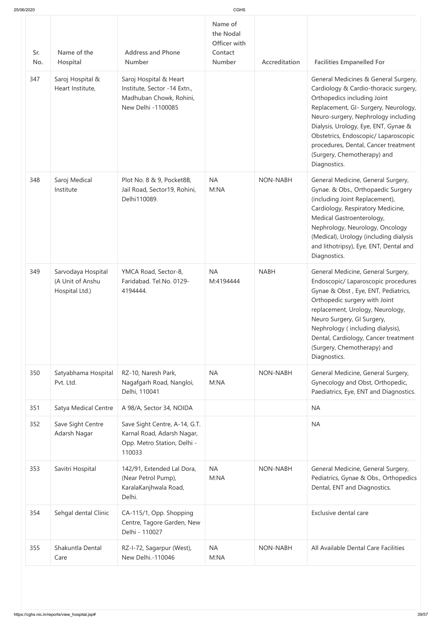| 25/06/2020 |  |  |
|------------|--|--|
|            |  |  |

| 25/06/2020 |                                                          |                                                                                                         | <b>CGHS</b>                                                      |                 |                                                                                                                                                                                                                                                                                                                                                                    |
|------------|----------------------------------------------------------|---------------------------------------------------------------------------------------------------------|------------------------------------------------------------------|-----------------|--------------------------------------------------------------------------------------------------------------------------------------------------------------------------------------------------------------------------------------------------------------------------------------------------------------------------------------------------------------------|
| Sr.<br>No. | Name of the<br>Hospital                                  | <b>Address and Phone</b><br><b>Number</b>                                                               | Name of<br>the Nodal<br>Officer with<br>Contact<br><b>Number</b> | Accreditation   | <b>Facilities Empanelled For</b>                                                                                                                                                                                                                                                                                                                                   |
| 347        | Saroj Hospital &<br>Heart Institute,                     | Saroj Hospital & Heart<br>Institute, Sector -14 Extn.,<br>Madhuban Chowk, Rohini,<br>New Delhi -1100085 |                                                                  |                 | General Medicines & General Surgery,<br>Cardiology & Cardio-thoracic surgery,<br>Orthopedics including Joint<br>Replacement, GI- Surgery, Neurology,<br>Neuro-surgery, Nephrology including<br>Dialysis, Urology, Eye, ENT, Gynae &<br>Obstetrics, Endoscopic/ Laparoscopic<br>procedures, Dental, Cancer treatment<br>(Surgery, Chemotherapy) and<br>Diagnostics. |
| 348        | Saroj Medical<br>Institute                               | Plot No. 8 & 9, Pocket8B,<br>Jail Road, Sector19, Rohini,<br>Delhi110089.                               | <b>NA</b><br>M:NA                                                | <b>NON-NABH</b> | General Medicine, General Surgery,<br>Gynae. & Obs., Orthopaedic Surgery<br>(including Joint Replacement),<br>Cardiology, Respiratory Medicine,<br>Medical Gastroenterology,<br>Nephrology, Neurology, Oncology<br>(Medical), Urology (including dialysis<br>and lithotripsy), Eye, ENT, Dental and<br>Diagnostics.                                                |
| 349        | Sarvodaya Hospital<br>(A Unit of Anshu<br>Hospital Ltd.) | YMCA Road, Sector-8,<br>Faridabad. Tel.No. 0129-<br>4194444.                                            | <b>NA</b><br>M:4194444                                           | <b>NABH</b>     | General Medicine, General Surgery,<br>Endoscopic/ Laparoscopic procedures<br>Gynae & Obst, Eye, ENT, Pediatrics,<br>Orthopedic surgery with Joint<br>replacement, Urology, Neurology,<br>Neuro Surgery, GI Surgery,<br>Nephrology (including dialysis),<br>Dental, Cardiology, Cancer treatment<br>(Surgery, Chemotherapy) and<br>Diagnostics.                     |
| 350        | Satyabhama Hospital<br>Pvt. Ltd.                         | RZ-10, Naresh Park,<br>Nagafgarh Road, Nangloi,<br>Delhi, 110041                                        | <b>NA</b><br>M:NA                                                | NON-NABH        | General Medicine, General Surgery,<br>Gynecology and Obst, Orthopedic,<br>Paediatrics, Eye, ENT and Diagnostics.                                                                                                                                                                                                                                                   |
| 351        | <b>Satya Medical Centre</b>                              | A 98/A, Sector 34, NOIDA                                                                                |                                                                  |                 | <b>NA</b>                                                                                                                                                                                                                                                                                                                                                          |
| 352        | Save Sight Centre<br>Adarsh Nagar                        | Save Sight Centre, A-14, G.T.<br>Karnal Road, Adarsh Nagar,<br>Opp. Metro Station, Delhi -<br>110033    |                                                                  |                 | <b>NA</b>                                                                                                                                                                                                                                                                                                                                                          |
| 353        | Savitri Hospital                                         | 142/91, Extended Lal Dora,<br>(Near Petrol Pump),<br>KaralaKanjhwala Road,<br>Delhi.                    | <b>NA</b><br>M:NA                                                | NON-NABH        | General Medicine, General Surgery,<br>Pediatrics, Gynae & Obs., Orthopedics<br>Dental, ENT and Diagnostics.                                                                                                                                                                                                                                                        |
| 354        | Sehgal dental Clinic                                     | CA-115/1, Opp. Shopping<br>Centre, Tagore Garden, New<br>Delhi - 110027                                 |                                                                  |                 | Exclusive dental care                                                                                                                                                                                                                                                                                                                                              |
| 355        | Shakuntla Dental<br>Care                                 | RZ-I-72, Sagarpur (West),<br>New Delhi.-110046                                                          | <b>NA</b><br>M:NA                                                | NON-NABH        | All Available Dental Care Facilities                                                                                                                                                                                                                                                                                                                               |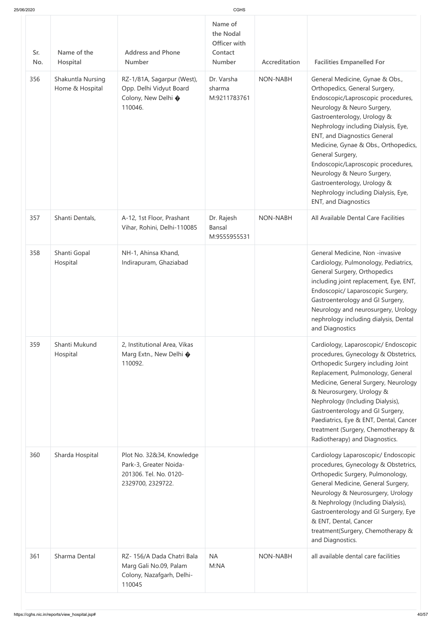|  | 25/06/2020 |
|--|------------|
|  |            |

| 25/06/2020 |                                                       |                                                                                                                     | CGHS                                                             |                 |                                                                                                                                                                                                                                                                                                                                                                                                                                                                                                                                                                                                                                                                                 |
|------------|-------------------------------------------------------|---------------------------------------------------------------------------------------------------------------------|------------------------------------------------------------------|-----------------|---------------------------------------------------------------------------------------------------------------------------------------------------------------------------------------------------------------------------------------------------------------------------------------------------------------------------------------------------------------------------------------------------------------------------------------------------------------------------------------------------------------------------------------------------------------------------------------------------------------------------------------------------------------------------------|
| Sr.<br>No. | Name of the<br>Hospital                               | <b>Address and Phone</b><br><b>Number</b>                                                                           | Name of<br>the Nodal<br>Officer with<br>Contact<br><b>Number</b> | Accreditation   | <b>Facilities Empanelled For</b>                                                                                                                                                                                                                                                                                                                                                                                                                                                                                                                                                                                                                                                |
| 356        | Shakuntla Nursing<br>Home & Hospital                  | RZ-1/81A, Sagarpur (West),<br>Opp. Delhi Vidyut Board<br>Colony, New Delhi �<br>110046.                             | Dr. Varsha<br>sharma<br>M:9211783761                             | <b>NON-NABH</b> | General Medicine, Gynae & Obs.,<br>Orthopedics, General Surgery,<br>Endoscopic/Laproscopic procedures,<br>Neurology & Neuro Surgery,<br>Gastroenterology, Urology &<br>Nephrology including Dialysis, Eye,<br><b>ENT, and Diagnostics General</b><br>Medicine, Gynae & Obs., Orthopedics,<br>General Surgery,<br>Endoscopic/Laproscopic procedures,<br>Neurology & Neuro Surgery,<br>Gastroenterology, Urology &<br>Nephrology including Dialysis, Eye,<br><b>ENT, and Diagnostics</b>                                                                                                                                                                                          |
| 357        | Shanti Dentals,                                       | A-12, 1st Floor, Prashant<br>Vihar, Rohini, Delhi-110085                                                            | Dr. Rajesh<br><b>Bansal</b><br>M:9555955531                      | <b>NON-NABH</b> | All Available Dental Care Facilities                                                                                                                                                                                                                                                                                                                                                                                                                                                                                                                                                                                                                                            |
| 358<br>359 | Shanti Gopal<br>Hospital<br>Shanti Mukund<br>Hospital | NH-1, Ahinsa Khand,<br>Indirapuram, Ghaziabad<br>2, Institutional Area, Vikas<br>Marg Extn., New Delhi �<br>110092. |                                                                  |                 | General Medicine, Non -invasive<br>Cardiology, Pulmonology, Pediatrics,<br>General Surgery, Orthopedics<br>including joint replacement, Eye, ENT,<br>Endoscopic/ Laparoscopic Surgery,<br>Gastroenterology and GI Surgery,<br>Neurology and neurosurgery, Urology<br>nephrology including dialysis, Dental<br>and Diagnostics<br>Cardiology, Laparoscopic/ Endoscopic<br>procedures, Gynecology & Obstetrics,<br>Orthopedic Surgery including Joint<br>Replacement, Pulmonology, General<br>Medicine, General Surgery, Neurology<br>& Neurosurgery, Urology &<br>Nephrology (Including Dialysis),<br>Gastroenterology and GI Surgery,<br>Paediatrics, Eye & ENT, Dental, Cancer |
| 360        | Sharda Hospital                                       | Plot No. 32&34, Knowledge<br>Park-3, Greater Noida-<br>201306. Tel. No. 0120-<br>2329700, 2329722.                  |                                                                  |                 | treatment (Surgery, Chemotherapy &<br>Radiotherapy) and Diagnostics.<br>Cardiology Laparoscopic/ Endoscopic<br>procedures, Gynecology & Obstetrics,<br>Orthopedic Surgery, Pulmonology,<br>General Medicine, General Surgery,<br>Neurology & Neurosurgery, Urology<br>& Nephrology (Including Dialysis),<br>Gastroenterology and GI Surgery, Eye<br>& ENT, Dental, Cancer<br>treatment(Surgery, Chemotherapy &<br>and Diagnostics.                                                                                                                                                                                                                                              |
| 361        | Sharma Dental                                         | RZ-156/A Dada Chatri Bala<br>Marg Gali No.09, Palam<br>Colony, Nazafgarh, Delhi-<br>110045                          | <b>NA</b><br>M:NA                                                | <b>NON-NABH</b> | all available dental care facilities                                                                                                                                                                                                                                                                                                                                                                                                                                                                                                                                                                                                                                            |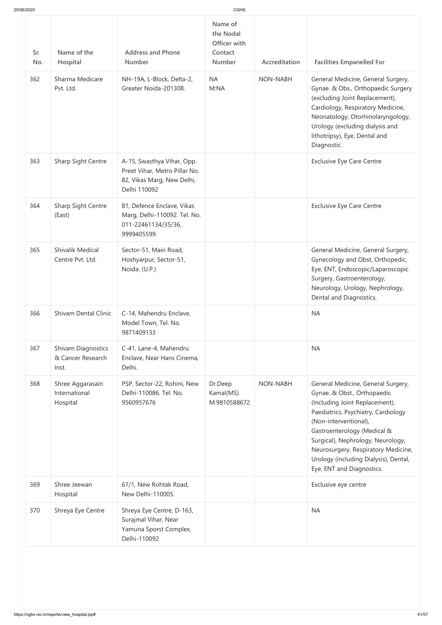| 25/06/2020 |                                                         |                                                                                                           |                                                                  |                 |                                                                                                                                                                                                                                                                                                                                                      |
|------------|---------------------------------------------------------|-----------------------------------------------------------------------------------------------------------|------------------------------------------------------------------|-----------------|------------------------------------------------------------------------------------------------------------------------------------------------------------------------------------------------------------------------------------------------------------------------------------------------------------------------------------------------------|
| Sr.<br>No. | Name of the<br>Hospital                                 | <b>Address and Phone</b><br><b>Number</b>                                                                 | Name of<br>the Nodal<br>Officer with<br>Contact<br><b>Number</b> | Accreditation   | <b>Facilities Empanelled For</b>                                                                                                                                                                                                                                                                                                                     |
| 362        | Sharma Medicare<br>Pvt. Ltd.                            | NH-19A, L-Block, Delta-2,<br>Greater Noida-201308.                                                        | <b>NA</b><br>M:NA                                                | <b>NON-NABH</b> | General Medicine, General Surgery,<br>Gynae. & Obs., Orthopaedic Surgery<br>(excluding Joint Replacement),<br>Cardiology, Respiratory Medicine,<br>Neonatology, Otorhinolaryngology,<br>Urology (excluding dialysis and<br>lithotripsy), Eye, Dental and<br>Diagnostic.                                                                              |
| 363        | Sharp Sight Centre                                      | A-15, Swasthya Vihar, Opp.<br>Preet Vihar, Metro Pillar No.<br>82, Vikas Marg, New Delhi,<br>Delhi 110092 |                                                                  |                 | <b>Exclusive Eye Care Centre</b>                                                                                                                                                                                                                                                                                                                     |
| 364        | Sharp Sight Centre<br>(East)                            | 81, Defence Enclave, Vikas<br>Marg, Delhi-110092. Tel. No.<br>011-22461134/35/36,<br>9999405599.          |                                                                  |                 | <b>Exclusive Eye Care Centre</b>                                                                                                                                                                                                                                                                                                                     |
| 365        | <b>Shivalik Medical</b><br>Centre Pvt. Ltd.             | Sector-51, Main Road,<br>Hoshyarpur, Sector-51,<br>Noida. (U.P.)                                          |                                                                  |                 | General Medicine, General Surgery,<br>Gynecology and Obst, Orthopedic,<br>Eye, ENT, Endoscopic/Laparoscopic<br>Surgery, Gastroenterology,<br>Neurology, Urology, Nephrology,<br>Dental and Diagnostics.                                                                                                                                              |
| 366        | <b>Shivam Dental Clinic</b>                             | C-14, Mahendru Enclave,<br>Model Town, Tel. No.<br>9871409133                                             |                                                                  |                 | <b>NA</b>                                                                                                                                                                                                                                                                                                                                            |
| 367        | <b>Shivam Diagnostics</b><br>& Cancer Research<br>Inst. | C-41, Lane-4, Mahendru<br>Enclave, Near Hans Cinema,<br>Delhi.                                            |                                                                  |                 | <b>NA</b>                                                                                                                                                                                                                                                                                                                                            |
| 368        | Shree Aggarasain<br>International<br>Hospital           | PSP, Sector-22, Rohini, New<br>Delhi-110086. Tel. No.<br>9560957676                                       | Dr.Deep<br>Kamal(MS)<br>M:9810588672                             | <b>NON-NABH</b> | General Medicine, General Surgery,<br>Gynae. & Obst., Orthopaedic<br>(Including Joint Replacement),<br>Paediatrics, Psychiatry, Cardiology<br>(Non-interventional),<br>Gastroenterology (Medical &<br>Surgical), Nephrology, Neurology,<br>Neurosurgery, Respiratory Medicine,<br>Urology (including Dialysis), Dental,<br>Eye, ENT and Diagnostics. |
| 369        | Shree Jeewan<br>Hospital                                | 67/1, New Rohtak Road,<br>New Delhi-110005.                                                               |                                                                  |                 | Exclusive eye centre                                                                                                                                                                                                                                                                                                                                 |
| 370        | Shreya Eye Centre                                       | Shreya Eye Centre, D-163,<br>Surajmal Vihar, Near<br>Yamuna Sporst Complex,<br>Delhi-110092               |                                                                  |                 | <b>NA</b>                                                                                                                                                                                                                                                                                                                                            |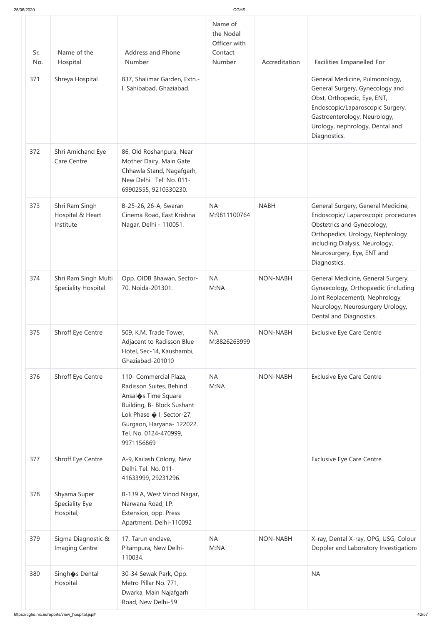| 25/06/2020 |                                                    |                                                                                                                                                                                                          | <b>CGHS</b>                                               |                 |                                                                                                                                                                                                                             |
|------------|----------------------------------------------------|----------------------------------------------------------------------------------------------------------------------------------------------------------------------------------------------------------|-----------------------------------------------------------|-----------------|-----------------------------------------------------------------------------------------------------------------------------------------------------------------------------------------------------------------------------|
| Sr.<br>No. | Name of the<br>Hospital                            | <b>Address and Phone</b><br><b>Number</b>                                                                                                                                                                | Name of<br>the Nodal<br>Officer with<br>Contact<br>Number | Accreditation   | <b>Facilities Empanelled For</b>                                                                                                                                                                                            |
| 371        | Shreya Hospital                                    | 837, Shalimar Garden, Extn.-<br>I, Sahibabad, Ghaziabad.                                                                                                                                                 |                                                           |                 | General Medicine, Pulmonology,<br>General Surgery, Gynecology and<br>Obst, Orthopedic, Eye, ENT,<br>Endoscopic/Laparoscopic Surgery,<br>Gastroenterology, Neurology,<br>Urology, nephrology, Dental and<br>Diagnostics.     |
| 372        | Shri Amichand Eye<br><b>Care Centre</b>            | 86, Old Roshanpura, Near<br>Mother Dairy, Main Gate<br>Chhawla Stand, Nagafgarh,<br>New Delhi. Tel. No. 011-<br>69902555, 9210330230.                                                                    |                                                           |                 |                                                                                                                                                                                                                             |
| 373        | Shri Ram Singh<br>Hospital & Heart<br>Institute    | B-25-26, 26-A, Swaran<br>Cinema Road, East Krishna<br>Nagar, Delhi - 110051.                                                                                                                             | <b>NA</b><br>M:9811100764                                 | <b>NABH</b>     | General Surgery, General Medicine,<br>Endoscopic/ Laparoscopic procedures<br>Obstetrics and Gynecology,<br>Orthopedics, Urology, Nephrology<br>including Dialysis, Neurology,<br>Neurosurgery, Eye, ENT and<br>Diagnostics. |
| 374        | Shri Ram Singh Multi<br><b>Speciality Hospital</b> | Opp. OIDB Bhawan, Sector-<br>70, Noida-201301.                                                                                                                                                           | <b>NA</b><br>M:NA                                         | NON-NABH        | General Medicine, General Surgery,<br>Gynaecology, Orthopaedic (including<br>Joint Replacement), Nephrology,<br>Neurology, Neurosurgery Urology,<br>Dental and Diagnostics.                                                 |
| 375        | Shroff Eye Centre                                  | 509, K.M. Trade Tower,<br>Adjacent to Radisson Blue<br>Hotel, Sec-14, Kaushambi,<br>Ghaziabad-201010                                                                                                     | <b>NA</b><br>M:8826263999                                 | <b>NON-NABH</b> | <b>Exclusive Eye Care Centre</b>                                                                                                                                                                                            |
| 376        | Shroff Eye Centre                                  | 110- Commercial Plaza,<br>Radisson Suites, Behind<br>Ansal St Time Square<br>Building, B- Block Sushant<br>Lok Phase � I, Sector-27,<br>Gurgaon, Haryana- 122022.<br>Tel. No. 0124-470999,<br>9971156869 | <b>NA</b><br>M:NA                                         | NON-NABH        | <b>Exclusive Eye Care Centre</b>                                                                                                                                                                                            |
| 377        | <b>Shroff Eye Centre</b>                           | A-9, Kailash Colony, New<br>Delhi. Tel. No. 011-<br>41633999, 29231296.                                                                                                                                  |                                                           |                 | <b>Exclusive Eye Care Centre</b>                                                                                                                                                                                            |
| 378        | Shyama Super<br>Speciality Eye<br>Hospital,        | B-139 A, West Vinod Nagar,<br>Narwana Road, I.P.<br>Extension, opp. Press<br>Apartment, Delhi-110092                                                                                                     |                                                           |                 |                                                                                                                                                                                                                             |
| 379        | Sigma Diagnostic &<br>Imaging Centre               | 17, Tarun enclave,<br>Pitampura, New Delhi-<br>110034.                                                                                                                                                   | <b>NA</b><br>M:NA                                         | <b>NON-NABH</b> | X-ray, Dental X-ray, OPG, USG, Colour<br>Doppler and Laboratory Investigations                                                                                                                                              |
| 380        | Singh�s Dental<br>Hospital                         | 30-34 Sewak Park, Opp.<br>Metro Pillar No. 771,<br>Dwarka, Main Najafgarh<br>Road, New Delhi-59                                                                                                          |                                                           |                 | <b>NA</b>                                                                                                                                                                                                                   |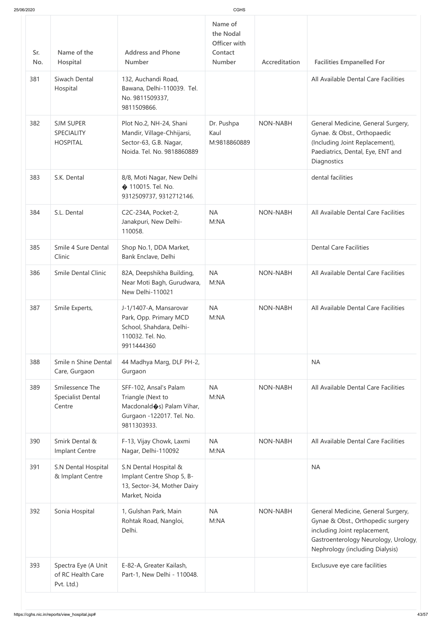| 25/06/2020 |                                                          |                                                                                                                       | CGHS                                                             |                 |                                                                                                                                                                                    |
|------------|----------------------------------------------------------|-----------------------------------------------------------------------------------------------------------------------|------------------------------------------------------------------|-----------------|------------------------------------------------------------------------------------------------------------------------------------------------------------------------------------|
| Sr.<br>No. | Name of the<br>Hospital                                  | <b>Address and Phone</b><br><b>Number</b>                                                                             | Name of<br>the Nodal<br>Officer with<br>Contact<br><b>Number</b> | Accreditation   | <b>Facilities Empanelled For</b>                                                                                                                                                   |
| 381        | Siwach Dental<br>Hospital                                | 132, Auchandi Road,<br>Bawana, Delhi-110039. Tel.<br>No. 9811509337,<br>9811509866.                                   |                                                                  |                 | All Available Dental Care Facilities                                                                                                                                               |
| 382        | <b>SJM SUPER</b><br><b>SPECIALITY</b><br><b>HOSPITAL</b> | Plot No.2, NH-24, Shani<br>Mandir, Village-Chhijarsi,<br>Sector-63, G.B. Nagar,<br>Noida. Tel. No. 9818860889         | Dr. Pushpa<br>Kaul<br>M:9818860889                               | <b>NON-NABH</b> | General Medicine, General Surgery,<br>Gynae. & Obst., Orthopaedic<br>(Including Joint Replacement),<br>Paediatrics, Dental, Eye, ENT and<br>Diagnostics                            |
| 383        | S.K. Dental                                              | 8/8, Moti Nagar, New Delhi<br>♦ 110015. Tel. No.<br>9312509737, 9312712146.                                           |                                                                  |                 | dental facilities                                                                                                                                                                  |
| 384        | S.L. Dental                                              | C2C-234A, Pocket-2,<br>Janakpuri, New Delhi-<br>110058.                                                               | <b>NA</b><br>M:NA                                                | <b>NON-NABH</b> | All Available Dental Care Facilities                                                                                                                                               |
| 385        | Smile 4 Sure Dental<br>Clinic                            | Shop No.1, DDA Market,<br>Bank Enclave, Delhi                                                                         |                                                                  |                 | <b>Dental Care Facilities</b>                                                                                                                                                      |
| 386        | <b>Smile Dental Clinic</b>                               | 82A, Deepshikha Building,<br>Near Moti Bagh, Gurudwara,<br>New Delhi-110021                                           | <b>NA</b><br>M:NA                                                | <b>NON-NABH</b> | All Available Dental Care Facilities                                                                                                                                               |
| 387        | Smile Experts,                                           | J-1/1407-A, Mansarovar<br>Park, Opp. Primary MCD<br>School, Shahdara, Delhi-<br>110032. Tel. No.<br>9911444360        | <b>NA</b><br>M:NA                                                | <b>NON-NABH</b> | All Available Dental Care Facilities                                                                                                                                               |
| 388        | Smile n Shine Dental<br>Care, Gurgaon                    | 44 Madhya Marg, DLF PH-2,<br>Gurgaon                                                                                  |                                                                  |                 | <b>NA</b>                                                                                                                                                                          |
| 389        | Smilessence The<br>Specialist Dental<br>Centre           | SFF-102, Ansal's Palam<br>Triangle (Next to<br>Macdonald (s) Palam Vihar,<br>Gurgaon -122017. Tel. No.<br>9811303933. | <b>NA</b><br>M:NA                                                | <b>NON-NABH</b> | All Available Dental Care Facilities                                                                                                                                               |
| 390        | Smirk Dental &<br>Implant Centre                         | F-13, Vijay Chowk, Laxmi<br>Nagar, Delhi-110092                                                                       | <b>NA</b><br>M:NA                                                | <b>NON-NABH</b> | All Available Dental Care Facilities                                                                                                                                               |
| 391        | S.N Dental Hospital<br>& Implant Centre                  | S.N Dental Hospital &<br>Implant Centre Shop 5, B-<br>13, Sector-34, Mother Dairy<br>Market, Noida                    |                                                                  |                 | <b>NA</b>                                                                                                                                                                          |
| 392        | Sonia Hospital                                           | 1, Gulshan Park, Main<br>Rohtak Road, Nangloi,<br>Delhi.                                                              | <b>NA</b><br>M:NA                                                | <b>NON-NABH</b> | General Medicine, General Surgery,<br>Gynae & Obst., Orthopedic surgery<br>including Joint replacement,<br>Gastroenterology Neurology, Urology,<br>Nephrology (including Dialysis) |
| 393        | Spectra Eye (A Unit<br>of RC Health Care<br>Pvt. Ltd.)   | E-82-A, Greater Kailash,<br>Part-1, New Delhi - 110048.                                                               |                                                                  |                 | Exclusuve eye care facilities                                                                                                                                                      |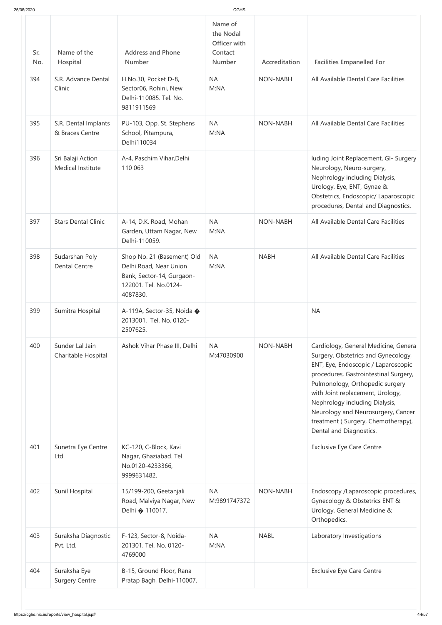| 25/06/2020 |                                         |                                                                                                                        | CGHS                                                             |                 |                                                                                                                                                                                                                                                                                                                                                                             |
|------------|-----------------------------------------|------------------------------------------------------------------------------------------------------------------------|------------------------------------------------------------------|-----------------|-----------------------------------------------------------------------------------------------------------------------------------------------------------------------------------------------------------------------------------------------------------------------------------------------------------------------------------------------------------------------------|
| Sr.<br>No. | Name of the<br>Hospital                 | <b>Address and Phone</b><br><b>Number</b>                                                                              | Name of<br>the Nodal<br>Officer with<br>Contact<br><b>Number</b> | Accreditation   | <b>Facilities Empanelled For</b>                                                                                                                                                                                                                                                                                                                                            |
| 394        | S.R. Advance Dental<br>Clinic           | H.No.30, Pocket D-8,<br>Sector06, Rohini, New<br>Delhi-110085. Tel. No.<br>9811911569                                  | <b>NA</b><br>M:NA                                                | <b>NON-NABH</b> | All Available Dental Care Facilities                                                                                                                                                                                                                                                                                                                                        |
| 395        | S.R. Dental Implants<br>& Braces Centre | PU-103, Opp. St. Stephens<br>School, Pitampura,<br>Delhi110034                                                         | <b>NA</b><br>M:NA                                                | <b>NON-NABH</b> | All Available Dental Care Facilities                                                                                                                                                                                                                                                                                                                                        |
| 396        | Sri Balaji Action<br>Medical Institute  | A-4, Paschim Vihar, Delhi<br>110 063                                                                                   |                                                                  |                 | luding Joint Replacement, GI- Surgery<br>Neurology, Neuro-surgery,<br>Nephrology including Dialysis,<br>Urology, Eye, ENT, Gynae &<br>Obstetrics, Endoscopic/ Laparoscopic<br>procedures, Dental and Diagnostics.                                                                                                                                                           |
| 397        | <b>Stars Dental Clinic</b>              | A-14, D.K. Road, Mohan<br>Garden, Uttam Nagar, New<br>Delhi-110059.                                                    | <b>NA</b><br>M:NA                                                | <b>NON-NABH</b> | All Available Dental Care Facilities                                                                                                                                                                                                                                                                                                                                        |
| 398        | Sudarshan Poly<br><b>Dental Centre</b>  | Shop No. 21 (Basement) Old<br>Delhi Road, Near Union<br>Bank, Sector-14, Gurgaon-<br>122001. Tel. No.0124-<br>4087830. | <b>NA</b><br>M:NA                                                | <b>NABH</b>     | All Available Dental Care Facilities                                                                                                                                                                                                                                                                                                                                        |
| 399        | Sumitra Hospital                        | A-119A, Sector-35, Noida �<br>2013001. Tel. No. 0120-<br>2507625.                                                      |                                                                  |                 | <b>NA</b>                                                                                                                                                                                                                                                                                                                                                                   |
| 400        | Sunder Lal Jain<br>Charitable Hospital  | Ashok Vihar Phase III, Delhi                                                                                           | <b>NA</b><br>M:47030900                                          | <b>NON-NABH</b> | Cardiology, General Medicine, Genera<br>Surgery, Obstetrics and Gynecology,<br>ENT, Eye, Endoscopic / Laparoscopic<br>procedures, Gastrointestinal Surgery,<br>Pulmonology, Orthopedic surgery<br>with Joint replacement, Urology,<br>Nephrology including Dialysis,<br>Neurology and Neurosurgery, Cancer<br>treatment (Surgery, Chemotherapy),<br>Dental and Diagnostics. |
| 401        | Sunetra Eye Centre<br>Ltd.              | KC-120, C-Block, Kavi<br>Nagar, Ghaziabad. Tel.<br>No.0120-4233366,<br>9999631482.                                     |                                                                  |                 | <b>Exclusive Eye Care Centre</b>                                                                                                                                                                                                                                                                                                                                            |
| 402        | Sunil Hospital                          | 15/199-200, Geetanjali<br>Road, Malviya Nagar, New<br>Delhi $\bullet$ 110017.                                          | <b>NA</b><br>M:9891747372                                        | <b>NON-NABH</b> | Endoscopy /Laparoscopic procedures,<br>Gynecology & Obstetrics ENT &<br>Urology, General Medicine &<br>Orthopedics.                                                                                                                                                                                                                                                         |
| 403        | Suraksha Diagnostic<br>Pvt. Ltd.        | F-123, Sector-8, Noida-<br>201301. Tel. No. 0120-<br>4769000                                                           | <b>NA</b><br>M:NA                                                | <b>NABL</b>     | Laboratory Investigations                                                                                                                                                                                                                                                                                                                                                   |
| 404        | Suraksha Eye<br><b>Surgery Centre</b>   | B-15, Ground Floor, Rana<br>Pratap Bagh, Delhi-110007.                                                                 |                                                                  |                 | <b>Exclusive Eye Care Centre</b>                                                                                                                                                                                                                                                                                                                                            |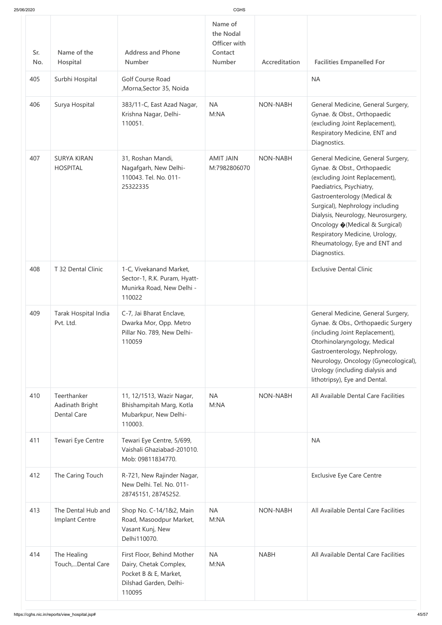| 25/06/2020 |                                                      |                                                                                                                   | CGHS                                                      |                 |                                                                                                                                                                                                                                                                                                                                                               |
|------------|------------------------------------------------------|-------------------------------------------------------------------------------------------------------------------|-----------------------------------------------------------|-----------------|---------------------------------------------------------------------------------------------------------------------------------------------------------------------------------------------------------------------------------------------------------------------------------------------------------------------------------------------------------------|
| Sr.<br>No. | Name of the<br>Hospital                              | <b>Address and Phone</b><br><b>Number</b>                                                                         | Name of<br>the Nodal<br>Officer with<br>Contact<br>Number | Accreditation   | <b>Facilities Empanelled For</b>                                                                                                                                                                                                                                                                                                                              |
| 405        | Surbhi Hospital                                      | <b>Golf Course Road</b><br>, Morna, Sector 35, Noida                                                              |                                                           |                 | <b>NA</b>                                                                                                                                                                                                                                                                                                                                                     |
| 406        | Surya Hospital                                       | 383/11-C, East Azad Nagar,<br>Krishna Nagar, Delhi-<br>110051.                                                    | <b>NA</b><br>M:NA                                         | <b>NON-NABH</b> | General Medicine, General Surgery,<br>Gynae. & Obst., Orthopaedic<br>(excluding Joint Replacement),<br>Respiratory Medicine, ENT and<br>Diagnostics.                                                                                                                                                                                                          |
| 407        | <b>SURYA KIRAN</b><br><b>HOSPITAL</b>                | 31, Roshan Mandi,<br>Nagafgarh, New Delhi-<br>110043. Tel. No. 011-<br>25322335                                   | <b>AMIT JAIN</b><br>M:7982806070                          | <b>NON-NABH</b> | General Medicine, General Surgery,<br>Gynae. & Obst., Orthopaedic<br>(excluding Joint Replacement),<br>Paediatrics, Psychiatry,<br>Gastroenterology (Medical &<br>Surgical), Nephrology including<br>Dialysis, Neurology, Neurosurgery,<br>Oncology ♦ (Medical & Surgical)<br>Respiratory Medicine, Urology,<br>Rheumatology, Eye and ENT and<br>Diagnostics. |
| 408        | T 32 Dental Clinic                                   | 1-C, Vivekanand Market,<br>Sector-1, R.K. Puram, Hyatt-<br>Munirka Road, New Delhi -<br>110022                    |                                                           |                 | <b>Exclusive Dental Clinic</b>                                                                                                                                                                                                                                                                                                                                |
| 409        | Tarak Hospital India<br>Pvt. Ltd.                    | C-7, Jai Bharat Enclave,<br>Dwarka Mor, Opp. Metro<br>Pillar No. 789, New Delhi-<br>110059                        |                                                           |                 | General Medicine, General Surgery,<br>Gynae. & Obs., Orthopaedic Surgery<br>(including Joint Replacement),<br>Otorhinolaryngology, Medical<br>Gastroenterology, Nephrology,<br>Neurology, Oncology (Gynecological),<br>Urology (including dialysis and<br>lithotripsy), Eye and Dental.                                                                       |
| 410        | Teerthanker<br>Aadinath Bright<br><b>Dental Care</b> | 11, 12/1513, Wazir Nagar,<br>Bhishampitah Marg, Kotla<br>Mubarkpur, New Delhi-<br>110003.                         | <b>NA</b><br>M:NA                                         | <b>NON-NABH</b> | All Available Dental Care Facilities                                                                                                                                                                                                                                                                                                                          |
| 411        | Tewari Eye Centre                                    | Tewari Eye Centre, 5/699,<br>Vaishali Ghaziabad-201010.<br>Mob: 09811834770.                                      |                                                           |                 | <b>NA</b>                                                                                                                                                                                                                                                                                                                                                     |
| 412        | The Caring Touch                                     | R-721, New Rajinder Nagar,<br>New Delhi. Tel. No. 011-<br>28745151, 28745252.                                     |                                                           |                 | <b>Exclusive Eye Care Centre</b>                                                                                                                                                                                                                                                                                                                              |
| 413        | The Dental Hub and<br>Implant Centre                 | Shop No. C-14/1&2, Main<br>Road, Masoodpur Market,<br>Vasant Kunj, New<br>Delhi110070.                            | <b>NA</b><br>M:NA                                         | <b>NON-NABH</b> | All Available Dental Care Facilities                                                                                                                                                                                                                                                                                                                          |
| 414        | The Healing<br>Touch,Dental Care                     | First Floor, Behind Mother<br>Dairy, Chetak Complex,<br>Pocket B & E, Market,<br>Dilshad Garden, Delhi-<br>110095 | <b>NA</b><br>M:NA                                         | <b>NABH</b>     | All Available Dental Care Facilities                                                                                                                                                                                                                                                                                                                          |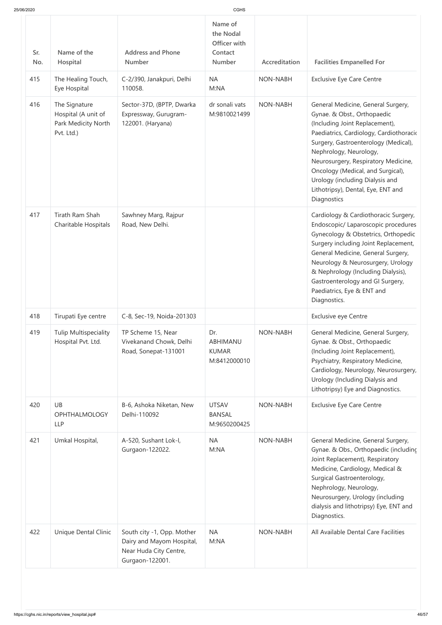| 25/06/2020 |                                                                           |                                                                                                      | <b>CGHS</b>                                               |                 |                                                                                                                                                                                                                                                                                                                                                                                      |
|------------|---------------------------------------------------------------------------|------------------------------------------------------------------------------------------------------|-----------------------------------------------------------|-----------------|--------------------------------------------------------------------------------------------------------------------------------------------------------------------------------------------------------------------------------------------------------------------------------------------------------------------------------------------------------------------------------------|
| Sr.<br>No. | Name of the<br>Hospital                                                   | <b>Address and Phone</b><br><b>Number</b>                                                            | Name of<br>the Nodal<br>Officer with<br>Contact<br>Number | Accreditation   | <b>Facilities Empanelled For</b>                                                                                                                                                                                                                                                                                                                                                     |
| 415        | The Healing Touch,<br>Eye Hospital                                        | C-2/390, Janakpuri, Delhi<br>110058.                                                                 | <b>NA</b><br>M:NA                                         | <b>NON-NABH</b> | <b>Exclusive Eye Care Centre</b>                                                                                                                                                                                                                                                                                                                                                     |
| 416        | The Signature<br>Hospital (A unit of<br>Park Medicity North<br>Pvt. Ltd.) | Sector-37D, (BPTP, Dwarka<br>Expressway, Gurugram-<br>122001. (Haryana)                              | dr sonali vats<br>M:9810021499                            | <b>NON-NABH</b> | General Medicine, General Surgery,<br>Gynae. & Obst., Orthopaedic<br>(Including Joint Replacement),<br>Paediatrics, Cardiology, Cardiothoracio<br>Surgery, Gastroenterology (Medical),<br>Nephrology, Neurology,<br>Neurosurgery, Respiratory Medicine,<br>Oncology (Medical, and Surgical),<br>Urology (including Dialysis and<br>Lithotripsy), Dental, Eye, ENT and<br>Diagnostics |
| 417        | Tirath Ram Shah<br>Charitable Hospitals                                   | Sawhney Marg, Rajpur<br>Road, New Delhi.                                                             |                                                           |                 | Cardiology & Cardiothoracic Surgery,<br>Endoscopic/ Laparoscopic procedures<br>Gynecology & Obstetrics, Orthopedic<br>Surgery including Joint Replacement,<br>General Medicine, General Surgery,<br>Neurology & Neurosurgery, Urology<br>& Nephrology (Including Dialysis),<br>Gastroenterology and GI Surgery,<br>Paediatrics, Eye & ENT and<br>Diagnostics.                        |
| 418        | Tirupati Eye centre                                                       | C-8, Sec-19, Noida-201303                                                                            |                                                           |                 | Exclusive eye Centre                                                                                                                                                                                                                                                                                                                                                                 |
| 419        | <b>Tulip Multispeciality</b><br>Hospital Pvt. Ltd.                        | TP Scheme 15, Near<br>Vivekanand Chowk, Delhi<br>Road, Sonepat-131001                                | Dr.<br>ABHIMANU<br><b>KUMAR</b><br>M:8412000010           | <b>NON-NABH</b> | General Medicine, General Surgery,<br>Gynae. & Obst., Orthopaedic<br>(Including Joint Replacement),<br>Psychiatry, Respiratory Medicine,<br>Cardiology, Neurology, Neurosurgery,<br>Urology (Including Dialysis and<br>Lithotripsy) Eye and Diagnostics.                                                                                                                             |
| 420        | <b>UB</b><br><b>OPHTHALMOLOGY</b><br><b>LLP</b>                           | B-6, Ashoka Niketan, New<br>Delhi-110092                                                             | <b>UTSAV</b><br><b>BANSAL</b><br>M:9650200425             | NON-NABH        | <b>Exclusive Eye Care Centre</b>                                                                                                                                                                                                                                                                                                                                                     |
| 421        | Umkal Hospital,                                                           | A-520, Sushant Lok-I,<br>Gurgaon-122022.                                                             | <b>NA</b><br>M:NA                                         | <b>NON-NABH</b> | General Medicine, General Surgery,<br>Gynae. & Obs., Orthopaedic (includinc<br>Joint Replacement), Respiratory<br>Medicine, Cardiology, Medical &<br>Surgical Gastroenterology,<br>Nephrology, Neurology,<br>Neurosurgery, Urology (including<br>dialysis and lithotripsy) Eye, ENT and<br>Diagnostics.                                                                              |
| 422        | <b>Unique Dental Clinic</b>                                               | South city -1, Opp. Mother<br>Dairy and Mayom Hospital,<br>Near Huda City Centre,<br>Gurgaon-122001. | <b>NA</b><br>M:NA                                         | NON-NABH        | All Available Dental Care Facilities                                                                                                                                                                                                                                                                                                                                                 |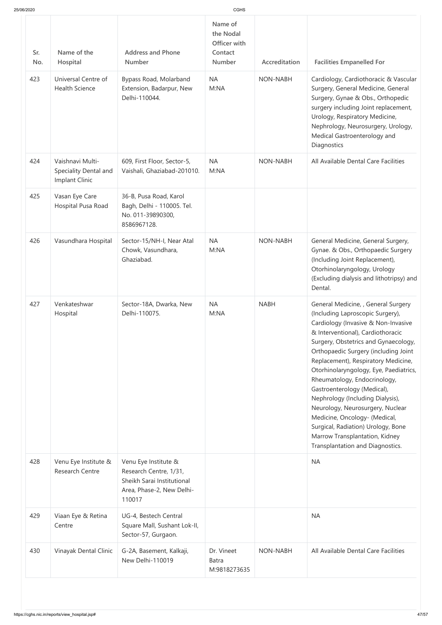| 25/06/2020 |                                                             |                                                                                                                     | <b>CGHS</b>                                                      |                 |                                                                                                                                                                                                                                                                                                                                                                                                                                                                                                                                                                                                          |
|------------|-------------------------------------------------------------|---------------------------------------------------------------------------------------------------------------------|------------------------------------------------------------------|-----------------|----------------------------------------------------------------------------------------------------------------------------------------------------------------------------------------------------------------------------------------------------------------------------------------------------------------------------------------------------------------------------------------------------------------------------------------------------------------------------------------------------------------------------------------------------------------------------------------------------------|
| Sr.<br>No. | Name of the<br>Hospital                                     | <b>Address and Phone</b><br><b>Number</b>                                                                           | Name of<br>the Nodal<br>Officer with<br>Contact<br><b>Number</b> | Accreditation   | <b>Facilities Empanelled For</b>                                                                                                                                                                                                                                                                                                                                                                                                                                                                                                                                                                         |
| 423        | Universal Centre of<br><b>Health Science</b>                | Bypass Road, Molarband<br>Extension, Badarpur, New<br>Delhi-110044.                                                 | <b>NA</b><br>M:NA                                                | <b>NON-NABH</b> | Cardiology, Cardiothoracic & Vascular<br>Surgery, General Medicine, General<br>Surgery, Gynae & Obs., Orthopedic<br>surgery including Joint replacement,<br>Urology, Respiratory Medicine,<br>Nephrology, Neurosurgery, Urology,<br>Medical Gastroenterology and<br>Diagnostics                                                                                                                                                                                                                                                                                                                          |
| 424        | Vaishnavi Multi-<br>Speciality Dental and<br>Implant Clinic | 609, First Floor, Sector-5,<br>Vaishali, Ghaziabad-201010.                                                          | <b>NA</b><br>M:NA                                                | <b>NON-NABH</b> | All Available Dental Care Facilities                                                                                                                                                                                                                                                                                                                                                                                                                                                                                                                                                                     |
| 425        | Vasan Eye Care<br>Hospital Pusa Road                        | 36-B, Pusa Road, Karol<br>Bagh, Delhi - 110005. Tel.<br>No. 011-39890300,<br>8586967128.                            |                                                                  |                 |                                                                                                                                                                                                                                                                                                                                                                                                                                                                                                                                                                                                          |
| 426        | Vasundhara Hospital                                         | Sector-15/NH-I, Near Atal<br>Chowk, Vasundhara,<br>Ghaziabad.                                                       | <b>NA</b><br>M:NA                                                | <b>NON-NABH</b> | General Medicine, General Surgery,<br>Gynae. & Obs., Orthopaedic Surgery<br>(Including Joint Replacement),<br>Otorhinolaryngology, Urology<br>(Excluding dialysis and lithotripsy) and<br>Dental.                                                                                                                                                                                                                                                                                                                                                                                                        |
| 427        | Venkateshwar<br>Hospital                                    | Sector-18A, Dwarka, New<br>Delhi-110075.                                                                            | <b>NA</b><br>M:NA                                                | <b>NABH</b>     | General Medicine, , General Surgery<br>(Including Laproscopic Surgery),<br>Cardiology (Invasive & Non-Invasive<br>& Interventional), Cardiothoracic<br>Surgery, Obstetrics and Gynaecology,<br>Orthopaedic Surgery (including Joint<br>Replacement), Respiratory Medicine,<br>Otorhinolaryngology, Eye, Paediatrics,<br>Rheumatology, Endocrinology,<br>Gastroenterology (Medical),<br>Nephrology (Including Dialysis),<br>Neurology, Neurosurgery, Nuclear<br>Medicine, Oncology- (Medical,<br>Surgical, Radiation) Urology, Bone<br>Marrow Transplantation, Kidney<br>Transplantation and Diagnostics. |
| 428        | Venu Eye Institute &<br><b>Research Centre</b>              | Venu Eye Institute &<br>Research Centre, 1/31,<br>Sheikh Sarai Institutional<br>Area, Phase-2, New Delhi-<br>110017 |                                                                  |                 | <b>NA</b>                                                                                                                                                                                                                                                                                                                                                                                                                                                                                                                                                                                                |
| 429        | Viaan Eye & Retina<br>Centre                                | UG-4, Bestech Central<br>Square Mall, Sushant Lok-II,<br>Sector-57, Gurgaon.                                        |                                                                  |                 | <b>NA</b>                                                                                                                                                                                                                                                                                                                                                                                                                                                                                                                                                                                                |
| 430        | Vinayak Dental Clinic                                       | G-2A, Basement, Kalkaji,<br>New Delhi-110019                                                                        | Dr. Vineet<br><b>Batra</b><br>M:9818273635                       | <b>NON-NABH</b> | All Available Dental Care Facilities                                                                                                                                                                                                                                                                                                                                                                                                                                                                                                                                                                     |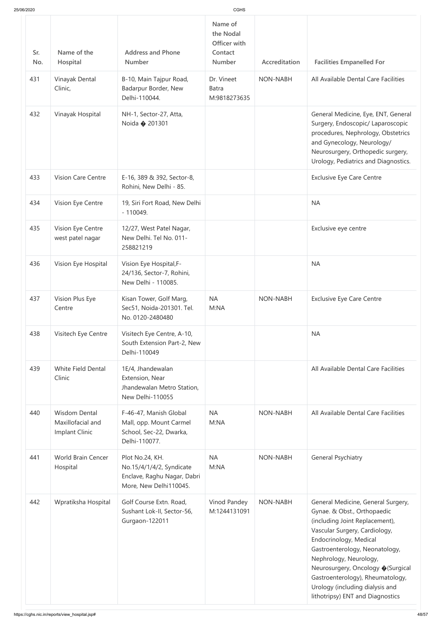| 25/06/2020 |                                                             |                                                                                                      | CGHS                                                             |                 |                                                                                                                                                                                                                                                                                                                                                                             |
|------------|-------------------------------------------------------------|------------------------------------------------------------------------------------------------------|------------------------------------------------------------------|-----------------|-----------------------------------------------------------------------------------------------------------------------------------------------------------------------------------------------------------------------------------------------------------------------------------------------------------------------------------------------------------------------------|
| Sr.<br>No. | Name of the<br>Hospital                                     | <b>Address and Phone</b><br><b>Number</b>                                                            | Name of<br>the Nodal<br>Officer with<br>Contact<br><b>Number</b> | Accreditation   | <b>Facilities Empanelled For</b>                                                                                                                                                                                                                                                                                                                                            |
| 431        | Vinayak Dental<br>Clinic,                                   | B-10, Main Tajpur Road,<br>Badarpur Border, New<br>Delhi-110044.                                     | Dr. Vineet<br><b>Batra</b><br>M:9818273635                       | <b>NON-NABH</b> | All Available Dental Care Facilities                                                                                                                                                                                                                                                                                                                                        |
| 432        | Vinayak Hospital                                            | NH-1, Sector-27, Atta,<br>Noida $\bullet$ 201301                                                     |                                                                  |                 | General Medicine, Eye, ENT, General<br>Surgery, Endoscopic/ Laparoscopic<br>procedures, Nephrology, Obstetrics<br>and Gynecology, Neurology/<br>Neurosurgery, Orthopedic surgery,<br>Urology, Pediatrics and Diagnostics.                                                                                                                                                   |
| 433        | <b>Vision Care Centre</b>                                   | E-16, 389 & 392, Sector-8,<br>Rohini, New Delhi - 85.                                                |                                                                  |                 | <b>Exclusive Eye Care Centre</b>                                                                                                                                                                                                                                                                                                                                            |
| 434        | Vision Eye Centre                                           | 19, Siri Fort Road, New Delhi<br>$-110049.$                                                          |                                                                  |                 | <b>NA</b>                                                                                                                                                                                                                                                                                                                                                                   |
| 435        | Vision Eye Centre<br>west patel nagar                       | 12/27, West Patel Nagar,<br>New Delhi. Tel No. 011-<br>258821219                                     |                                                                  |                 | Exclusive eye centre                                                                                                                                                                                                                                                                                                                                                        |
| 436        | Vision Eye Hospital                                         | Vision Eye Hospital, F-<br>24/136, Sector-7, Rohini,<br>New Delhi - 110085.                          |                                                                  |                 | <b>NA</b>                                                                                                                                                                                                                                                                                                                                                                   |
| 437        | Vision Plus Eye<br>Centre                                   | Kisan Tower, Golf Marg,<br>Sec51, Noida-201301. Tel.<br>No. 0120-2480480                             | <b>NA</b><br>M:NA                                                | <b>NON-NABH</b> | <b>Exclusive Eye Care Centre</b>                                                                                                                                                                                                                                                                                                                                            |
| 438        | Visitech Eye Centre                                         | Visitech Eye Centre, A-10,<br>South Extension Part-2, New<br>Delhi-110049                            |                                                                  |                 | <b>NA</b>                                                                                                                                                                                                                                                                                                                                                                   |
| 439        | <b>White Field Dental</b><br>Clinic                         | 1E/4, Jhandewalan<br>Extension, Near<br>Jhandewalan Metro Station,<br>New Delhi-110055               |                                                                  |                 | All Available Dental Care Facilities                                                                                                                                                                                                                                                                                                                                        |
| 440        | <b>Wisdom Dental</b><br>Maxillofacial and<br>Implant Clinic | F-46-47, Manish Global<br>Mall, opp. Mount Carmel<br>School, Sec-22, Dwarka,<br>Delhi-110077.        | <b>NA</b><br>M:NA                                                | <b>NON-NABH</b> | All Available Dental Care Facilities                                                                                                                                                                                                                                                                                                                                        |
| 441        | World Brain Cencer<br>Hospital                              | Plot No.24, KH.<br>No.15/4/1/4/2, Syndicate<br>Enclave, Raghu Nagar, Dabri<br>More, New Delhi110045. | <b>NA</b><br>M:NA                                                | <b>NON-NABH</b> | <b>General Psychiatry</b>                                                                                                                                                                                                                                                                                                                                                   |
| 442        | Wpratiksha Hospital                                         | Golf Course Extn. Road,<br>Sushant Lok-II, Sector-56,<br>Gurgaon-122011                              | Vinod Pandey<br>M:1244131091                                     | NON-NABH        | General Medicine, General Surgery,<br>Gynae. & Obst., Orthopaedic<br>(including Joint Replacement),<br>Vascular Surgery, Cardiology,<br>Endocrinology, Medical<br>Gastroenterology, Neonatology,<br>Nephrology, Neurology,<br>Neurosurgery, Oncology ♦ (Surgical<br>Gastroenterology), Rheumatology,<br>Urology (including dialysis and<br>lithotripsy) ENT and Diagnostics |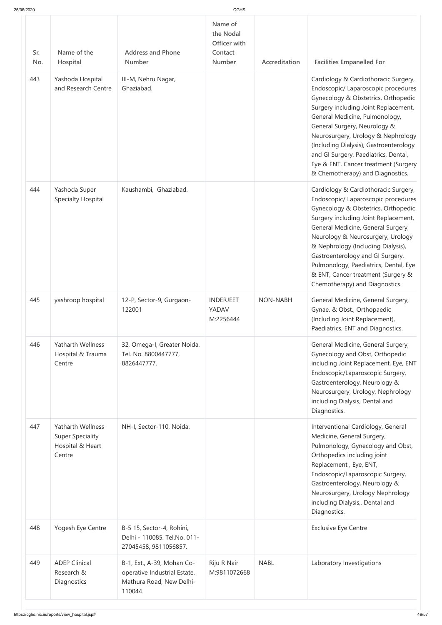| Name of<br>the Nodal<br>Officer with<br>Name of the<br><b>Address and Phone</b><br>Sr.<br>Contact<br><b>Number</b><br><b>Number</b><br>Hospital<br>Accreditation<br>No.<br>443<br>Yashoda Hospital<br>III-M, Nehru Nagar,<br>and Research Centre<br>Ghaziabad.<br>444<br>Yashoda Super<br>Kaushambi, Ghaziabad.<br><b>Specialty Hospital</b><br>445<br>yashroop hospital<br>12-P, Sector-9, Gurgaon-<br><b>INDERJEET</b><br><b>NON-NABH</b><br>122001<br>YADAV<br>M:2256444<br>446<br><b>Yatharth Wellness</b><br>32, Omega-I, Greater Noida.<br>Hospital & Trauma<br>Tel. No. 8800447777,<br>8826447777.<br>Centre<br>Diagnostics.<br>447<br><b>Yatharth Wellness</b><br>NH-I, Sector-110, Noida.<br><b>Super Speciality</b><br>Hospital & Heart<br>Centre<br>Diagnostics.<br>448<br><b>Exclusive Eye Centre</b><br>Yogesh Eye Centre<br>B-5 15, Sector-4, Rohini,<br>Delhi - 110085. Tel.No. 011-<br>27045458, 9811056857.<br>449<br><b>ADEP Clinical</b><br>Riju R Nair<br><b>NABL</b><br>B-1, Ext., A-39, Mohan Co-<br>Research &<br>operative Industrial Estate,<br>M:9811072668<br>Mathura Road, New Delhi-<br>Diagnostics | 25/06/2020 |         | CGHS |                                                                                                                                                                                                                                                                                                                                                                                                                                  |
|----------------------------------------------------------------------------------------------------------------------------------------------------------------------------------------------------------------------------------------------------------------------------------------------------------------------------------------------------------------------------------------------------------------------------------------------------------------------------------------------------------------------------------------------------------------------------------------------------------------------------------------------------------------------------------------------------------------------------------------------------------------------------------------------------------------------------------------------------------------------------------------------------------------------------------------------------------------------------------------------------------------------------------------------------------------------------------------------------------------------------------|------------|---------|------|----------------------------------------------------------------------------------------------------------------------------------------------------------------------------------------------------------------------------------------------------------------------------------------------------------------------------------------------------------------------------------------------------------------------------------|
|                                                                                                                                                                                                                                                                                                                                                                                                                                                                                                                                                                                                                                                                                                                                                                                                                                                                                                                                                                                                                                                                                                                                  |            |         |      | <b>Facilities Empanelled For</b>                                                                                                                                                                                                                                                                                                                                                                                                 |
|                                                                                                                                                                                                                                                                                                                                                                                                                                                                                                                                                                                                                                                                                                                                                                                                                                                                                                                                                                                                                                                                                                                                  |            |         |      | Cardiology & Cardiothoracic Surgery,<br>Endoscopic/ Laparoscopic procedures<br>Gynecology & Obstetrics, Orthopedic<br>Surgery including Joint Replacement,<br>General Medicine, Pulmonology,<br>General Surgery, Neurology &<br>Neurosurgery, Urology & Nephrology<br>(Including Dialysis), Gastroenterology<br>and GI Surgery, Paediatrics, Dental,<br>Eye & ENT, Cancer treatment (Surgery<br>& Chemotherapy) and Diagnostics. |
|                                                                                                                                                                                                                                                                                                                                                                                                                                                                                                                                                                                                                                                                                                                                                                                                                                                                                                                                                                                                                                                                                                                                  |            |         |      | Cardiology & Cardiothoracic Surgery,<br>Endoscopic/ Laparoscopic procedures<br>Gynecology & Obstetrics, Orthopedic<br>Surgery including Joint Replacement,<br>General Medicine, General Surgery,<br>Neurology & Neurosurgery, Urology<br>& Nephrology (Including Dialysis),<br>Gastroenterology and GI Surgery,<br>Pulmonology, Paediatrics, Dental, Eye<br>& ENT, Cancer treatment (Surgery &<br>Chemotherapy) and Diagnostics. |
|                                                                                                                                                                                                                                                                                                                                                                                                                                                                                                                                                                                                                                                                                                                                                                                                                                                                                                                                                                                                                                                                                                                                  |            |         |      | General Medicine, General Surgery,<br>Gynae. & Obst., Orthopaedic<br>(Including Joint Replacement),<br>Paediatrics, ENT and Diagnostics.                                                                                                                                                                                                                                                                                         |
|                                                                                                                                                                                                                                                                                                                                                                                                                                                                                                                                                                                                                                                                                                                                                                                                                                                                                                                                                                                                                                                                                                                                  |            |         |      | General Medicine, General Surgery,<br>Gynecology and Obst, Orthopedic<br>including Joint Replacement, Eye, ENT<br>Endoscopic/Laparoscopic Surgery,<br>Gastroenterology, Neurology &<br>Neurosurgery, Urology, Nephrology<br>including Dialysis, Dental and                                                                                                                                                                       |
|                                                                                                                                                                                                                                                                                                                                                                                                                                                                                                                                                                                                                                                                                                                                                                                                                                                                                                                                                                                                                                                                                                                                  |            |         |      | Interventional Cardiology, General<br>Medicine, General Surgery,<br>Pulmonology, Gynecology and Obst,<br>Orthopedics including joint<br>Replacement, Eye, ENT,<br>Endoscopic/Laparoscopic Surgery,<br>Gastroenterology, Neurology &<br>Neurosurgery, Urology Nephrology<br>including Dialysis,, Dental and                                                                                                                       |
|                                                                                                                                                                                                                                                                                                                                                                                                                                                                                                                                                                                                                                                                                                                                                                                                                                                                                                                                                                                                                                                                                                                                  |            |         |      |                                                                                                                                                                                                                                                                                                                                                                                                                                  |
|                                                                                                                                                                                                                                                                                                                                                                                                                                                                                                                                                                                                                                                                                                                                                                                                                                                                                                                                                                                                                                                                                                                                  |            | 110044. |      | Laboratory Investigations                                                                                                                                                                                                                                                                                                                                                                                                        |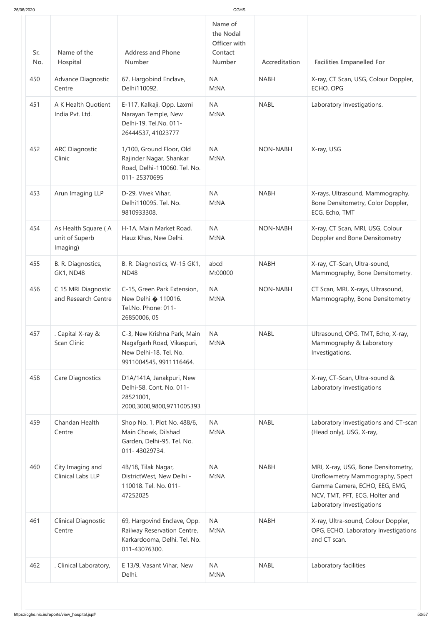| 25/06/2020 |                                                   |                                                                                                                | <b>CGHS</b>                                                      |                 |                                                                                                                                                                        |
|------------|---------------------------------------------------|----------------------------------------------------------------------------------------------------------------|------------------------------------------------------------------|-----------------|------------------------------------------------------------------------------------------------------------------------------------------------------------------------|
| Sr.<br>No. | Name of the<br>Hospital                           | <b>Address and Phone</b><br><b>Number</b>                                                                      | Name of<br>the Nodal<br>Officer with<br>Contact<br><b>Number</b> | Accreditation   | <b>Facilities Empanelled For</b>                                                                                                                                       |
| 450        | Advance Diagnostic<br>Centre                      | 67, Hargobind Enclave,<br>Delhi110092.                                                                         | <b>NA</b><br>M:NA                                                | <b>NABH</b>     | X-ray, CT Scan, USG, Colour Doppler,<br>ECHO, OPG                                                                                                                      |
| 451        | A K Health Quotient<br>India Pvt. Ltd.            | E-117, Kalkaji, Opp. Laxmi<br>Narayan Temple, New<br>Delhi-19. Tel.No. 011-<br>26444537, 41023777              | <b>NA</b><br>M:NA                                                | <b>NABL</b>     | Laboratory Investigations.                                                                                                                                             |
| 452        | <b>ARC Diagnostic</b><br>Clinic                   | 1/100, Ground Floor, Old<br>Rajinder Nagar, Shankar<br>Road, Delhi-110060. Tel. No.<br>011-25370695            | <b>NA</b><br>M:NA                                                | <b>NON-NABH</b> | X-ray, USG                                                                                                                                                             |
| 453        | Arun Imaging LLP                                  | D-29, Vivek Vihar,<br>Delhi110095. Tel. No.<br>9810933308.                                                     | <b>NA</b><br>M:NA                                                | <b>NABH</b>     | X-rays, Ultrasound, Mammography,<br>Bone Densitometry, Color Doppler,<br>ECG, Echo, TMT                                                                                |
| 454        | As Health Square (A<br>unit of Superb<br>Imaging) | H-1A, Main Market Road,<br>Hauz Khas, New Delhi.                                                               | <b>NA</b><br>M:NA                                                | <b>NON-NABH</b> | X-ray, CT Scan, MRI, USG, Colour<br>Doppler and Bone Densitometry                                                                                                      |
| 455        | B. R. Diagnostics,<br><b>GK1, ND48</b>            | B. R. Diagnostics, W-15 GK1,<br><b>ND48</b>                                                                    | abcd<br>M:00000                                                  | <b>NABH</b>     | X-ray, CT-Scan, Ultra-sound,<br>Mammography, Bone Densitometry.                                                                                                        |
| 456        | C 15 MRI Diagnostic<br>and Research Centre        | C-15, Green Park Extension,<br>New Delhi $\bullet$ 110016.<br>Tel.No. Phone: 011-<br>26850006, 05              | <b>NA</b><br>M:NA                                                | NON-NABH        | CT Scan, MRI, X-rays, Ultrasound,<br>Mammography, Bone Densitometry                                                                                                    |
| 457        | . Capital X-ray &<br>Scan Clinic                  | C-3, New Krishna Park, Main<br>Nagafgarh Road, Vikaspuri,<br>New Delhi-18. Tel. No.<br>9911004545, 9911116464. | <b>NA</b><br>M:NA                                                | <b>NABL</b>     | Ultrasound, OPG, TMT, Echo, X-ray,<br>Mammography & Laboratory<br>Investigations.                                                                                      |
| 458        | Care Diagnostics                                  | D1A/141A, Janakpuri, New<br>Delhi-58. Cont. No. 011-<br>28521001,<br>2000,3000,9800,9711005393                 |                                                                  |                 | X-ray, CT-Scan, Ultra-sound &<br>Laboratory Investigations                                                                                                             |
| 459        | Chandan Health<br>Centre                          | Shop No. 1, Plot No. 488/6,<br>Main Chowk, Dilshad<br>Garden, Delhi-95. Tel. No.<br>011-43029734.              | <b>NA</b><br>M:NA                                                | <b>NABL</b>     | Laboratory Investigations and CT-scan<br>(Head only), USG, X-ray,                                                                                                      |
| 460        | City Imaging and<br>Clinical Labs LLP             | 4B/18, Tilak Nagar,<br>DistrictWest, New Delhi -<br>110018. Tel. No. 011-<br>47252025                          | <b>NA</b><br>M:NA                                                | <b>NABH</b>     | MRI, X-ray, USG, Bone Densitometry,<br>Uroflowmetry Mammography, Spect<br>Gamma Camera, ECHO, EEG, EMG,<br>NCV, TMT, PFT, ECG, Holter and<br>Laboratory Investigations |
| 461        | <b>Clinical Diagnostic</b><br>Centre              | 69, Hargovind Enclave, Opp.<br>Railway Reservation Centre,<br>Karkardooma, Delhi. Tel. No.<br>011-43076300.    | <b>NA</b><br>M:NA                                                | <b>NABH</b>     | X-ray, Ultra-sound, Colour Doppler,<br>OPG, ECHO, Laboratory Investigations<br>and CT scan.                                                                            |
| 462        | . Clinical Laboratory,                            | E 13/9, Vasant Vihar, New<br>Delhi.                                                                            | <b>NA</b><br>M:NA                                                | <b>NABL</b>     | Laboratory facilities                                                                                                                                                  |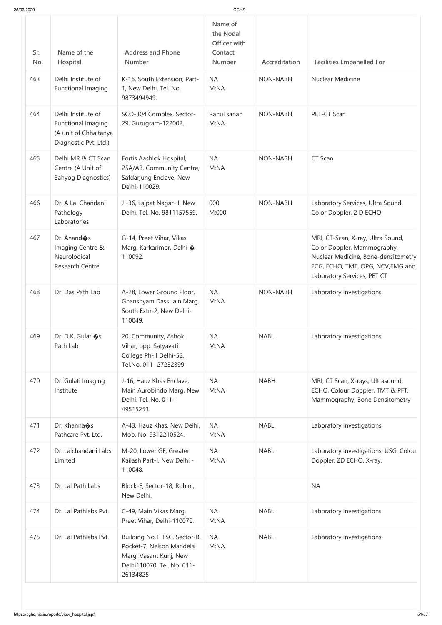| 25/06/2020 |                                                                                            |                                                                                                                               |                                                                  |                 |                                                                                                                                                                             |
|------------|--------------------------------------------------------------------------------------------|-------------------------------------------------------------------------------------------------------------------------------|------------------------------------------------------------------|-----------------|-----------------------------------------------------------------------------------------------------------------------------------------------------------------------------|
| Sr.<br>No. | Name of the<br>Hospital                                                                    | <b>Address and Phone</b><br><b>Number</b>                                                                                     | Name of<br>the Nodal<br>Officer with<br>Contact<br><b>Number</b> | Accreditation   | <b>Facilities Empanelled For</b>                                                                                                                                            |
| 463        | Delhi Institute of<br>Functional Imaging                                                   | K-16, South Extension, Part-<br>1, New Delhi. Tel. No.<br>9873494949.                                                         | <b>NA</b><br>M:NA                                                | <b>NON-NABH</b> | <b>Nuclear Medicine</b>                                                                                                                                                     |
| 464        | Delhi Institute of<br>Functional Imaging<br>(A unit of Chhaitanya<br>Diagnostic Pvt. Ltd.) | SCO-304 Complex, Sector-<br>29, Gurugram-122002.                                                                              | Rahul sanan<br>M:NA                                              | <b>NON-NABH</b> | PET-CT Scan                                                                                                                                                                 |
| 465        | Delhi MR & CT Scan<br>Centre (A Unit of<br>Sahyog Diagnostics)                             | Fortis Aashlok Hospital,<br>25A/AB, Community Centre,<br>Safdarjung Enclave, New<br>Delhi-110029.                             | <b>NA</b><br>M:NA                                                | <b>NON-NABH</b> | CT Scan                                                                                                                                                                     |
| 466        | Dr. A Lal Chandani<br>Pathology<br>Laboratories                                            | J-36, Lajpat Nagar-II, New<br>Delhi. Tel. No. 9811157559.                                                                     | 000<br>M:000                                                     | <b>NON-NABH</b> | Laboratory Services, Ultra Sound,<br>Color Doppler, 2 D ECHO                                                                                                                |
| 467        | Dr. Anand & s<br>Imaging Centre &<br>Neurological<br><b>Research Centre</b>                | G-14, Preet Vihar, Vikas<br>Marg, Karkarimor, Delhi �<br>110092.                                                              |                                                                  |                 | MRI, CT-Scan, X-ray, Ultra Sound,<br>Color Doppler, Mammography,<br>Nuclear Medicine, Bone-densitometry<br>ECG, ECHO, TMT, OPG, NCV, EMG and<br>Laboratory Services, PET CT |
| 468        | Dr. Das Path Lab                                                                           | A-28, Lower Ground Floor,<br>Ghanshyam Dass Jain Marg,<br>South Extn-2, New Delhi-<br>110049.                                 | <b>NA</b><br>M:NA                                                | <b>NON-NABH</b> | Laboratory Investigations                                                                                                                                                   |
| 469        | Dr. D.K. Gulatios<br>Path Lab                                                              | 20, Community, Ashok<br>Vihar, opp. Satyavati<br>College Ph-II Delhi-52.<br>Tel.No. 011-27232399.                             | <b>NA</b><br>M:NA                                                | <b>NABL</b>     | Laboratory Investigations                                                                                                                                                   |
| 470        | Dr. Gulati Imaging<br>Institute                                                            | J-16, Hauz Khas Enclave,<br>Main Aurobindo Marg, New<br>Delhi. Tel. No. 011-<br>49515253.                                     | <b>NA</b><br>M:NA                                                | <b>NABH</b>     | MRI, CT Scan, X-rays, Ultrasound,<br>ECHO, Colour Doppler, TMT & PFT,<br>Mammography, Bone Densitometry                                                                     |
| 471        | Dr. Khanna $\diamond$ s<br>Pathcare Pvt. Ltd.                                              | A-43, Hauz Khas, New Delhi.<br>Mob. No. 9312210524.                                                                           | <b>NA</b><br>M:NA                                                | <b>NABL</b>     | Laboratory Investigations                                                                                                                                                   |
| 472        | Dr. Lalchandani Labs<br>Limited                                                            | M-20, Lower GF, Greater<br>Kailash Part-I, New Delhi -<br>110048.                                                             | <b>NA</b><br>M:NA                                                | <b>NABL</b>     | Laboratory Investigations, USG, Colou<br>Doppler, 2D ECHO, X-ray.                                                                                                           |
| 473        | Dr. Lal Path Labs                                                                          | Block-E, Sector-18, Rohini,<br>New Delhi.                                                                                     |                                                                  |                 | <b>NA</b>                                                                                                                                                                   |
| 474        | Dr. Lal Pathlabs Pvt.                                                                      | C-49, Main Vikas Marg,<br>Preet Vihar, Delhi-110070.                                                                          | <b>NA</b><br>M:NA                                                | <b>NABL</b>     | Laboratory Investigations                                                                                                                                                   |
| 475        | Dr. Lal Pathlabs Pvt.                                                                      | Building No.1, LSC, Sector-B,<br>Pocket-7, Nelson Mandela<br>Marg, Vasant Kunj, New<br>Delhi110070. Tel. No. 011-<br>26134825 | <b>NA</b><br>M:NA                                                | <b>NABL</b>     | Laboratory Investigations                                                                                                                                                   |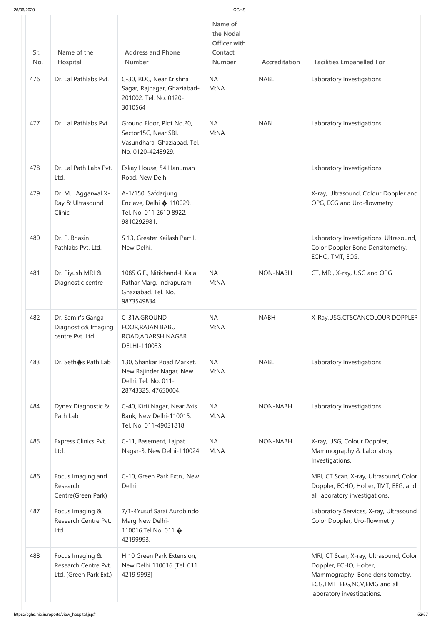| 25/06/2020 |                                                                   |                                                                                                       | CGHS                                                             |                 |                                                                                                                                                                      |
|------------|-------------------------------------------------------------------|-------------------------------------------------------------------------------------------------------|------------------------------------------------------------------|-----------------|----------------------------------------------------------------------------------------------------------------------------------------------------------------------|
| Sr.<br>No. | Name of the<br>Hospital                                           | <b>Address and Phone</b><br><b>Number</b>                                                             | Name of<br>the Nodal<br>Officer with<br>Contact<br><b>Number</b> | Accreditation   | <b>Facilities Empanelled For</b>                                                                                                                                     |
| 476        | Dr. Lal Pathlabs Pvt.                                             | C-30, RDC, Near Krishna<br>Sagar, Rajnagar, Ghaziabad-<br>201002. Tel. No. 0120-<br>3010564           | <b>NA</b><br>M:NA                                                | <b>NABL</b>     | Laboratory Investigations                                                                                                                                            |
| 477        | Dr. Lal Pathlabs Pvt.                                             | Ground Floor, Plot No.20,<br>Sector15C, Near SBI,<br>Vasundhara, Ghaziabad. Tel.<br>No. 0120-4243929. | <b>NA</b><br>M:NA                                                | <b>NABL</b>     | Laboratory Investigations                                                                                                                                            |
| 478        | Dr. Lal Path Labs Pvt.<br>Ltd.                                    | Eskay House, 54 Hanuman<br>Road, New Delhi                                                            |                                                                  |                 | Laboratory Investigations                                                                                                                                            |
| 479        | Dr. M.L Aggarwal X-<br>Ray & Ultrasound<br>Clinic                 | A-1/150, Safdarjung<br>Enclave, Delhi � 110029.<br>Tel. No. 011 2610 8922,<br>9810292981.             |                                                                  |                 | X-ray, Ultrasound, Colour Doppler anc<br>OPG, ECG and Uro-flowmetry                                                                                                  |
| 480        | Dr. P. Bhasin<br>Pathlabs Pvt. Ltd.                               | S 13, Greater Kailash Part I,<br>New Delhi.                                                           |                                                                  |                 | Laboratory Investigations, Ultrasound,<br>Color Doppler Bone Densitometry,<br>ECHO, TMT, ECG.                                                                        |
| 481        | Dr. Piyush MRI &<br>Diagnostic centre                             | 1085 G.F., Nitikhand-I, Kala<br>Pathar Marg, Indrapuram,<br>Ghaziabad. Tel. No.<br>9873549834         | <b>NA</b><br>M:NA                                                | <b>NON-NABH</b> | CT, MRI, X-ray, USG and OPG                                                                                                                                          |
| 482        | Dr. Samir's Ganga<br>Diagnostic& Imaging<br>centre Pvt. Ltd       | C-31A, GROUND<br><b>FOOR, RAJAN BABU</b><br>ROAD, ADARSH NAGAR<br>DELHI-110033                        | <b>NA</b><br>M:NA                                                | <b>NABH</b>     | X-Ray, USG, CTSCANCOLOUR DOPPLEF                                                                                                                                     |
| 483        | Dr. Seth�s Path Lab                                               | 130, Shankar Road Market,<br>New Rajinder Nagar, New<br>Delhi. Tel. No. 011-<br>28743325, 47650004.   | <b>NA</b><br>M:NA                                                | <b>NABL</b>     | Laboratory Investigations                                                                                                                                            |
| 484        | Dynex Diagnostic &<br>Path Lab                                    | C-40, Kirti Nagar, Near Axis<br>Bank, New Delhi-110015.<br>Tel. No. 011-49031818.                     | <b>NA</b><br>M:NA                                                | <b>NON-NABH</b> | Laboratory Investigations                                                                                                                                            |
| 485        | <b>Express Clinics Pvt.</b><br>Ltd.                               | C-11, Basement, Lajpat<br>Nagar-3, New Delhi-110024.                                                  | <b>NA</b><br>M:NA                                                | <b>NON-NABH</b> | X-ray, USG, Colour Doppler,<br>Mammography & Laboratory<br>Investigations.                                                                                           |
| 486        | Focus Imaging and<br>Research<br>Centre(Green Park)               | C-10, Green Park Extn., New<br>Delhi                                                                  |                                                                  |                 | MRI, CT Scan, X-ray, Ultrasound, Color<br>Doppler, ECHO, Holter, TMT, EEG, and<br>all laboratory investigations.                                                     |
| 487        | Focus Imaging &<br>Research Centre Pvt.<br>Ltd.,                  | 7/1-4Yusuf Sarai Aurobindo<br>Marg New Delhi-<br>110016.Tel.No. 011 �<br>42199993.                    |                                                                  |                 | Laboratory Services, X-ray, Ultrasound<br>Color Doppler, Uro-flowmetry                                                                                               |
| 488        | Focus Imaging &<br>Research Centre Pvt.<br>Ltd. (Green Park Ext.) | H 10 Green Park Extension,<br>New Delhi 110016 [Tel: 011<br>4219 9993]                                |                                                                  |                 | MRI, CT Scan, X-ray, Ultrasound, Color<br>Doppler, ECHO, Holter,<br>Mammography, Bone densitometry,<br>ECG, TMT, EEG, NCV, EMG and all<br>laboratory investigations. |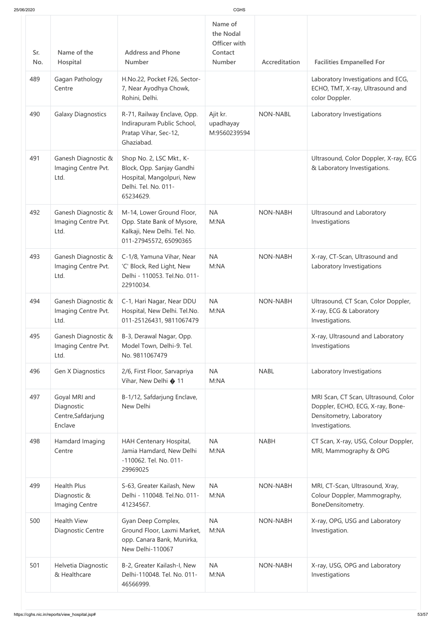| 25/06/2020 |                                                              |                                                                                                                         | <b>CGHS</b>                                                      |                 |                                                                                                                         |
|------------|--------------------------------------------------------------|-------------------------------------------------------------------------------------------------------------------------|------------------------------------------------------------------|-----------------|-------------------------------------------------------------------------------------------------------------------------|
| Sr.<br>No. | Name of the<br>Hospital                                      | <b>Address and Phone</b><br><b>Number</b>                                                                               | Name of<br>the Nodal<br>Officer with<br>Contact<br><b>Number</b> | Accreditation   | <b>Facilities Empanelled For</b>                                                                                        |
| 489        | Gagan Pathology<br>Centre                                    | H.No.22, Pocket F26, Sector-<br>7, Near Ayodhya Chowk,<br>Rohini, Delhi.                                                |                                                                  |                 | Laboratory Investigations and ECG,<br>ECHO, TMT, X-ray, Ultrasound and<br>color Doppler.                                |
| 490        | <b>Galaxy Diagnostics</b>                                    | R-71, Railway Enclave, Opp.<br>Indirapuram Public School,<br>Pratap Vihar, Sec-12,<br>Ghaziabad.                        | Ajit kr.<br>upadhayay<br>M:9560239594                            | <b>NON-NABL</b> | Laboratory Investigations                                                                                               |
| 491        | Ganesh Diagnostic &<br>Imaging Centre Pvt.<br>Ltd.           | Shop No. 2, LSC Mkt., K-<br>Block, Opp. Sanjay Gandhi<br>Hospital, Mangolpuri, New<br>Delhi. Tel. No. 011-<br>65234629. |                                                                  |                 | Ultrasound, Color Doppler, X-ray, ECG<br>& Laboratory Investigations.                                                   |
| 492        | Ganesh Diagnostic &<br>Imaging Centre Pvt.<br>Ltd.           | M-14, Lower Ground Floor,<br>Opp. State Bank of Mysore,<br>Kalkaji, New Delhi. Tel. No.<br>011-27945572, 65090365       | <b>NA</b><br>M:NA                                                | <b>NON-NABH</b> | Ultrasound and Laboratory<br>Investigations                                                                             |
| 493        | Ganesh Diagnostic &<br>Imaging Centre Pvt.<br>Ltd.           | C-1/8, Yamuna Vihar, Near<br>'C' Block, Red Light, New<br>Delhi - 110053. Tel.No. 011-<br>22910034.                     | <b>NA</b><br>M:NA                                                | <b>NON-NABH</b> | X-ray, CT-Scan, Ultrasound and<br>Laboratory Investigations                                                             |
| 494        | Ganesh Diagnostic &<br>Imaging Centre Pvt.<br>Ltd.           | C-1, Hari Nagar, Near DDU<br>Hospital, New Delhi. Tel.No.<br>011-25126431, 9811067479                                   | <b>NA</b><br>M:NA                                                | <b>NON-NABH</b> | Ultrasound, CT Scan, Color Doppler,<br>X-ray, ECG & Laboratory<br>Investigations.                                       |
| 495        | Ganesh Diagnostic &<br>Imaging Centre Pvt.<br>Ltd.           | B-3, Derawal Nagar, Opp.<br>Model Town, Delhi-9. Tel.<br>No. 9811067479                                                 |                                                                  |                 | X-ray, Ultrasound and Laboratory<br>Investigations                                                                      |
| 496        | Gen X Diagnostics                                            | 2/6, First Floor, Sarvapriya<br>Vihar, New Delhi �� 11                                                                  | <b>NA</b><br>M:NA                                                | <b>NABL</b>     | Laboratory Investigations                                                                                               |
| 497        | Goyal MRI and<br>Diagnostic<br>Centre, Safdarjung<br>Enclave | B-1/12, Safdarjung Enclave,<br>New Delhi                                                                                |                                                                  |                 | MRI Scan, CT Scan, Ultrasound, Color<br>Doppler, ECHO, ECG, X-ray, Bone-<br>Densitometry, Laboratory<br>Investigations. |
| 498        | Hamdard Imaging<br>Centre                                    | HAH Centenary Hospital,<br>Jamia Hamdard, New Delhi<br>-110062. Tel. No. 011-<br>29969025                               | <b>NA</b><br>M:NA                                                | <b>NABH</b>     | CT Scan, X-ray, USG, Colour Doppler,<br>MRI, Mammography & OPG                                                          |
| 499        | <b>Health Plus</b><br>Diagnostic &<br>Imaging Centre         | S-63, Greater Kailash, New<br>Delhi - 110048. Tel.No. 011-<br>41234567.                                                 | <b>NA</b><br>M:NA                                                | <b>NON-NABH</b> | MRI, CT-Scan, Ultrasound, Xray,<br>Colour Doppler, Mammography,<br>BoneDensitometry.                                    |
| 500        | <b>Health View</b><br>Diagnostic Centre                      | Gyan Deep Complex,<br>Ground Floor, Laxmi Market,<br>opp. Canara Bank, Munirka,<br>New Delhi-110067                     | <b>NA</b><br>M:NA                                                | <b>NON-NABH</b> | X-ray, OPG, USG and Laboratory<br>Investigation.                                                                        |
| 501        | Helvetia Diagnostic<br>& Healthcare                          | B-2, Greater Kailash-I, New<br>Delhi-110048. Tel. No. 011-<br>46566999.                                                 | <b>NA</b><br>M:NA                                                | <b>NON-NABH</b> | X-ray, USG, OPG and Laboratory<br>Investigations                                                                        |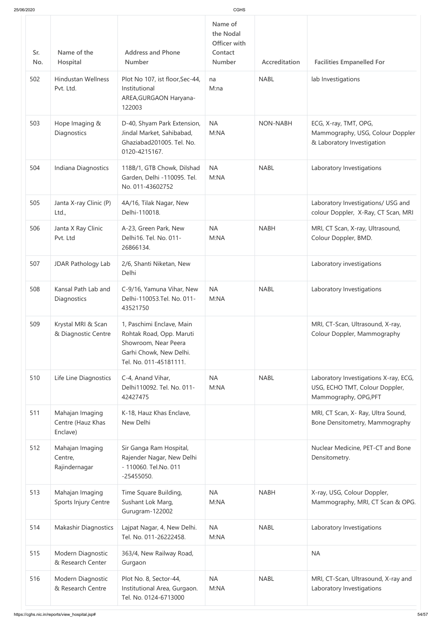| 25/06/2020 |                                                  |                                                                                                                                    | <b>CGHS</b>                                                      |                 |                                                                                                  |
|------------|--------------------------------------------------|------------------------------------------------------------------------------------------------------------------------------------|------------------------------------------------------------------|-----------------|--------------------------------------------------------------------------------------------------|
| Sr.<br>No. | Name of the<br>Hospital                          | <b>Address and Phone</b><br><b>Number</b>                                                                                          | Name of<br>the Nodal<br>Officer with<br>Contact<br><b>Number</b> | Accreditation   | <b>Facilities Empanelled For</b>                                                                 |
| 502        | <b>Hindustan Wellness</b><br>Pvt. Ltd.           | Plot No 107, ist floor, Sec-44,<br>Institutional<br>AREA, GURGAON Haryana-<br>122003                                               | na<br>M:na                                                       | <b>NABL</b>     | lab Investigations                                                                               |
| 503        | Hope Imaging &<br>Diagnostics                    | D-40, Shyam Park Extension,<br>Jindal Market, Sahibabad,<br>Ghaziabad201005. Tel. No.<br>0120-4215167.                             | <b>NA</b><br>M:NA                                                | <b>NON-NABH</b> | ECG, X-ray, TMT, OPG,<br>Mammography, USG, Colour Doppler<br>& Laboratory Investigation          |
| 504        | Indiana Diagnostics                              | 118B/1, GTB Chowk, Dilshad<br>Garden, Delhi -110095. Tel.<br>No. 011-43602752                                                      | <b>NA</b><br>M:NA                                                | <b>NABL</b>     | Laboratory Investigations                                                                        |
| 505        | Janta X-ray Clinic (P)<br>Ltd.,                  | 4A/16, Tilak Nagar, New<br>Delhi-110018.                                                                                           |                                                                  |                 | Laboratory Investigations/ USG and<br>colour Doppler, X-Ray, CT Scan, MRI                        |
| 506        | Janta X Ray Clinic<br>Pvt. Ltd                   | A-23, Green Park, New<br>Delhi16, Tel. No. 011-<br>26866134.                                                                       | <b>NA</b><br>M:NA                                                | <b>NABH</b>     | MRI, CT Scan, X-ray, Ultrasound,<br>Colour Doppler, BMD.                                         |
| 507        | JDAR Pathology Lab                               | 2/6, Shanti Niketan, New<br>Delhi                                                                                                  |                                                                  |                 | Laboratory investigations                                                                        |
| 508        | Kansal Path Lab and<br>Diagnostics               | C-9/16, Yamuna Vihar, New<br>Delhi-110053.Tel. No. 011-<br>43521750                                                                | <b>NA</b><br>M:NA                                                | <b>NABL</b>     | Laboratory Investigations                                                                        |
| 509        | Krystal MRI & Scan<br>& Diagnostic Centre        | 1, Paschimi Enclave, Main<br>Rohtak Road, Opp. Maruti<br>Showroom, Near Peera<br>Garhi Chowk, New Delhi.<br>Tel. No. 011-45181111. |                                                                  |                 | MRI, CT-Scan, Ultrasound, X-ray,<br>Colour Doppler, Mammography                                  |
| 510        | Life Line Diagnostics                            | C-4, Anand Vihar,<br>Delhi110092. Tel. No. 011-<br>42427475                                                                        | <b>NA</b><br>M:NA                                                | <b>NABL</b>     | Laboratory Investigations X-ray, ECG,<br>USG, ECHO TMT, Colour Doppler,<br>Mammography, OPG, PFT |
| 511        | Mahajan Imaging<br>Centre (Hauz Khas<br>Enclave) | K-18, Hauz Khas Enclave,<br>New Delhi                                                                                              |                                                                  |                 | MRI, CT Scan, X- Ray, Ultra Sound,<br>Bone Densitometry, Mammography                             |
| 512        | Mahajan Imaging<br>Centre,<br>Rajindernagar      | Sir Ganga Ram Hospital,<br>Rajender Nagar, New Delhi<br>- 110060. Tel.No. 011<br>$-25455050.$                                      |                                                                  |                 | Nuclear Medicine, PET-CT and Bone<br>Densitometry.                                               |
| 513        | Mahajan Imaging<br>Sports Injury Centre          | Time Square Building,<br>Sushant Lok Marg,<br>Gurugram-122002                                                                      | <b>NA</b><br>M:NA                                                | <b>NABH</b>     | X-ray, USG, Colour Doppler,<br>Mammography, MRI, CT Scan & OPG.                                  |
| 514        | <b>Makashir Diagnostics</b>                      | Lajpat Nagar, 4, New Delhi.<br>Tel. No. 011-26222458.                                                                              | <b>NA</b><br>M:NA                                                | <b>NABL</b>     | Laboratory Investigations                                                                        |
| 515        | Modern Diagnostic<br>& Research Center           | 363/4, New Railway Road,<br>Gurgaon                                                                                                |                                                                  |                 | <b>NA</b>                                                                                        |
| 516        | Modern Diagnostic<br>& Research Centre           | Plot No. 8, Sector-44,<br>Institutional Area, Gurgaon.<br>Tel. No. 0124-6713000                                                    | <b>NA</b><br>M:NA                                                | <b>NABL</b>     | MRI, CT-Scan, Ultrasound, X-ray and<br>Laboratory Investigations                                 |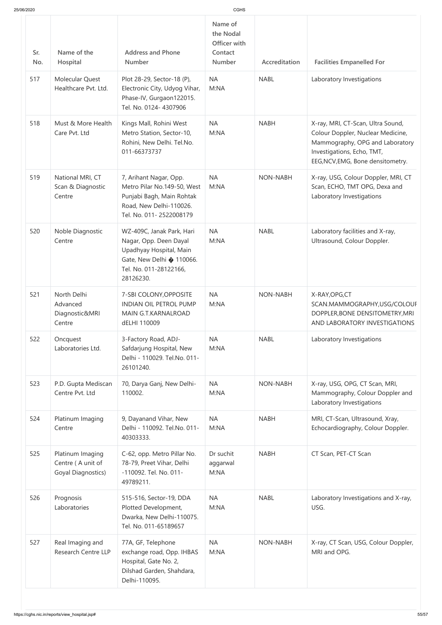| 25/06/2020 |                                                             |                                                                                                                                                    |                                                                  |                 |                                                                                                                                                                              |
|------------|-------------------------------------------------------------|----------------------------------------------------------------------------------------------------------------------------------------------------|------------------------------------------------------------------|-----------------|------------------------------------------------------------------------------------------------------------------------------------------------------------------------------|
| Sr.<br>No. | Name of the<br>Hospital                                     | <b>Address and Phone</b><br><b>Number</b>                                                                                                          | Name of<br>the Nodal<br>Officer with<br>Contact<br><b>Number</b> | Accreditation   | <b>Facilities Empanelled For</b>                                                                                                                                             |
| 517        | <b>Molecular Quest</b><br>Healthcare Pvt. Ltd.              | Plot 28-29, Sector-18 (P),<br>Electronic City, Udyog Vihar,<br>Phase-IV, Gurgaon122015.<br>Tel. No. 0124-4307906                                   | <b>NA</b><br>M:NA                                                | <b>NABL</b>     | Laboratory Investigations                                                                                                                                                    |
| 518        | Must & More Health<br>Care Pvt. Ltd                         | Kings Mall, Rohini West<br>Metro Station, Sector-10,<br>Rohini, New Delhi. Tel.No.<br>011-66373737                                                 | <b>NA</b><br>M:NA                                                | <b>NABH</b>     | X-ray, MRI, CT-Scan, Ultra Sound,<br>Colour Doppler, Nuclear Medicine,<br>Mammography, OPG and Laboratory<br>Investigations, Echo, TMT,<br>EEG, NCV, EMG, Bone densitometry. |
| 519        | National MRI, CT<br>Scan & Diagnostic<br>Centre             | 7, Arihant Nagar, Opp.<br>Metro Pilar No.149-50, West<br>Punjabi Bagh, Main Rohtak<br>Road, New Delhi-110026.<br>Tel. No. 011-2522008179           | <b>NA</b><br>M:NA                                                | <b>NON-NABH</b> | X-ray, USG, Colour Doppler, MRI, CT<br>Scan, ECHO, TMT OPG, Dexa and<br>Laboratory Investigations                                                                            |
| 520        | Noble Diagnostic<br>Centre                                  | WZ-409C, Janak Park, Hari<br>Nagar, Opp. Deen Dayal<br>Upadhyay Hospital, Main<br>Gate, New Delhi � 110066.<br>Tel. No. 011-28122166,<br>28126230. | <b>NA</b><br>M:NA                                                | <b>NABL</b>     | Laboratory facilities and X-ray,<br>Ultrasound, Colour Doppler.                                                                                                              |
| 521        | North Delhi<br>Advanced<br>Diagnostic&MRI<br>Centre         | 7-SBI COLONY, OPPOSITE<br><b>INDIAN OIL PETROL PUMP</b><br>MAIN G.T.KARNALROAD<br>dELHI 110009                                                     | <b>NA</b><br>M:NA                                                | <b>NON-NABH</b> | X-RAY, OPG, CT<br>SCAN.MAMMOGRAPHY,USG/COLOUF<br>DOPPLER, BONE DENSITOMETRY, MRI<br>AND LABORATORY INVESTIGATIONS                                                            |
| 522        | Oncquest<br>Laboratories Ltd.                               | 3-Factory Road, ADJ-<br>Safdarjung Hospital, New<br>Delhi - 110029. Tel.No. 011-<br>26101240.                                                      | <b>NA</b><br>M:NA                                                | <b>NABL</b>     | Laboratory Investigations                                                                                                                                                    |
| 523        | P.D. Gupta Mediscan<br>Centre Pvt. Ltd                      | 70, Darya Ganj, New Delhi-<br>110002.                                                                                                              | <b>NA</b><br>M:NA                                                | <b>NON-NABH</b> | X-ray, USG, OPG, CT Scan, MRI,<br>Mammography, Colour Doppler and<br>Laboratory Investigations                                                                               |
| 524        | Platinum Imaging<br>Centre                                  | 9, Dayanand Vihar, New<br>Delhi - 110092. Tel.No. 011-<br>40303333.                                                                                | <b>NA</b><br>M:NA                                                | <b>NABH</b>     | MRI, CT-Scan, Ultrasound, Xray,<br>Echocardiography, Colour Doppler.                                                                                                         |
| 525        | Platinum Imaging<br>Centre (A unit of<br>Goyal Diagnostics) | C-62, opp. Metro Pillar No.<br>78-79, Preet Vihar, Delhi<br>-110092. Tel. No. 011-<br>49789211.                                                    | Dr suchit<br>aggarwal<br>M:NA                                    | <b>NABH</b>     | CT Scan, PET-CT Scan                                                                                                                                                         |
| 526        | Prognosis<br>Laboratories                                   | 515-516, Sector-19, DDA<br>Plotted Development,<br>Dwarka, New Delhi-110075.<br>Tel. No. 011-65189657                                              | <b>NA</b><br>M:NA                                                | <b>NABL</b>     | Laboratory Investigations and X-ray,<br>USG.                                                                                                                                 |
| 527        | Real Imaging and<br><b>Research Centre LLP</b>              | 77A, GF, Telephone<br>exchange road, Opp. IHBAS<br>Hospital, Gate No. 2,<br>Dilshad Garden, Shahdara,<br>Delhi-110095.                             | <b>NA</b><br>M:NA                                                | <b>NON-NABH</b> | X-ray, CT Scan, USG, Colour Doppler,<br>MRI and OPG.                                                                                                                         |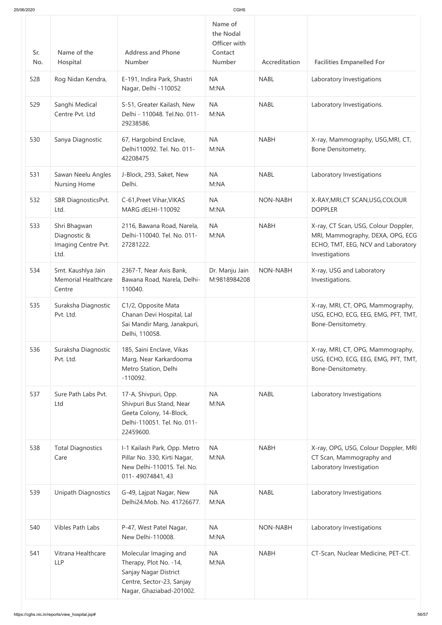| 25/06/2020 |                                                             |                                                                                                                                   | CGHS                                                      |                 |                                                                                                                                  |
|------------|-------------------------------------------------------------|-----------------------------------------------------------------------------------------------------------------------------------|-----------------------------------------------------------|-----------------|----------------------------------------------------------------------------------------------------------------------------------|
| Sr.<br>No. | Name of the<br>Hospital                                     | <b>Address and Phone</b><br><b>Number</b>                                                                                         | Name of<br>the Nodal<br>Officer with<br>Contact<br>Number | Accreditation   | <b>Facilities Empanelled For</b>                                                                                                 |
| 528        | Rog Nidan Kendra,                                           | E-191, Indira Park, Shastri<br>Nagar, Delhi -110052                                                                               | <b>NA</b><br>M:NA                                         | <b>NABL</b>     | Laboratory Investigations                                                                                                        |
| 529        | Sanghi Medical<br>Centre Pvt. Ltd                           | S-51, Greater Kailash, New<br>Delhi - 110048. Tel.No. 011-<br>29238586.                                                           | <b>NA</b><br>M:NA                                         | <b>NABL</b>     | Laboratory Investigations.                                                                                                       |
| 530        | Sanya Diagnostic                                            | 67, Hargobind Enclave,<br>Delhi110092. Tel. No. 011-<br>42208475                                                                  | <b>NA</b><br>M:NA                                         | <b>NABH</b>     | X-ray, Mammography, USG, MRI, CT,<br>Bone Densitometry,                                                                          |
| 531        | Sawan Neelu Angles<br><b>Nursing Home</b>                   | J-Block, 293, Saket, New<br>Delhi.                                                                                                | <b>NA</b><br>M:NA                                         | <b>NABL</b>     | Laboratory Investigations                                                                                                        |
| 532        | SBR DiagnosticsPvt.<br>Ltd.                                 | C-61, Preet Vihar, VIKAS<br><b>MARG dELHI-110092</b>                                                                              | <b>NA</b><br>M:NA                                         | <b>NON-NABH</b> | X-RAY, MRI, CT SCAN, USG, COLOUR<br><b>DOPPLER</b>                                                                               |
| 533        | Shri Bhagwan<br>Diagnostic &<br>Imaging Centre Pvt.<br>Ltd. | 2116, Bawana Road, Narela,<br>Delhi-110040. Tel. No. 011-<br>27281222.                                                            | <b>NA</b><br>M:NA                                         | <b>NABH</b>     | X-ray, CT Scan, USG, Colour Doppler,<br>MRI, Mammography, DEXA, OPG, ECG<br>ECHO, TMT, EEG, NCV and Laboratory<br>Investigations |
| 534        | Smt. Kaushlya Jain<br><b>Memorial Healthcare</b><br>Centre  | 2367-T, Near Axis Bank,<br>Bawana Road, Narela, Delhi-<br>110040.                                                                 | Dr. Manju Jain<br>M:9818984208                            | <b>NON-NABH</b> | X-ray, USG and Laboratory<br>Investigations.                                                                                     |
| 535        | Suraksha Diagnostic<br>Pvt. Ltd.                            | C1/2, Opposite Mata<br>Chanan Devi Hospital, Lal<br>Sai Mandir Marg, Janakpuri,<br>Delhi, 110058.                                 |                                                           |                 | X-ray, MRI, CT, OPG, Mammography,<br>USG, ECHO, ECG, EEG, EMG, PFT, TMT,<br>Bone-Densitometry.                                   |
| 536        | Suraksha Diagnostic<br>Pvt. Ltd.                            | 185, Saini Enclave, Vikas<br>Marg, Near Karkardooma<br>Metro Station, Delhi<br>$-110092.$                                         |                                                           |                 | X-ray, MRI, CT, OPG, Mammography,<br>USG, ECHO, ECG, EEG, EMG, PFT, TMT,<br>Bone-Densitometry.                                   |
| 537        | Sure Path Labs Pvt.<br>Ltd                                  | 17-A, Shivpuri, Opp.<br>Shivpuri Bus Stand, Near<br>Geeta Colony, 14-Block,<br>Delhi-110051. Tel. No. 011-<br>22459600.           | <b>NA</b><br>M:NA                                         | <b>NABL</b>     | Laboratory Investigations                                                                                                        |
| 538        | <b>Total Diagnostics</b><br>Care                            | I-1 Kailash Park, Opp. Metro<br>Pillar No. 330, Kirti Nagar,<br>New Delhi-110015. Tel. No.<br>011-49074841, 43                    | <b>NA</b><br>M:NA                                         | <b>NABH</b>     | X-ray, OPG, USG, Colour Doppler, MRI<br>CT Scan, Mammography and<br>Laboratory Investigation                                     |
| 539        | Unipath Diagnostics                                         | G-49, Lajpat Nagar, New<br>Delhi24.Mob. No. 41726677.                                                                             | <b>NA</b><br>M:NA                                         | <b>NABL</b>     | Laboratory Investigations                                                                                                        |
| 540        | <b>Vibles Path Labs</b>                                     | P-47, West Patel Nagar,<br>New Delhi-110008.                                                                                      | <b>NA</b><br>M:NA                                         | <b>NON-NABH</b> | Laboratory Investigations                                                                                                        |
| 541        | Vitrana Healthcare<br><b>LLP</b>                            | Molecular Imaging and<br>Therapy, Plot No. -14,<br>Sanjay Nagar District<br>Centre, Sector-23, Sanjay<br>Nagar, Ghaziabad-201002. | <b>NA</b><br>M:NA                                         | <b>NABH</b>     | CT-Scan, Nuclear Medicine, PET-CT.                                                                                               |